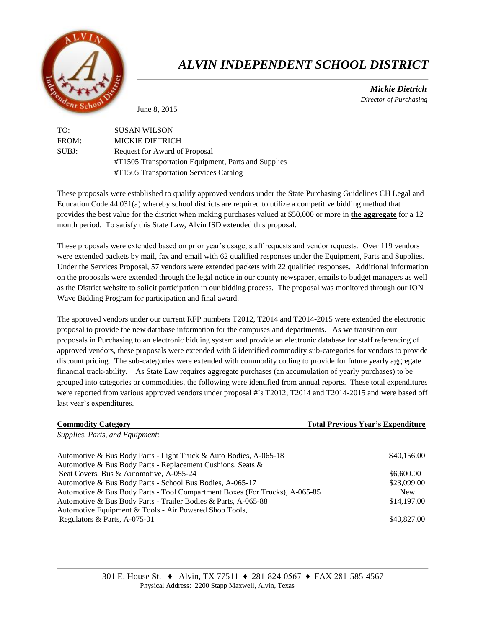

# *ALVIN INDEPENDENT SCHOOL DISTRICT*

 *Mickie Dietrich Director of Purchasing*

June 8, 2015

| TO:   | <b>SUSAN WILSON</b>                                 |
|-------|-----------------------------------------------------|
| FROM: | <b>MICKIE DIETRICH</b>                              |
| SUBJ: | Request for Award of Proposal                       |
|       | #T1505 Transportation Equipment, Parts and Supplies |
|       | #T1505 Transportation Services Catalog              |

These proposals were established to qualify approved vendors under the State Purchasing Guidelines CH Legal and Education Code 44.031(a) whereby school districts are required to utilize a competitive bidding method that provides the best value for the district when making purchases valued at \$50,000 or more in **the aggregate** for a 12 month period. To satisfy this State Law, Alvin ISD extended this proposal.

These proposals were extended based on prior year's usage, staff requests and vendor requests. Over 119 vendors were extended packets by mail, fax and email with 62 qualified responses under the Equipment, Parts and Supplies. Under the Services Proposal, 57 vendors were extended packets with 22 qualified responses. Additional information on the proposals were extended through the legal notice in our county newspaper, emails to budget managers as well as the District website to solicit participation in our bidding process. The proposal was monitored through our ION Wave Bidding Program for participation and final award.

The approved vendors under our current RFP numbers T2012, T2014 and T2014-2015 were extended the electronic proposal to provide the new database information for the campuses and departments. As we transition our proposals in Purchasing to an electronic bidding system and provide an electronic database for staff referencing of approved vendors, these proposals were extended with 6 identified commodity sub-categories for vendors to provide discount pricing. The sub-categories were extended with commodity coding to provide for future yearly aggregate financial track-ability. As State Law requires aggregate purchases (an accumulation of yearly purchases) to be grouped into categories or commodities, the following were identified from annual reports. These total expenditures were reported from various approved vendors under proposal #'s T2012, T2014 and T2014-2015 and were based off last year's expenditures.

| <b>Commodity Category</b>                                                   | <b>Total Previous Year's Expenditure</b> |
|-----------------------------------------------------------------------------|------------------------------------------|
| Supplies, Parts, and Equipment:                                             |                                          |
| Automotive & Bus Body Parts - Light Truck & Auto Bodies, A-065-18           | \$40,156.00                              |
| Automotive & Bus Body Parts - Replacement Cushions, Seats &                 |                                          |
| Seat Covers, Bus & Automotive, A-055-24                                     | \$6,600.00                               |
| Automotive & Bus Body Parts - School Bus Bodies, A-065-17                   | \$23,099.00                              |
| Automotive & Bus Body Parts - Tool Compartment Boxes (For Trucks), A-065-85 | <b>New</b>                               |
| Automotive & Bus Body Parts - Trailer Bodies & Parts, A-065-88              | \$14,197.00                              |
| Automotive Equipment & Tools - Air Powered Shop Tools,                      |                                          |
| Regulators & Parts, A-075-01                                                | \$40,827.00                              |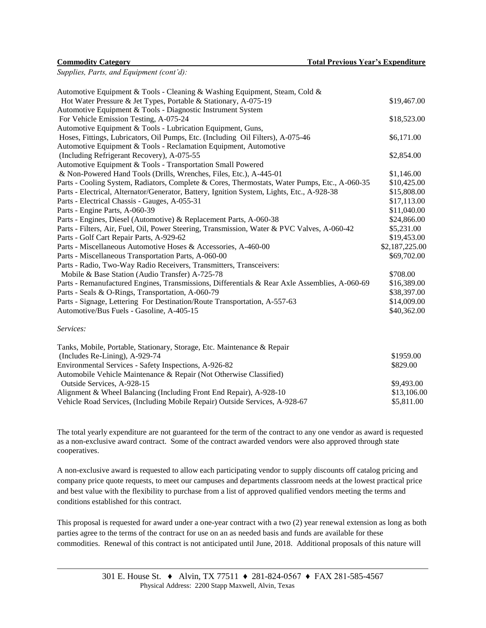*Supplies, Parts, and Equipment (cont'd):*

| Automotive Equipment & Tools - Cleaning & Washing Equipment, Steam, Cold &                    |                |
|-----------------------------------------------------------------------------------------------|----------------|
| Hot Water Pressure & Jet Types, Portable & Stationary, A-075-19                               | \$19,467.00    |
| Automotive Equipment & Tools - Diagnostic Instrument System                                   |                |
| For Vehicle Emission Testing, A-075-24                                                        | \$18,523.00    |
| Automotive Equipment & Tools - Lubrication Equipment, Guns,                                   |                |
| Hoses, Fittings, Lubricators, Oil Pumps, Etc. (Including Oil Filters), A-075-46               | \$6,171.00     |
| Automotive Equipment & Tools - Reclamation Equipment, Automotive                              |                |
| (Including Refrigerant Recovery), A-075-55                                                    | \$2,854.00     |
| Automotive Equipment & Tools - Transportation Small Powered                                   |                |
| & Non-Powered Hand Tools (Drills, Wrenches, Files, Etc.), A-445-01                            | \$1,146.00     |
| Parts - Cooling System, Radiators, Complete & Cores, Thermostats, Water Pumps, Etc., A-060-35 | \$10,425.00    |
| Parts - Electrical, Alternator/Generator, Battery, Ignition System, Lights, Etc., A-928-38    | \$15,808.00    |
| Parts - Electrical Chassis - Gauges, A-055-31                                                 | \$17,113.00    |
| Parts - Engine Parts, A-060-39                                                                | \$11,040.00    |
| Parts - Engines, Diesel (Automotive) & Replacement Parts, A-060-38                            | \$24,866.00    |
| Parts - Filters, Air, Fuel, Oil, Power Steering, Transmission, Water & PVC Valves, A-060-42   | \$5,231.00     |
| Parts - Golf Cart Repair Parts, A-929-62                                                      | \$19,453.00    |
| Parts - Miscellaneous Automotive Hoses & Accessories, A-460-00                                | \$2,187,225.00 |
| Parts - Miscellaneous Transportation Parts, A-060-00                                          | \$69,702.00    |
| Parts - Radio, Two-Way Radio Receivers, Transmitters, Transceivers:                           |                |
| Mobile & Base Station (Audio Transfer) A-725-78                                               | \$708.00       |
| Parts - Remanufactured Engines, Transmissions, Differentials & Rear Axle Assemblies, A-060-69 | \$16,389.00    |
| Parts - Seals & O-Rings, Transportation, A-060-79                                             | \$38,397.00    |
| Parts - Signage, Lettering For Destination/Route Transportation, A-557-63                     | \$14,009.00    |
| Automotive/Bus Fuels - Gasoline, A-405-15                                                     | \$40,362.00    |
| Services:                                                                                     |                |
| Tanks, Mobile, Portable, Stationary, Storage, Etc. Maintenance & Repair                       |                |
| (Includes Re-Lining), A-929-74                                                                | \$1959.00      |
| Environmental Services - Safety Inspections, A-926-82                                         | \$829.00       |
| Automobile Vehicle Maintenance & Repair (Not Otherwise Classified)                            |                |
| Outside Services, A-928-15                                                                    | \$9,493.00     |
| Alignment & Wheel Balancing (Including Front End Repair), A-928-10                            | \$13,106.00    |
| Vehicle Road Services, (Including Mobile Repair) Outside Services, A-928-67                   | \$5,811.00     |

The total yearly expenditure are not guaranteed for the term of the contract to any one vendor as award is requested as a non-exclusive award contract. Some of the contract awarded vendors were also approved through state cooperatives.

A non-exclusive award is requested to allow each participating vendor to supply discounts off catalog pricing and company price quote requests, to meet our campuses and departments classroom needs at the lowest practical price and best value with the flexibility to purchase from a list of approved qualified vendors meeting the terms and conditions established for this contract.

This proposal is requested for award under a one-year contract with a two (2) year renewal extension as long as both parties agree to the terms of the contract for use on an as needed basis and funds are available for these commodities. Renewal of this contract is not anticipated until June, 2018. Additional proposals of this nature will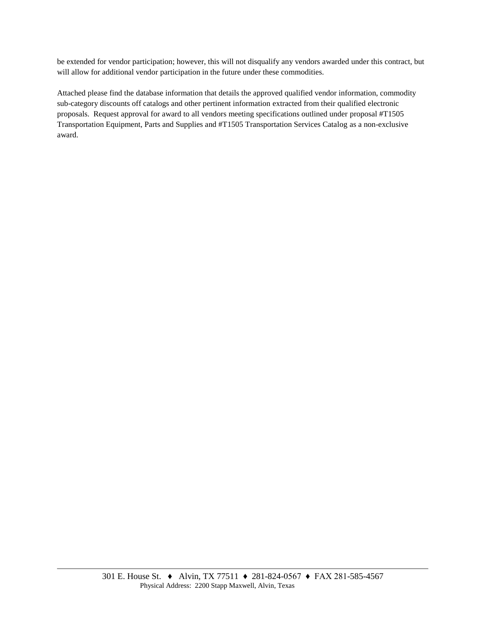be extended for vendor participation; however, this will not disqualify any vendors awarded under this contract, but will allow for additional vendor participation in the future under these commodities.

Attached please find the database information that details the approved qualified vendor information, commodity sub-category discounts off catalogs and other pertinent information extracted from their qualified electronic proposals. Request approval for award to all vendors meeting specifications outlined under proposal #T1505 Transportation Equipment, Parts and Supplies and #T1505 Transportation Services Catalog as a non-exclusive award.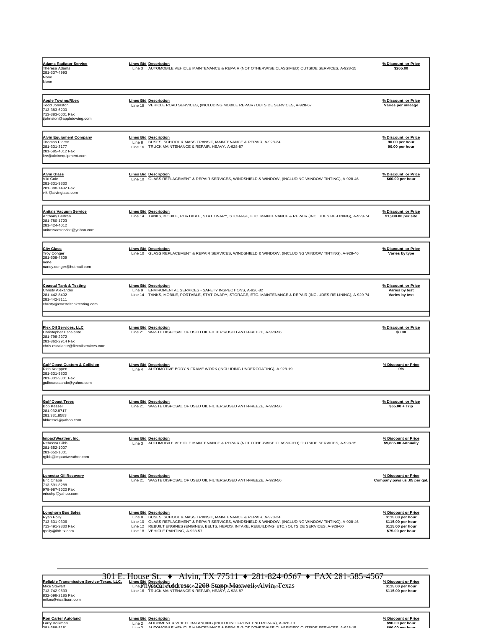| <b>Adams Radiator Service</b><br><b>Theresa Adams</b><br>281-337-4993<br>None<br>None                                      | <b>Lines Bid Description</b><br>Line 3 AUTOMOBILE VEHICLE MAINTENANCE & REPAIR (NOT OTHERWISE CLASSIFIED) OUTSIDE SERVICES, A-928-15                                                                                                                                                                                                                        | % Discount or Price<br>\$265.00                                                                        |
|----------------------------------------------------------------------------------------------------------------------------|-------------------------------------------------------------------------------------------------------------------------------------------------------------------------------------------------------------------------------------------------------------------------------------------------------------------------------------------------------------|--------------------------------------------------------------------------------------------------------|
| <b>Apple Towing/Rbex</b><br><b>Todd Johnston</b><br>713-383-6200<br>713-383-0001 Fax<br>tjohnston@appletowing.com          | <b>Lines Bid Description</b><br>Line 19 VEHICLE ROAD SERVICES, (INCLUDING MOBILE REPAIR) OUTSIDE SERVICES, A-928-67                                                                                                                                                                                                                                         | % Discount or Price<br>Varies per mileage                                                              |
| <b>Alvin Equipment Company</b><br><b>Thomas Pierce</b><br>281-331-3177<br>281-585-4012 Fax<br>lee@alvinequipment.com       | <b>Lines Bid Description</b><br>BUSES, SCHOOL & MASS TRANSIT, MAINTENANCE & REPAIR, A-928-24<br>Line 8<br>Line 16 TRUCK MAINTENANCE & REPAIR, HEAVY, A-928-87                                                                                                                                                                                               | % Discount or Price<br>90.00 per hour<br>90.00 per hour                                                |
| <b>Alvin Glass</b><br>Viki Cole<br>281-331-9330<br>281-388-1492 Fax<br>viki@alvinglass.com                                 | <b>Lines Bid Description</b><br>Line 10 GLASS REPLACEMENT & REPAIR SERVICES, WINDSHIELD & WINDOW, (INCLUDING WINDOW TINTING), A-928-46                                                                                                                                                                                                                      | % Discount or Price<br>\$60.00 per hour                                                                |
| <b>Anita's Vacuum Service</b><br>Anthony Bertran<br>281-780-1723<br>281-424-4012<br>anitasvacservice@yahoo.com             | <b>Lines Bid Description</b><br>Line 14 TANKS, MOBILE, PORTABLE, STATIONARY, STORAGE, ETC. MAINTENANCE & REPAIR (INCLUDES RE-LINING), A-929-74                                                                                                                                                                                                              | % Discount or Price<br>\$1,900.00 per site                                                             |
| <b>City Glass</b><br><b>Troy Conger</b><br>281-508-4809<br>none<br>nancy.conger@hotmail.com                                | <b>Lines Bid Description</b><br>Line 10 GLASS REPLACEMENT & REPAIR SERVICES, WINDSHIELD & WINDOW, (INCLUDING WINDOW TINTING), A-928-46                                                                                                                                                                                                                      | % Discount or Price<br>Varies by type                                                                  |
| <b>Coastal Tank &amp; Testing</b><br>Christy Alexander<br>281-442-8402<br>281-442-8111<br>christy@coastaltanktesting.com   | <b>Lines Bid Description</b><br>Line 9<br>ENVIROMENTAL SERVICES - SAFETY INSPECTIONS, A-926-82<br>TANKS, MOBILE, PORTABLE, STATIONARY, STORAGE, ETC. MAINTENANCE & REPAIR (INCLUDES RE-LINING), A-929-74<br>Line 14                                                                                                                                         | % Discount or Price<br>Varies by test<br>Varies by test                                                |
| Flex Oil Services, LLC<br>Christopher Escalante<br>281-798-2272<br>281-862-2914 Fax<br>chris.escalante@flexoilservices.com | <b>Lines Bid Description</b><br>Line 21 WASTE DISPOSAL OF USED OIL FILTERS/USED ANTI-FREEZE, A-928-56                                                                                                                                                                                                                                                       | % Discount or Price<br>\$0.00                                                                          |
| <b>Gulf Coast Custom &amp; Collision</b><br>Rich Koeppen<br>281-331-9800<br>281-331-9801 Fax<br>gulfcoastcandc@yahoo.com   | <b>Lines Bid Description</b><br>Line 4<br>AUTOMOTIVE BODY & FRAME WORK (INCLUDING UNDERCOATING), A-928-19                                                                                                                                                                                                                                                   | % Discount or Price<br>0%                                                                              |
| <b>Gulf Coast Trees</b><br><b>Bob Kessel</b><br>281.932.8717<br>281.331.8583<br>bbkessel@yahoo.com                         | <b>Lines Bid Description</b><br>Line 21 WASTE DISPOSAL OF USED OIL FILTERS/USED ANTI-FREEZE, A-928-56                                                                                                                                                                                                                                                       | % Discount or Price<br>$$65.00 + Trip$                                                                 |
| ImpactWeather, Inc.<br>Rebecca Gibb<br>281-652-1007<br>281-652-1001<br>rgibb@impactweather.com                             | <b>Lines Bid Description</b><br>Line 3 AUTOMOBILE VEHICLE MAINTENANCE & REPAIR (NOT OTHERWISE CLASSIFIED) OUTSIDE SERVICES, A-928-15                                                                                                                                                                                                                        | % Discount or Price<br>\$9,885.00 Annually                                                             |
| Lonestar Oil Recovery<br>Eric Chapa<br>713-591-8288<br>979-987-9620 Fax<br>ericchp@yahoo.com                               | <b>Lines Bid Description</b><br>Line 21 WASTE DISPOSAL OF USED OIL FILTERS/USED ANTI-FREEZE, A-928-56                                                                                                                                                                                                                                                       | % Discount or Price<br>Company pays us .05 per gal.                                                    |
| Longhorn Bus Sales<br>Ryan Polly<br>713-631-9306<br>713-491-9330 Fax<br>rpolly@lhb-tx.com                                  | <b>Lines Bid Description</b><br>Line 8 BUSES, SCHOOL & MASS TRANSIT, MAINTENANCE & REPAIR, A-928-24<br>Line 10 GLASS REPLACEMENT & REPAIR SERVICES, WINDSHIELD & WINDOW, (INCLUDING WINDOW TINTING), A-928-46<br>Line 12 REBUILT ENGINES (ENGINES, BELTS, HEADS, INTAKE, REBUILDING, ETC.) OUTSIDE SERVICES, A-928-60<br>Line 18 VEHICLE PAINTING, A-928-57 | % Discount or Price<br>\$115.00 per hour<br>\$115.00 per hour<br>\$115.00 per hour<br>\$75.00 per hour |

301 E. House St. ♦ Alvin, TX 77511 ♦ 281-824-0567 ♦ FAX 281-585-4567 Reliable Transmission Service-Texas. LLC. Lines Bid Description<br>Mike Steval time DISISEGISAND TO EXALGE AND THE DISPORTER A LATE OF DISCOUNCE AND STATE OF THE SODE PERITOD P<br>T13-742-9633 – Line 16 TRUCK MAINTENANCE & REPA 832-598-2185 Fax mikes@rtsallison.com

Ron Carter Autoland "Spiscount or Price" (Internation Price ) من المستحدة المستحدة المستحدة المستحدة المستحدة<br>المستحدة المستحدة المستحدة المستحدة المستحدة المستحدة المستحدة المستحدة المستحدة المستحدة المستحدة المستحدة ال<br>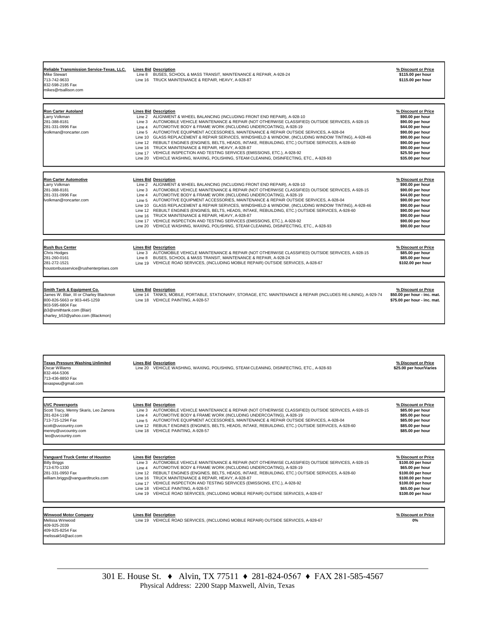| Reliable Transmission Service-Texas, LLC.<br>Mike Stewart<br>713-742-9633<br>832-598-2185 Fax<br>mikes@rtsallison.com                                                                                 | <b>Lines Bid Description</b><br>Line 8<br>BUSES, SCHOOL & MASS TRANSIT, MAINTENANCE & REPAIR, A-928-24<br>TRUCK MAINTENANCE & REPAIR, HEAVY, A-928-87<br>Line 16                                                                                                                                                                                                                                                                                                                                                                                                                                                                                                                                                                                                                                                                                                       | % Discount or Price<br>\$115.00 per hour<br>\$115.00 per hour                                                                                                                                           |
|-------------------------------------------------------------------------------------------------------------------------------------------------------------------------------------------------------|------------------------------------------------------------------------------------------------------------------------------------------------------------------------------------------------------------------------------------------------------------------------------------------------------------------------------------------------------------------------------------------------------------------------------------------------------------------------------------------------------------------------------------------------------------------------------------------------------------------------------------------------------------------------------------------------------------------------------------------------------------------------------------------------------------------------------------------------------------------------|---------------------------------------------------------------------------------------------------------------------------------------------------------------------------------------------------------|
| <b>Ron Carter Autoland</b><br>Larry Volkman<br>281-388-8181<br>281-331-0996 Fax<br>volkman@roncarter.com                                                                                              | <b>Lines Bid Description</b><br>ALIGNMENT & WHEEL BALANCING (INCLUDING FRONT END REPAIR), A-928-10<br>Line 2<br>AUTOMOBILE VEHICLE MAINTENANCE & REPAIR (NOT OTHERWISE CLASSIFIED) OUTSIDE SERVICES, A-928-15<br>Line 3<br>AUTOMOTIVE BODY & FRAME WORK (INCLUDING UNDERCOATING), A-928-19<br>Line 4<br>AUTOMOTIVE EQUIPMENT ACCESSORIES, MAINTENANCE & REPAIR OUTSIDE SERVICES, A-928-04<br>Line 5<br>GLASS REPLACEMENT & REPAIR SERVICES, WINDSHIELD & WINDOW, (INCLUDING WINDOW TINTING), A-928-46<br>Line 10<br>Line 12 REBUILT ENGINES (ENGINES, BELTS, HEADS, INTAKE, REBUILDING, ETC.) OUTSIDE SERVICES, A-928-60<br>Line 16 TRUCK MAINTENANCE & REPAIR, HEAVY, A-928-87<br>Line 17 VEHICLE INSPECTION AND TESTING SERVICES (EMISSIONS, ETC.), A-928-92<br>VEHICLE WASHING, WAXING, POLISHING, STEAM CLEANING, DISINFECTING, ETC., A-928-93<br>Line 20          | % Discount or Price<br>\$90.00 per hour<br>\$90.00 per hour<br>\$44.00 per hour<br>\$90.00 per hour<br>\$90.00 per hour<br>\$90.00 per hour<br>\$90.00 per hour<br>\$25.50 per hour<br>\$35.00 per hour |
| <u>Ron Carter Automotive</u><br>Larry Volkman<br>281-388-8181<br>281-331-0996 Fax<br>volkman@roncarter.com                                                                                            | <b>Lines Bid Description</b><br>Line 2<br>ALIGNMENT & WHEEL BALANCING (INCLUDING FRONT END REPAIR), A-928-10<br>AUTOMOBILE VEHICLE MAINTENANCE & REPAIR (NOT OTHERWISE CLASSIFIED) OUTSIDE SERVICES, A-928-15<br>Line 3<br>AUTOMOTIVE BODY & FRAME WORK (INCLUDING UNDERCOATING), A-928-19<br>Line 4<br>AUTOMOTIVE EQUIPMENT ACCESSORIES, MAINTENANCE & REPAIR OUTSIDE SERVICES, A-928-04<br>Line 5<br>GLASS REPLACEMENT & REPAIR SERVICES, WINDSHIELD & WINDOW, (INCLUDING WINDOW TINTING), A-928-46<br>Line 10<br>REBUILT ENGINES (ENGINES, BELTS, HEADS, INTAKE, REBUILDING, ETC.) OUTSIDE SERVICES, A-928-60<br>Line 12<br>TRUCK MAINTENANCE & REPAIR, HEAVY, A-928-87<br>Line 16<br>VEHICLE INSPECTION AND TESTING SERVICES (EMISSIONS, ETC.), A-928-92<br>Line 17<br>Line 20<br>VEHICLE WASHING, WAXING, POLISHING, STEAM CLEANING, DISINFECTING, ETC., A-928-93 | % Discount or Price<br>\$90.00 per hour<br>\$90.00 per hour<br>\$44.00 per hour<br>\$90.00 per hour<br>\$90.00 per hour<br>\$90.00 per hour<br>\$90.00 per hour<br>\$90.00 per hour<br>\$90.00 per hour |
| <b>Rush Bus Center</b><br><b>Chris Hodges</b><br>281-260-0161<br>281-272-1521<br>houstonbusservice@rushenterprises.com                                                                                | <b>Lines Bid Description</b><br>AUTOMOBILE VEHICLE MAINTENANCE & REPAIR (NOT OTHERWISE CLASSIFIED) OUTSIDE SERVICES, A-928-15<br>Line 3<br>BUSES, SCHOOL & MASS TRANSIT, MAINTENANCE & REPAIR, A-928-24<br>Line 8<br>Line 19<br>VEHICLE ROAD SERVICES, (INCLUDING MOBILE REPAIR) OUTSIDE SERVICES, A-928-67                                                                                                                                                                                                                                                                                                                                                                                                                                                                                                                                                            | % Discount or Price<br>\$85.00 per hour<br>\$85.00 per hour<br>\$102.00 per hour                                                                                                                        |
| <b>Smith Tank &amp; Equipment Co.</b><br>James W. Blair, III or Charley Blackmon<br>800-826-5663 or 903-445-1259<br>903-595-6804 Fax<br>ib3@smithtank.com (Blair)<br>charley_b53@yahoo.com (Blackmon) | <b>Lines Bid Description</b><br>Line 14 TANKS, MOBILE, PORTABLE, STATIONARY, STORAGE, ETC. MAINTENANCE & REPAIR (INCLUDES RE-LINING), A-929-74<br>Line 18 VEHICLE PAINTING, A-928-57                                                                                                                                                                                                                                                                                                                                                                                                                                                                                                                                                                                                                                                                                   | % Discount or Price<br>\$50.00 per hour - inc. mat.<br>\$75.00 per hour - inc. mat.                                                                                                                     |
|                                                                                                                                                                                                       |                                                                                                                                                                                                                                                                                                                                                                                                                                                                                                                                                                                                                                                                                                                                                                                                                                                                        |                                                                                                                                                                                                         |
| <b>Texas Pressure Washing Unlimited</b><br>Oscar Williams<br>832-464-5306<br>713-436-8850 Fax<br>texaspwu@gmail.com                                                                                   | <b>Lines Bid Description</b><br>Line 20 VEHICLE WASHING, WAXING, POLISHING, STEAM CLEANING, DISINFECTING, ETC., A-928-93                                                                                                                                                                                                                                                                                                                                                                                                                                                                                                                                                                                                                                                                                                                                               | % Discount or Price<br>\$25.00 per hour/Varies                                                                                                                                                          |
| <b>UVC Powersports</b><br>Scott Tracy, Menny Skaris, Leo Zamora<br>281-824-1198<br>713-715-1294 Fax<br>scott@uvcountry.com<br>menny@uvcountry.com<br>leo@uvcountry.com                                | <b>Lines Bid Description</b><br>AUTOMOBILE VEHICLE MAINTENANCE & REPAIR (NOT OTHERWISE CLASSIFIED) OUTSIDE SERVICES, A-928-15<br>Line 3<br>Line 4 AUTOMOTIVE BODY & FRAME WORK (INCLUDING UNDERCOATING), A-928-19<br>AUTOMOTIVE EQUIPMENT ACCESSORIES, MAINTENANCE & REPAIR OUTSIDE SERVICES, A-928-04<br>Line 5<br>Line 12 REBUILT ENGINES (ENGINES, BELTS, HEADS, INTAKE, REBUILDING, ETC.) OUTSIDE SERVICES, A-928-60<br>Line 18 VEHICLE PAINTING, A-928-57                                                                                                                                                                                                                                                                                                                                                                                                         | % Discount or Price<br>\$85.00 per hour<br>\$85.00 per hour<br>\$85.00 per hour<br>\$85.00 per hour<br>\$85.00 per hour                                                                                 |
| <b>Vanguard Truck Center of Houston</b><br><b>Billy Briggs</b><br>713-670-1330<br>281-331-0950 Fax<br>william.briggs@vanguardtrucks.com                                                               | <b>Lines Bid Description</b><br>AUTOMOBILE VEHICLE MAINTENANCE & REPAIR (NOT OTHERWISE CLASSIFIED) OUTSIDE SERVICES, A-928-15<br>Line 3<br>AUTOMOTIVE BODY & FRAME WORK (INCLUDING UNDERCOATING), A-928-19<br>Line 4<br>Line 12 REBUILT ENGINES (ENGINES, BELTS, HEADS, INTAKE, REBUILDING, ETC.) OUTSIDE SERVICES, A-928-60<br>Line 16 TRUCK MAINTENANCE & REPAIR, HEAVY, A-928-87<br>Line 17 VEHICLE INSPECTION AND TESTING SERVICES (EMISSIONS, ETC.), A-928-92<br>Line 18 VEHICLE PAINTING, A-928-57<br>Line 19 VEHICLE ROAD SERVICES, (INCLUDING MOBILE REPAIR) OUTSIDE SERVICES, A-928-67                                                                                                                                                                                                                                                                        | % Discount or Price<br>\$100.00 per hour<br>\$65.00 per hour<br>\$100.00 per hour<br>\$100.00 per hour<br>\$100.00 per hour<br>\$65.00 per hour<br>\$100.00 per hour                                    |
| <b>Winwood Motor Company</b><br>Melissa Winwood<br>409-925-2039<br>409-925-8254 Fax<br>melissak54@aol.com                                                                                             | <b>Lines Bid Description</b><br>Line 19 VEHICLE ROAD SERVICES, (INCLUDING MOBILE REPAIR) OUTSIDE SERVICES, A-928-67                                                                                                                                                                                                                                                                                                                                                                                                                                                                                                                                                                                                                                                                                                                                                    | % Discount or Price<br>0%                                                                                                                                                                               |

Г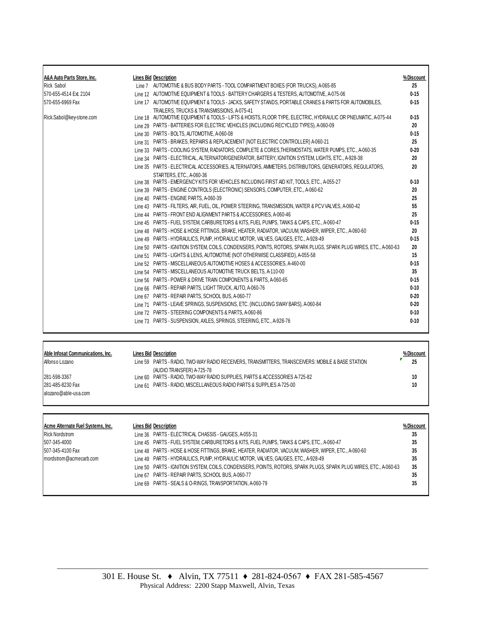| A&A Auto Parts Store, Inc. | <b>Lines Bid Description</b>                                                                                                                        | %Discount |
|----------------------------|-----------------------------------------------------------------------------------------------------------------------------------------------------|-----------|
| <b>Rick Sabol</b>          | Line 7 AUTOMOTIVE & BUS BODY PARTS - TOOL COMPARTMENT BOXES (FOR TRUCKS), A-065-85                                                                  | 25        |
| 570-655-4514 Ext. 2104     | Line 12 AUTOMOTIVE EQUIPMENT & TOOLS - BATTERY CHARGERS & TESTERS, AUTOMOTIVE, A-075-06                                                             | $0 - 15$  |
| 570-655-6969 Fax           | Line 17 AUTOMOTIVE EQUIPMENT & TOOLS - JACKS, SAFETY STANDS, PORTABLE CRANES & PARTS FOR AUTOMOBILES,<br>TRAILERS, TRUCKS & TRANSMISSIONS, A-075-41 | $0 - 15$  |
| Rick.Sabol@key-stone.com   | Line 18 AUTOMOTIVE EQUIPMENT & TOOLS - LIFTS & HOISTS, FLOOR TYPE, ELECTRIC, HYDRAULIC OR PNEUMATIC, A-075-44                                       | $0 - 15$  |
|                            | Line 29 PARTS - BATTERIES FOR ELECTRIC VEHICLES (INCLUDING RECYCLED TYPES), A-060-09                                                                | 20        |
|                            | Line 30 PARTS - BOLTS, AUTOMOTIVE, A-060-08                                                                                                         | $0 - 15$  |
|                            | Line 31 PARTS - BRAKES, REPAIRS & REPLACEMENT (NOT ELECTRIC CONTROLLER) A-060-21                                                                    | 25        |
|                            | Line 33 PARTS - COOLING SYSTEM. RADIATORS. COMPLETE & CORES.THERMOSTATS. WATER PUMPS. ETC., A-060-35                                                | $0 - 20$  |
|                            | Line 34 PARTS - ELECTRICAL, ALTERNATOR/GENERATOR, BATTERY, IGNITION SYSTEM, LIGHTS, ETC., A-928-38                                                  | 20        |
|                            | Line 35 PARTS - ELECTRICAL ACCESSORIES, ALTERNATORS, AMMETERS, DISTRIBUTORS, GENERATORS, REGULATORS,<br>STARTERS, ETC., A-060-36                    | 20        |
|                            | Line 38 PARTS - EMERGENCY KITS FOR VEHICLES INCLUDING FIRST AID KIT, TOOLS, ETC., A-055-27                                                          | $0 - 10$  |
|                            | Line 39 PARTS - ENGINE CONTROLS (ELECTRONIC) SENSORS, COMPUTER, ETC., A-060-62                                                                      | 20        |
|                            | Line 40 PARTS - ENGINE PARTS, A-060-39                                                                                                              | 25        |
|                            | Line 43 PARTS - FILTERS, AIR, FUEL, OIL, POWER STEERING, TRANSMISSION, WATER & PCV VALVES, A-060-42                                                 | 55        |
|                            | Line 44 PARTS - FRONT END ALIGNMENT PARTS & ACCESSORIES, A-060-46                                                                                   | 25        |
|                            | Line 45 PARTS - FUEL SYSTEM, CARBURETORS & KITS, FUEL PUMPS, TANKS & CAPS, ETC., A-060-47                                                           | $0 - 15$  |
|                            | Line 48 PARTS - HOSE & HOSE FITTINGS, BRAKE, HEATER, RADIATOR, VACUUM, WASHER, WIPER, ETC., A-060-60                                                | 20        |
|                            | Line 49 PARTS - HYDRAULICS, PUMP, HYDRAULIC MOTOR, VALVES, GAUGES, ETC., A-928-49                                                                   | $0 - 15$  |
|                            | Line 50 PARTS - IGNITION SYSTEM, COILS, CONDENSERS, POINTS, ROTORS, SPARK PLUGS, SPARK PLUG WIRES, ETC., A-060-63                                   | 20        |
|                            | Line 51 PARTS - LIGHTS & LENS, AUTOMOTIVE (NOT OTHERWISE CLASSIFIED), A-055-58                                                                      | 15        |
|                            | Line 52 PARTS - MISCELLANEOUS AUTOMOTIVE HOSES & ACCESSORIES, A-460-00                                                                              | $0 - 15$  |
|                            | Line 54 PARTS - MISCELLANEOUS AUTOMOTIVE TRUCK BELTS, A-110-00                                                                                      | 35        |
|                            | Line 56 PARTS - POWER & DRIVE TRAIN COMPONENTS & PARTS, A-060-65                                                                                    | $0 - 15$  |
|                            | Line 66 PARTS - REPAIR PARTS, LIGHT TRUCK, AUTO, A-060-76                                                                                           | $0 - 10$  |
|                            | Line 67 PARTS - REPAIR PARTS, SCHOOL BUS, A-060-77                                                                                                  | $0 - 20$  |
|                            | Line 71 PARTS - LEAVE SPRINGS, SUSPENSIONS, ETC. (INCLUDING SWAY BARS), A-060-84                                                                    | $0 - 20$  |
|                            | Line 72 PARTS - STEERING COMPONENTS & PARTS, A-060-86                                                                                               | $0 - 10$  |
|                            | Line 73 PARTS - SUSPENSION, AXLES, SPRINGS, STEERING, ETC., A-928-76                                                                                | $0 - 10$  |

| Able Infosat Communications. Inc. | Lines Bid Description                                                                             | % Discount |
|-----------------------------------|---------------------------------------------------------------------------------------------------|------------|
| Alfonso Lozano                    | Line 59 PARTS - RADIO, TWO-WAY RADIO RECEIVERS, TRANSMITTERS, TRANSCEIVERS: MOBILE & BASE STATION | 25         |
|                                   | (AUDIO TRANSFER) A-725-78                                                                         |            |
| 281-598-3367                      | Line 60 PARTS - RADIO, TWO-WAY RADIO SUPPLIES, PARTS & ACCESSORIES A-725-82                       | 10         |
| 281-485-8230 Fax                  | Line 61 PARTS - RADIO, MISCELLANEOUS RADIO PARTS & SUPPLIES A-725-00                              | 10         |
| alozano@able-usa.com              |                                                                                                   |            |

| Acme Alternate Fuel Systems, Inc. | <b>Lines Bid Description</b>                                                                                      | % Discount |
|-----------------------------------|-------------------------------------------------------------------------------------------------------------------|------------|
| <b>Rick Nordstrom</b>             | Line 36 PARTS - ELECTRICAL CHASSIS - GAUGES, A-055-31                                                             | 35         |
| 507-345-4000                      | Line 45 PARTS - FUEL SYSTEM, CARBURETORS & KITS, FUEL PUMPS, TANKS & CAPS, ETC., A-060-47                         | 35         |
| 507-345-4100 Fax                  | Line 48 PARTS - HOSE & HOSE FITTINGS, BRAKE, HEATER, RADIATOR, VACUUM, WASHER, WIPER, ETC., A-060-60              | 35         |
| Imordstrom@acmecarb.com           | Line 49 PARTS - HYDRAULICS, PUMP, HYDRAULIC MOTOR, VALVES, GAUGES, ETC., A-928-49                                 | 35         |
|                                   | Line 50 PARTS - IGNITION SYSTEM, COILS, CONDENSERS, POINTS, ROTORS, SPARK PLUGS, SPARK PLUG WIRES, ETC., A-060-63 | 35         |
|                                   | Line 67 PARTS - REPAIR PARTS, SCHOOL BUS, A-060-77                                                                | 35         |
|                                   | Line 69 PARTS - SEALS & O-RINGS, TRANSPORTATION, A-060-79                                                         | 35         |

Ē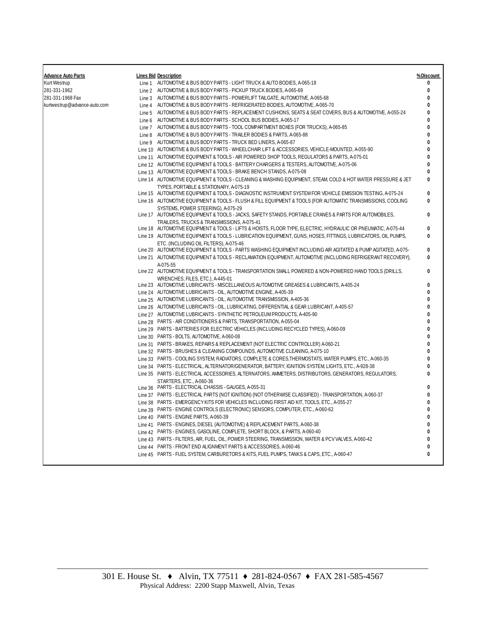| <b>Advance Auto Parts</b>    | <b>Lines Bid Description</b>                                                                                                                                                                                                  | %Discount |
|------------------------------|-------------------------------------------------------------------------------------------------------------------------------------------------------------------------------------------------------------------------------|-----------|
| Kurt Westrup                 | Line 1 AUTOMOTIVE & BUS BODY PARTS - LIGHT TRUCK & AUTO BODIES, A-065-18                                                                                                                                                      | 0         |
| 281-331-1962                 | Line 2 AUTOMOTIVE & BUS BODY PARTS - PICKUP TRUCK BODIES, A-065-69                                                                                                                                                            | 0         |
| 281-331-1968 Fax             | Line 3 AUTOMOTIVE & BUS BODY PARTS - POWERLIFT TAILGATE, AUTOMOTIVE, A-065-68                                                                                                                                                 | 0         |
| kurtwestrup@advance-auto.com | Line 4 AUTOMOTIVE & BUS BODY PARTS - REFRIGERATED BODIES, AUTOMOTIVE, A-065-70                                                                                                                                                | 0         |
|                              | Line 5 AUTOMOTIVE & BUS BODY PARTS - REPLACEMENT CUSHIONS, SEATS & SEAT COVERS, BUS & AUTOMOTIVE, A-055-24                                                                                                                    |           |
|                              | Line 6 AUTOMOTIVE & BUS BODY PARTS - SCHOOL BUS BODIES, A 065-17                                                                                                                                                              |           |
|                              | Line 7 AUTOMOTIVE & BUS BODY PARTS - TOOL COMPARTMENT BOXES (FOR TRUCKS), A-065-85                                                                                                                                            |           |
|                              | Line 8 AUTOMOTIVE & BUS BODY PARTS - TRAILER BODIES & PARTS, A-065-88                                                                                                                                                         |           |
|                              | Line 9 AUTOMOTIVE & BUS BODY PARTS - TRUCK BED LINERS, A-065-87                                                                                                                                                               |           |
|                              | Line 10 AUTOMOTIVE & BUS BODY PARTS - WHEELCHAIR LIFT & ACCESSORIES, VEHICLE-MOUNTED, A-055-90                                                                                                                                |           |
|                              | Line 11 AUTOMOTIVE EQUIPMENT & TOOLS - AIR POWERED SHOP TOOLS, REGULATORS & PARTS, A-075-01                                                                                                                                   | n         |
|                              | Line 12 AUTOMOTIVE EQUIPMENT & TOOLS - BATTERY CHARGERS & TESTERS, AUTOMOTIVE, A-075-06                                                                                                                                       | 0         |
|                              | Line 13 AUTOMOTIVE EQUIPMENT & TOOLS - BRAKE BENCH STANDS, A-075-08                                                                                                                                                           | n         |
|                              | Line 14 AUTOMOTIVE EQUIPMENT & TOOLS - CLEANING & WASHING EQUIPMENT, STEAM, COLD & HOT WATER PRESSURE & JET<br>TYPES. PORTABLE & STATIONARY, A-075-19                                                                         | n         |
|                              | Line 15 AUTOMOTIVE EQUIPMENT & TOOLS - DIAGNOSTIC INSTRUMENT SYSTEM FOR VEHICLE EMISSION TESTING, A-075-24                                                                                                                    | 0         |
|                              | Line 16 AUTOMOTIVE EQUIPMENT & TOOLS - FLUSH & FILL EQUIPMENT & TOOLS (FOR AUTOMATIC TRANSMISSIONS, COOLING                                                                                                                   | 0         |
|                              | SYSTEMS, POWER STEERING), A-075-29                                                                                                                                                                                            |           |
|                              | Line 17 AUTOMOTIVE EQUIPMENT & TOOLS - JACKS, SAFETY STANDS, PORTABLE CRANES & PARTS FOR AUTOMOBILES,                                                                                                                         | 0         |
|                              | TRAILERS, TRUCKS & TRANSMISSIONS, A-075-41                                                                                                                                                                                    |           |
|                              | Line 18 AUTOMOTIVE EQUIPMENT & TOOLS - LIFTS & HOISTS, FLOOR TYPE, ELECTRIC, HYDRAULIC OR PNEUMATIC, A-075-44<br>Line 19 AUTOMOTIVE EQUIPMENT & TOOLS - LUBRICATION EQUIPMENT, GUNS, HOSES, FITTINGS, LUBRICATORS, OIL PUMPS, | 0<br>0    |
|                              | ETC. (INCLUDING OIL FILTERS), A-075-46                                                                                                                                                                                        |           |
|                              | Line 20 AUTOMOTIVE EQUIPMENT & TOOLS - PARTS WASHING EQUIPMENT INCLUDING AIR AGITATED & PUMP AGITATED, A-075-                                                                                                                 | 0         |
|                              | Line 21 AUTOMOTIVE EQUIPMENT & TOOLS - RECLAMATION EQUIPMENT, AUTOMOTIVE (INCLUDING REFRIGERANT RECOVERY),<br>A-075-55                                                                                                        | 0         |
|                              | Line 22 AUTOMOTIVE EQUIPMENT & TOOLS - TRANSPORTATION SMALL POWERED & NON-POWERED HAND TOOLS (DRILLS,<br>WRENCHES, FILES, ETC.), A-445-01                                                                                     | 0         |
|                              | Line 23 AUTOMOTIVE LUBRICANTS - MISCELLANEOUS AUTOMOTIVE GREASES & LUBRICANTS, A-405-24                                                                                                                                       | 0         |
|                              | Line 24 AUTOMOTIVE LUBRICANTS - OIL, AUTOMOTIVE ENGINE, A-405-39                                                                                                                                                              | 0         |
|                              | Line 25 AUTOMOTIVE LUBRICANTS - OIL, AUTOMOTIVE TRANSMISSION, A-405-36                                                                                                                                                        | n         |
|                              | Line 26 AUTOMOTIVE LUBRICANTS - OIL, LUBRICATING, DIFFERENTIAL & GEAR LUBRICANT, A-405-57                                                                                                                                     | Λ         |
|                              | Line 27 AUTOMOTIVE LUBRICANTS - SYNTHETIC PETROLEUM PRODUCTS, A-405-90                                                                                                                                                        |           |
|                              | Line 28 PARTS - AIR CONDITIONERS & PARTS, TRANSPORTATION, A055-04                                                                                                                                                             |           |
|                              | Line 29 PARTS - BATTERIES FOR ELECTRIC VEHICLES (INCLUDING RECYCLED TYPES), A-060-09                                                                                                                                          |           |
|                              | Line 30 PARTS - BOLTS, AUTOMOTIVE, A-060-08                                                                                                                                                                                   |           |
|                              | Line 31 PARTS - BRAKES, REPAIRS & REPLACEMENT (NOT ELECTRIC CONTROLLER) A-060-21                                                                                                                                              | 0         |
|                              | Line 32 PARTS - BRUSHES & CLEANING COMPOUNDS, AUTOMOTIVE CLEANING, A075-10                                                                                                                                                    |           |
|                              | Line 33 PARTS - COOLING SYSTEM, RADIATORS, COMPLETE & CORES, THERMOSTATS, WATER PUMPS, ETC., A-060-35                                                                                                                         |           |
|                              | Line 34 PARTS - ELECTRICAL, ALTERNATOR/GENERATOR, BATTERY, IGNITION SYSTEM, LIGHTS, ETC., A-928-38                                                                                                                            | Λ         |
|                              | Line 35 PARTS - ELECTRICAL ACCESSORIES, ALTERNATORS, AMMETERS, DISTRIBUTORS, GENERATORS, REGULATORS,                                                                                                                          | 0         |
|                              | STARTERS, ETC., A-060-36<br>Line 36 PARTS - ELECTRICAL CHASSIS - GAUGES, A-055-31                                                                                                                                             | 0         |
|                              | Line 37 PARTS - ELECTRICAL PARTS (NOT IGNITION) (NOT OTHERWISE CLASSIFIED) - TRANSPORTATION, A-060-37                                                                                                                         | 0         |
|                              | Line 38 PARTS - EMERGENCY KITS FOR VEHICLES INCLUDING FIRST AID KIT, TOOLS, ETC., A-055-27                                                                                                                                    | 0         |
|                              | Line 39 PARTS - ENGINE CONTROLS (ELECTRONIC) SENSORS, COMPUTER, ETC., A-060-62                                                                                                                                                | Λ         |
|                              | Line 40 PARTS - ENGINE PARTS, A-060-39                                                                                                                                                                                        |           |
|                              | Line 41 PARTS - ENGINES, DIESEL (AUTOMOTIVE) & REPLACEMENT PARTS, A-060-38                                                                                                                                                    | 0         |
|                              | Line 42 PARTS - ENGINES, GASOLINE, COMPLETE, SHORT BLOCK, & PARTS, A-060-40                                                                                                                                                   |           |
|                              | Line 43 PARTS - FILTERS, AIR, FUEL, OIL, POWER STEERING, TRANSMISSION, WATER & PCV VALVES, A-060-42                                                                                                                           | 0         |
|                              | Line 44 PARTS - FRONT END ALIGNMENT PARTS & ACCESSORIES, A-060-46                                                                                                                                                             | Λ         |
|                              | Line 45 PARTS - FUEL SYSTEM, CARBURETORS & KITS, FUEL PUMPS, TANKS & CAPS, ETC., A-060-47                                                                                                                                     | 0         |
|                              |                                                                                                                                                                                                                               |           |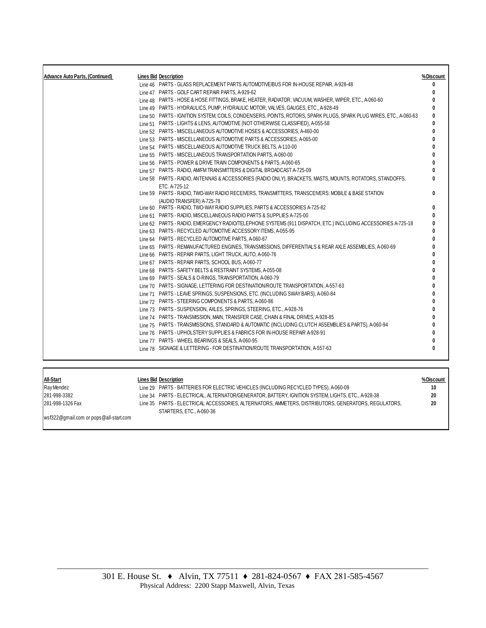| <b>Advance Auto Parts, (Continued)</b> | <b>Lines Bid Description</b>                                                                                                                                                      | %Discount |
|----------------------------------------|-----------------------------------------------------------------------------------------------------------------------------------------------------------------------------------|-----------|
|                                        | Line 46 PARTS - GLASS REPLACEMENT PARTS AUTOMOTIVE/BUS FOR IN-HOUSE REPAIR, A-928-48                                                                                              | 0         |
|                                        | Line 47 PARTS - GOLF CART REPAIR PARTS, A-929-62                                                                                                                                  | 0         |
|                                        | Line 48 PARTS - HOSE & HOSE FITTINGS, BRAKE, HEATER, RADIATOR, VACUUM, WASHER, WIPER, ETC., A-060-60                                                                              | ŋ         |
|                                        | Line 49 PARTS - HYDRAULICS, PUMP, HYDRAULIC MOTOR, VALVES, GAUGES, ETC., A-928-49                                                                                                 |           |
|                                        | Line 50 PARTS - IGNITION SYSTEM, COILS, CONDENSERS, POINTS, ROTORS, SPARK PLUGS, SPARK PLUG WIRES, ETC., A-060-63                                                                 | ŋ         |
|                                        | Line 51 PARTS - LIGHTS & LENS, AUTOMOTIVE (NOT OTHERWISE CLASSIFIED), A-055-58                                                                                                    | ŋ         |
|                                        | Line 52 PARTS - MISCELLANEOUS AUTOMOTIVE HOSES & ACCESSORIES, A-460-00                                                                                                            | ŋ         |
|                                        | Line 53 PARTS - MISCELLANEOUS AUTOMOTIVE PARTS & ACCESSORIES, A-065-00                                                                                                            | ŋ         |
|                                        | Line 54 PARTS - MISCELLANEOUS AUTOMOTIVE TRUCK BELTS, A-110-00                                                                                                                    |           |
|                                        | Line 55 PARTS - MISCELLANEOUS TRANSPORTATION PARTS, A-060-00                                                                                                                      |           |
|                                        | Line 56 PARTS - POWER & DRIVE TRAIN COMPONENTS & PARTS, A-060-65                                                                                                                  |           |
|                                        | Line 57 PARTS - RADIO, AM/FM TRANSMITTERS & DIGITAL BROADCAST A-725-09                                                                                                            |           |
|                                        | Line 58 PARTS - RADIO, ANTENNAS & ACCESSORIES (RADIO ONLY), BRACKETS, MASTS, MOUNTS, ROTATORS, STANDOFFS,                                                                         |           |
|                                        | ETC. A-725-12                                                                                                                                                                     |           |
|                                        | Line 59 PARTS - RADIO, TWO-WAY RADIO RECEIVERS, TRANSMITTERS, TRANSCEIVERS: MOBILE & BASE STATION                                                                                 | n         |
|                                        | (AUDIO TRANSFER) A-725-78                                                                                                                                                         |           |
|                                        | Line 60 PARTS - RADIO, TWO-WAY RADIO SUPPLIES, PARTS & ACCESSORIES A-725-82                                                                                                       | 0         |
|                                        | Line 61 PARTS - RADIO, MISCELLANEOUS RADIO PARTS & SUPPLIES A-725-00                                                                                                              | 0         |
|                                        | Line 62 PARTS - RADIO, EMERGENCY RADIO/TELEPHONE SYSTEMS (911 DISPATCH, ETC.) INCLUDING ACCESSORIES A-725-18                                                                      |           |
|                                        | Line 63 PARTS - RECYCLED AUTOMOTIVE ACCESSORY ITEMS, A-055-95                                                                                                                     |           |
|                                        | Line 64 PARTS - RECYCLED AUTOMOTIVE PARTS, A-060-67                                                                                                                               |           |
|                                        | Line 65 PARTS - REMANUFACTURED ENGINES, TRANSMISSIONS, DIFFERENTIALS & REAR AXLE ASSEMBLIES, A-060-69                                                                             |           |
|                                        | Line 66 PARTS - REPAIR PARTS, LIGHT TRUCK, AUTO, A-060-76                                                                                                                         |           |
|                                        | Line 67 PARTS - REPAIR PARTS, SCHOOL BUS, A-060-77                                                                                                                                |           |
|                                        | Line 68 PARTS - SAFETY BELTS & RESTRAINT SYSTEMS, A-055-08                                                                                                                        |           |
|                                        | Line 69 PARTS - SEALS & O-RINGS, TRANSPORTATION, A-060-79                                                                                                                         |           |
|                                        | Line 70 PARTS - SIGNAGE, LETTERING FOR DESTINATION/ROUTE TRANSPORTATION, A-557-63                                                                                                 |           |
|                                        | Line 71 PARTS - LEAVE SPRINGS, SUSPENSIONS, ETC. (INCLUDING SWAY BARS), A-060-84                                                                                                  | ŋ         |
|                                        | Line 72 PARTS - STEERING COMPONENTS & PARTS, A-060-86                                                                                                                             |           |
|                                        | Line 73 PARTS - SUSPENSION, AXLES, SPRINGS, STEERING, ETC., A-928-76                                                                                                              |           |
|                                        | Line 74 PARTS - TRANSMISSION, MAIN, TRANSFER CASE, CHAIN & FINAL DRIVES, A-928-85                                                                                                 |           |
|                                        | Line 75 PARTS - TRANSMISSIONS, STANDARD & AUTOMATIC (INCLUDING CLUTCH ASSEMBLIES & PARTS), A-060-94<br>Line 76 PARTS - UPHOLSTERY SUPPLIES & FABRICS FOR IN-HOUSE REPAIR A-928-91 |           |
|                                        | Line 77 PARTS - WHEEL BEARINGS & SEALS, A-060-95                                                                                                                                  | 0         |
|                                        | Line 78 SIGNAGE & LETTERING - FOR DESTINATION/ROUTE TRANSPORTATION, A-557-63                                                                                                      | O         |
|                                        |                                                                                                                                                                                   |           |

**All-Start Lines Bid Description % Discount**  Ray Mendez **Line 29 PARTS - BATTERIES FOR ELECTRIC VEHICLES** (INCLUDING RECYCLED TYPES), A-060-09 **10** 281-998-3382 Line 34 PARTS - ELECTRICAL, ALTERNATOR/GENERATOR, BATTERY, IGNITION SYSTEM, LIGHTS, ETC., A-928-38 **2 0** 281-998-1326 Fax Line 35 PARTS - ELECTRICAL ACCESSORIES, ALTERNATORS, AMMETERS, DISTRIBUTORS, GENERATORS, REGULATORS, STARTERS, ETC., A-060-36 **2 0**

wsf322@gmail.com or pops@all-start.com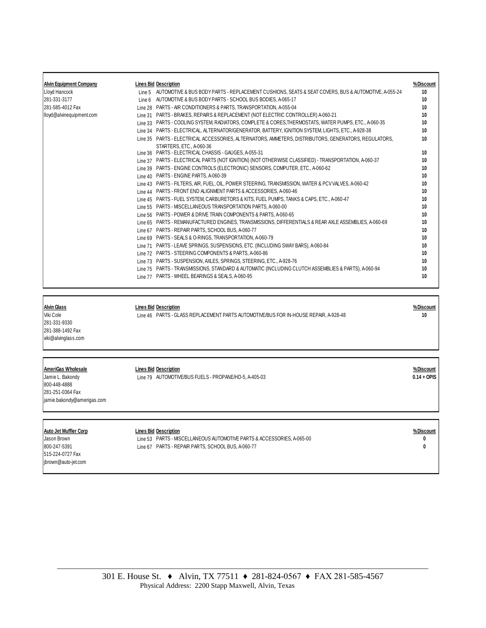| <b>Alvin Equipment Company</b> | <b>Lines Bid Description</b>                                                                               | % Discount |
|--------------------------------|------------------------------------------------------------------------------------------------------------|------------|
| Lloyd Hancock                  | Line 5 AUTOMOTIVE & BUS BODY PARTS - REPLACEMENT CUSHIONS, SEATS & SEAT COVERS, BUS & AUTOMOTIVE, A-055-24 | 10         |
| 281-331-3177                   | Line 6 AUTOMOTIVE & BUS BODY PARTS - SCHOOL BUS BODIES, A-065-17                                           | 10         |
| 281-585-4012 Fax               | Line 28 PARTS - AIR CONDITIONERS & PARTS, TRANSPORTATION, A-055-04                                         | 10         |
| lloyd@alvinequipment.com       | Line 31 PARTS - BRAKES, REPAIRS & REPLACEMENT (NOT ELECTRIC CONTROLLER) A-060-21                           | 10         |
|                                | Line 33 PARTS - COOLING SYSTEM, RADIATORS, COMPLETE & CORES, THERMOSTATS, WATER PUMPS, ETC., A-060-35      | 10         |
|                                | Line 34 PARTS - ELECTRICAL, ALTERNATOR/GENERATOR, BATTERY, IGNITION SYSTEM, LIGHTS, ETC., A-928-38         | 10         |
|                                | Line 35 PARTS - ELECTRICAL ACCESSORIES, ALTERNATORS, AMMETERS, DISTRIBUTORS, GENERATORS, REGULATORS,       | 10         |
|                                | STARTERS, ETC., A-060-36                                                                                   |            |
|                                | Line 36 PARTS - ELECTRICAL CHASSIS - GAUGES, A-055-31                                                      | 10         |
|                                | Line 37 PARTS - ELECTRICAL PARTS (NOT IGNITION) (NOT OTHERWISE CLASSIFIED) - TRANSPORTATION, A-060-37      | 10         |
|                                | Line 39 PARTS - ENGINE CONTROLS (ELECTRONIC) SENSORS, COMPUTER, ETC., A-060-62                             | 10         |
|                                | Line 40 PARTS - ENGINE PARTS, A-060-39                                                                     | 10         |
|                                | Line 43 PARTS - FILTERS, AIR, FUEL, OIL, POWER STEERING, TRANSMISSION, WATER & PCV VALVES, A-060-42        | 10         |
|                                | Line 44 PARTS - FRONT END ALIGNMENT PARTS & ACCESSORIES, A-060-46                                          | 10         |
|                                | Line 45 PARTS - FUEL SYSTEM, CARBURETORS & KITS, FUEL PUMPS, TANKS & CAPS, ETC., A-060-47                  | 10         |
|                                | Line 55 PARTS - MISCELLANEOUS TRANSPORTATION PARTS, A-060-00                                               | 10         |
|                                | Line 56 PARTS - POWER & DRIVE TRAIN COMPONENTS & PARTS, A-060-65                                           | 10         |
|                                | Line 65 PARTS - REMANUFACTURED ENGINES, TRANSMISSIONS, DIFFERENTIALS & REAR AXLE ASSEMBLIES, A-060-69      | 10         |
|                                | PARTS - REPAIR PARTS, SCHOOL BUS, A-060-77<br>Line 67                                                      | 10         |
|                                | Line 69 PARTS - SEALS & O-RINGS, TRANSPORTATION, A-060-79                                                  | 10         |
|                                | PARTS - LEAVE SPRINGS, SUSPENSIONS, ETC. (INCLUDING SWAY BARS), A-060-84<br>Line 71                        | 10         |
|                                | Line 72 PARTS - STEERING COMPONENTS & PARTS, A-060-86                                                      | 10         |
|                                | Line 73 PARTS - SUSPENSION, AXLES, SPRINGS, STEERING, ETC., A-928-76                                       | 10         |
|                                | Line 75 PARTS - TRANSMISSIONS, STANDARD & AUTOMATIC (INCLUDING CLUTCH ASSEMBLIES & PARTS), A-060-94        | 10         |
|                                | Line 77 PARTS - WHEEL BEARINGS & SEALS, A-060-95                                                           | 10         |
|                                |                                                                                                            |            |

**Alvin Glass Lines Bid Description % Discount** Viki Cole Line 46 PARTS - GLASS REPLACEMENT PARTS AUTOMOTIVE/BUS FOR IN-HOUSE REPAIR, A-928-48 **1 0**

281-331-9330 281-388-1492 Fax viki@alvinglass.com

**AmeriGas Wholesale Lines Bid Description % Discount** 800-448-4888 281-251-0364 Fax jamie.bakondy@amerigas.com

Jamie L. Bakondy Line 79 AUTOMOTIVE/BUS FUELS - PROPANE/HD-5, A-405-03 **0.14 + OPIS**

**Auto Jet Muffler Corp Lines Bid Description % Discount**

515-224-0727 Fax jbrown@auto-jet.com

Jason Brown Line 53 PARTS - MISCELLANEOUS AUTOMOTIVE PARTS & ACCESSORIES, A-065-00 **0** 800-247-5391 Line 67 PARTS - REPAIR PARTS, SCHOOL BUS, A-060-77 **0**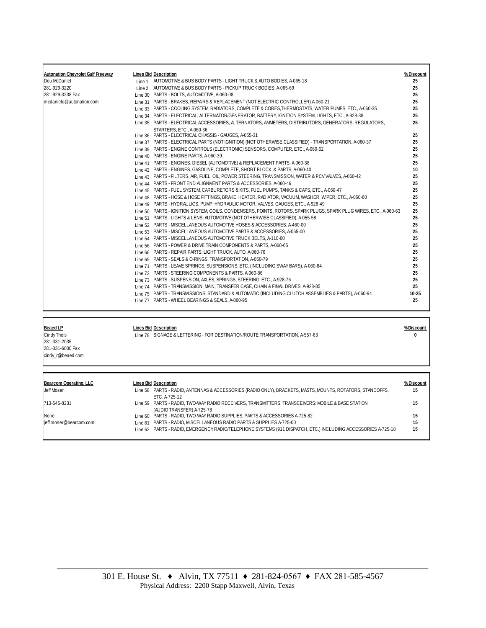| <b>Autonation Chevrolet Gulf Freeway</b><br><b>Lines Bid Description</b><br>%Discount<br>Dou McDaniel<br>25<br>Line 1 AUTOMOTIVE & BUS BODY PARTS - LIGHT TRUCK & AUTO BODIES, A-065-18<br>281-929-3220<br>25<br>Line 2 AUTOMOTIVE & BUS BODY PARTS - PICKUP TRUCK BODIES, A-065-69<br>281-929-3238 Fax<br>Line 30 PARTS - BOLTS, AUTOMOTIVE, A-060-08<br>25<br>mcdanield@autonation.com<br>Line 31 PARTS - BRAKES, REPAIRS & REPLACEMENT (NOT ELECTRIC CONTROLLER) A-060-21<br>25<br>Line 33 PARTS - COOLING SYSTEM, RADIATORS, COMPLETE & CORES, THERMOSTATS, WATER PUMPS, ETC., A-060-35<br>25<br>Line 34 PARTS - ELECTRICAL, ALTERNATOR/GENERATOR, BATTERY, IGNITION SYSTEM, LIGHTS, ETC., A-928-38<br>25<br>Line 35 PARTS - ELECTRICAL ACCESSORIES, ALTERNATORS, AMMETERS, DISTRIBUTORS, GENERATORS, REGULATORS,<br>25<br>STARTERS, ETC., A-060-36<br>25<br>Line 36 PARTS - ELECTRICAL CHASSIS - GAUGES, A-055-31<br>Line 37 PARTS - ELECTRICAL PARTS (NOT IGNITION) (NOT OTHERWISE CLASSIFIED) - TRANSPORTATION, A-060-37<br>25<br>Line 39 PARTS - ENGINE CONTROLS (ELECTRONIC) SENSORS, COMPUTER, ETC., A-060-62<br>25<br>Line 40 PARTS - ENGINE PARTS, A-060-39<br>25<br>Line 41 PARTS - ENGINES, DIESEL (AUTOMOTIVE) & REPLACEMENT PARTS, A-060-38<br>25<br>Line 42 PARTS - ENGINES, GASOLINE, COMPLETE, SHORT BLOCK, & PARTS, A-060-40<br>10<br>Line 43 PARTS - FILTERS, AIR, FUEL, OIL, POWER STEERING, TRANSMISSION, WATER & PCV VALVES, A-060-42<br>25<br>25<br>Line 44 PARTS - FRONT END ALIGNMENT PARTS & ACCESSORIES, A-060-46<br>25<br>Line 45 PARTS - FUEL SYSTEM, CARBURETORS & KITS, FUEL PUMPS, TANKS & CAPS, ETC., A-060-47<br>Line 48 PARTS - HOSE & HOSE FITTINGS, BRAKE, HEATER, RADIATOR, VACUUM, WASHER, WIPER, ETC., A-060-60<br>25<br>Line 49 PARTS - HYDRAULICS, PUMP, HYDRAULIC MOTOR, VALVES, GAUGES, ETC., A-928-49<br>25<br>Line 50 PARTS - IGNITION SYSTEM, COILS, CONDENSERS, POINTS, ROTORS, SPARK PLUGS, SPARK PLUG WIRES, ETC., A-060-63<br>25<br>Line 51 PARTS - LIGHTS & LENS, AUTOMOTIVE (NOT OTHERWISE CLASSIFIED), A-055-58<br>25<br>25<br>Line 52 PARTS - MISCELLANEOUS AUTOMOTIVE HOSES & ACCESSORIES, A-460-00<br>25<br>Line 53 PARTS - MISCELLANEOUS AUTOMOTIVE PARTS & ACCESSORIES, A-065-00<br>25<br>Line 54 PARTS - MISCELLANEOUS AUTOMOTIVE TRUCK BELTS, A-110-00 |
|-----------------------------------------------------------------------------------------------------------------------------------------------------------------------------------------------------------------------------------------------------------------------------------------------------------------------------------------------------------------------------------------------------------------------------------------------------------------------------------------------------------------------------------------------------------------------------------------------------------------------------------------------------------------------------------------------------------------------------------------------------------------------------------------------------------------------------------------------------------------------------------------------------------------------------------------------------------------------------------------------------------------------------------------------------------------------------------------------------------------------------------------------------------------------------------------------------------------------------------------------------------------------------------------------------------------------------------------------------------------------------------------------------------------------------------------------------------------------------------------------------------------------------------------------------------------------------------------------------------------------------------------------------------------------------------------------------------------------------------------------------------------------------------------------------------------------------------------------------------------------------------------------------------------------------------------------------------------------------------------------------------------------------------------------------------------------------------------------------------------------------------------------------------------------------------------------------------------------------------------------------------------------------------------------------------------------|
|                                                                                                                                                                                                                                                                                                                                                                                                                                                                                                                                                                                                                                                                                                                                                                                                                                                                                                                                                                                                                                                                                                                                                                                                                                                                                                                                                                                                                                                                                                                                                                                                                                                                                                                                                                                                                                                                                                                                                                                                                                                                                                                                                                                                                                                                                                                       |
|                                                                                                                                                                                                                                                                                                                                                                                                                                                                                                                                                                                                                                                                                                                                                                                                                                                                                                                                                                                                                                                                                                                                                                                                                                                                                                                                                                                                                                                                                                                                                                                                                                                                                                                                                                                                                                                                                                                                                                                                                                                                                                                                                                                                                                                                                                                       |
|                                                                                                                                                                                                                                                                                                                                                                                                                                                                                                                                                                                                                                                                                                                                                                                                                                                                                                                                                                                                                                                                                                                                                                                                                                                                                                                                                                                                                                                                                                                                                                                                                                                                                                                                                                                                                                                                                                                                                                                                                                                                                                                                                                                                                                                                                                                       |
|                                                                                                                                                                                                                                                                                                                                                                                                                                                                                                                                                                                                                                                                                                                                                                                                                                                                                                                                                                                                                                                                                                                                                                                                                                                                                                                                                                                                                                                                                                                                                                                                                                                                                                                                                                                                                                                                                                                                                                                                                                                                                                                                                                                                                                                                                                                       |
|                                                                                                                                                                                                                                                                                                                                                                                                                                                                                                                                                                                                                                                                                                                                                                                                                                                                                                                                                                                                                                                                                                                                                                                                                                                                                                                                                                                                                                                                                                                                                                                                                                                                                                                                                                                                                                                                                                                                                                                                                                                                                                                                                                                                                                                                                                                       |
|                                                                                                                                                                                                                                                                                                                                                                                                                                                                                                                                                                                                                                                                                                                                                                                                                                                                                                                                                                                                                                                                                                                                                                                                                                                                                                                                                                                                                                                                                                                                                                                                                                                                                                                                                                                                                                                                                                                                                                                                                                                                                                                                                                                                                                                                                                                       |
|                                                                                                                                                                                                                                                                                                                                                                                                                                                                                                                                                                                                                                                                                                                                                                                                                                                                                                                                                                                                                                                                                                                                                                                                                                                                                                                                                                                                                                                                                                                                                                                                                                                                                                                                                                                                                                                                                                                                                                                                                                                                                                                                                                                                                                                                                                                       |
|                                                                                                                                                                                                                                                                                                                                                                                                                                                                                                                                                                                                                                                                                                                                                                                                                                                                                                                                                                                                                                                                                                                                                                                                                                                                                                                                                                                                                                                                                                                                                                                                                                                                                                                                                                                                                                                                                                                                                                                                                                                                                                                                                                                                                                                                                                                       |
|                                                                                                                                                                                                                                                                                                                                                                                                                                                                                                                                                                                                                                                                                                                                                                                                                                                                                                                                                                                                                                                                                                                                                                                                                                                                                                                                                                                                                                                                                                                                                                                                                                                                                                                                                                                                                                                                                                                                                                                                                                                                                                                                                                                                                                                                                                                       |
|                                                                                                                                                                                                                                                                                                                                                                                                                                                                                                                                                                                                                                                                                                                                                                                                                                                                                                                                                                                                                                                                                                                                                                                                                                                                                                                                                                                                                                                                                                                                                                                                                                                                                                                                                                                                                                                                                                                                                                                                                                                                                                                                                                                                                                                                                                                       |
|                                                                                                                                                                                                                                                                                                                                                                                                                                                                                                                                                                                                                                                                                                                                                                                                                                                                                                                                                                                                                                                                                                                                                                                                                                                                                                                                                                                                                                                                                                                                                                                                                                                                                                                                                                                                                                                                                                                                                                                                                                                                                                                                                                                                                                                                                                                       |
|                                                                                                                                                                                                                                                                                                                                                                                                                                                                                                                                                                                                                                                                                                                                                                                                                                                                                                                                                                                                                                                                                                                                                                                                                                                                                                                                                                                                                                                                                                                                                                                                                                                                                                                                                                                                                                                                                                                                                                                                                                                                                                                                                                                                                                                                                                                       |
|                                                                                                                                                                                                                                                                                                                                                                                                                                                                                                                                                                                                                                                                                                                                                                                                                                                                                                                                                                                                                                                                                                                                                                                                                                                                                                                                                                                                                                                                                                                                                                                                                                                                                                                                                                                                                                                                                                                                                                                                                                                                                                                                                                                                                                                                                                                       |
|                                                                                                                                                                                                                                                                                                                                                                                                                                                                                                                                                                                                                                                                                                                                                                                                                                                                                                                                                                                                                                                                                                                                                                                                                                                                                                                                                                                                                                                                                                                                                                                                                                                                                                                                                                                                                                                                                                                                                                                                                                                                                                                                                                                                                                                                                                                       |
|                                                                                                                                                                                                                                                                                                                                                                                                                                                                                                                                                                                                                                                                                                                                                                                                                                                                                                                                                                                                                                                                                                                                                                                                                                                                                                                                                                                                                                                                                                                                                                                                                                                                                                                                                                                                                                                                                                                                                                                                                                                                                                                                                                                                                                                                                                                       |
|                                                                                                                                                                                                                                                                                                                                                                                                                                                                                                                                                                                                                                                                                                                                                                                                                                                                                                                                                                                                                                                                                                                                                                                                                                                                                                                                                                                                                                                                                                                                                                                                                                                                                                                                                                                                                                                                                                                                                                                                                                                                                                                                                                                                                                                                                                                       |
|                                                                                                                                                                                                                                                                                                                                                                                                                                                                                                                                                                                                                                                                                                                                                                                                                                                                                                                                                                                                                                                                                                                                                                                                                                                                                                                                                                                                                                                                                                                                                                                                                                                                                                                                                                                                                                                                                                                                                                                                                                                                                                                                                                                                                                                                                                                       |
|                                                                                                                                                                                                                                                                                                                                                                                                                                                                                                                                                                                                                                                                                                                                                                                                                                                                                                                                                                                                                                                                                                                                                                                                                                                                                                                                                                                                                                                                                                                                                                                                                                                                                                                                                                                                                                                                                                                                                                                                                                                                                                                                                                                                                                                                                                                       |
|                                                                                                                                                                                                                                                                                                                                                                                                                                                                                                                                                                                                                                                                                                                                                                                                                                                                                                                                                                                                                                                                                                                                                                                                                                                                                                                                                                                                                                                                                                                                                                                                                                                                                                                                                                                                                                                                                                                                                                                                                                                                                                                                                                                                                                                                                                                       |
|                                                                                                                                                                                                                                                                                                                                                                                                                                                                                                                                                                                                                                                                                                                                                                                                                                                                                                                                                                                                                                                                                                                                                                                                                                                                                                                                                                                                                                                                                                                                                                                                                                                                                                                                                                                                                                                                                                                                                                                                                                                                                                                                                                                                                                                                                                                       |
|                                                                                                                                                                                                                                                                                                                                                                                                                                                                                                                                                                                                                                                                                                                                                                                                                                                                                                                                                                                                                                                                                                                                                                                                                                                                                                                                                                                                                                                                                                                                                                                                                                                                                                                                                                                                                                                                                                                                                                                                                                                                                                                                                                                                                                                                                                                       |
|                                                                                                                                                                                                                                                                                                                                                                                                                                                                                                                                                                                                                                                                                                                                                                                                                                                                                                                                                                                                                                                                                                                                                                                                                                                                                                                                                                                                                                                                                                                                                                                                                                                                                                                                                                                                                                                                                                                                                                                                                                                                                                                                                                                                                                                                                                                       |
|                                                                                                                                                                                                                                                                                                                                                                                                                                                                                                                                                                                                                                                                                                                                                                                                                                                                                                                                                                                                                                                                                                                                                                                                                                                                                                                                                                                                                                                                                                                                                                                                                                                                                                                                                                                                                                                                                                                                                                                                                                                                                                                                                                                                                                                                                                                       |
|                                                                                                                                                                                                                                                                                                                                                                                                                                                                                                                                                                                                                                                                                                                                                                                                                                                                                                                                                                                                                                                                                                                                                                                                                                                                                                                                                                                                                                                                                                                                                                                                                                                                                                                                                                                                                                                                                                                                                                                                                                                                                                                                                                                                                                                                                                                       |
| 25<br>Line 56 PARTS - POWER & DRIVE TRAIN COMPONENTS & PARTS, A-060-65                                                                                                                                                                                                                                                                                                                                                                                                                                                                                                                                                                                                                                                                                                                                                                                                                                                                                                                                                                                                                                                                                                                                                                                                                                                                                                                                                                                                                                                                                                                                                                                                                                                                                                                                                                                                                                                                                                                                                                                                                                                                                                                                                                                                                                                |
| 25<br>Line 66 PARTS - REPAIR PARTS, LIGHT TRUCK, AUTO, A-060-76                                                                                                                                                                                                                                                                                                                                                                                                                                                                                                                                                                                                                                                                                                                                                                                                                                                                                                                                                                                                                                                                                                                                                                                                                                                                                                                                                                                                                                                                                                                                                                                                                                                                                                                                                                                                                                                                                                                                                                                                                                                                                                                                                                                                                                                       |
| Line 69 PARTS - SEALS & O-RINGS, TRANSPORTATION, A-060-79<br>25                                                                                                                                                                                                                                                                                                                                                                                                                                                                                                                                                                                                                                                                                                                                                                                                                                                                                                                                                                                                                                                                                                                                                                                                                                                                                                                                                                                                                                                                                                                                                                                                                                                                                                                                                                                                                                                                                                                                                                                                                                                                                                                                                                                                                                                       |
| Line 71 PARTS - LEAVE SPRINGS, SUSPENSIONS, ETC. (INCLUDING SWAY BARS), A-060-84<br>25                                                                                                                                                                                                                                                                                                                                                                                                                                                                                                                                                                                                                                                                                                                                                                                                                                                                                                                                                                                                                                                                                                                                                                                                                                                                                                                                                                                                                                                                                                                                                                                                                                                                                                                                                                                                                                                                                                                                                                                                                                                                                                                                                                                                                                |
| Line 72 PARTS - STEERING COMPONENTS & PARTS, A-060-86<br>25                                                                                                                                                                                                                                                                                                                                                                                                                                                                                                                                                                                                                                                                                                                                                                                                                                                                                                                                                                                                                                                                                                                                                                                                                                                                                                                                                                                                                                                                                                                                                                                                                                                                                                                                                                                                                                                                                                                                                                                                                                                                                                                                                                                                                                                           |
| 25<br>Line 73 PARTS - SUSPENSION, AXLES, SPRINGS, STEERING, ETC., A-928-76                                                                                                                                                                                                                                                                                                                                                                                                                                                                                                                                                                                                                                                                                                                                                                                                                                                                                                                                                                                                                                                                                                                                                                                                                                                                                                                                                                                                                                                                                                                                                                                                                                                                                                                                                                                                                                                                                                                                                                                                                                                                                                                                                                                                                                            |
| Line 74 PARTS - TRANSMISSION, MAIN, TRANSFER CASE, CHAIN & FINAL DRIVES, A-928-85<br>25                                                                                                                                                                                                                                                                                                                                                                                                                                                                                                                                                                                                                                                                                                                                                                                                                                                                                                                                                                                                                                                                                                                                                                                                                                                                                                                                                                                                                                                                                                                                                                                                                                                                                                                                                                                                                                                                                                                                                                                                                                                                                                                                                                                                                               |
| Line 75 PARTS - TRANSMISSIONS, STANDARD & AUTOMATIC (INCLUDING CLUTCH ASSEMBLIES & PARTS), A-060-94<br>10-25                                                                                                                                                                                                                                                                                                                                                                                                                                                                                                                                                                                                                                                                                                                                                                                                                                                                                                                                                                                                                                                                                                                                                                                                                                                                                                                                                                                                                                                                                                                                                                                                                                                                                                                                                                                                                                                                                                                                                                                                                                                                                                                                                                                                          |
| 1 ine 77 PARTS - WHEEL BEARINGS & SEALS, A-060-95<br>25                                                                                                                                                                                                                                                                                                                                                                                                                                                                                                                                                                                                                                                                                                                                                                                                                                                                                                                                                                                                                                                                                                                                                                                                                                                                                                                                                                                                                                                                                                                                                                                                                                                                                                                                                                                                                                                                                                                                                                                                                                                                                                                                                                                                                                                               |

281-331-2035 281-331-6000 Fax cindy\_r@beaed.com

**Beaed LP Lines Bid Description % Discount**  Line 78 SIGNAGE & LETTERING - FOR DESTINATION/ROUTE TRANSPORTATION, A-557-63

**Bearcom Operating, LLC Lines Bid Description % Discount** Line 58 PARTS - RADIO, ANTENNAS & ACCESSORIES (RADIO ONLY), BRACKETS, MASTS, MOUNTS, ROTATORS, STANDOFFS, ETC. A-725-12 **1 5** 713-545-8231 Line 59 PARTS - RADIO, TWO-WAY RADIO RECEIVERS, TRANSMITTERS, TRANSCEIVERS: MOBILE & BASE STATION (AUDIO TRANSFER) A-725-78 **1 5** None Line 60 PARTS - RADIO, TWO-WAY RADIO SUPPLIES, PARTS & ACCESSORIES A-725-82 jeff.moser@bearcom.com Line 61 PARTS - RADIO, MISCELLANEOUS RADIO PARTS & SUPPLIES A-725-00 **1 5** Line 62 PARTS - RADIO, EMERGENCY RADIO/TELEPHONE SYSTEMS (911 DISPATCH, ETC.) INCLUDING ACCESSORIES A-725-18 **1 5**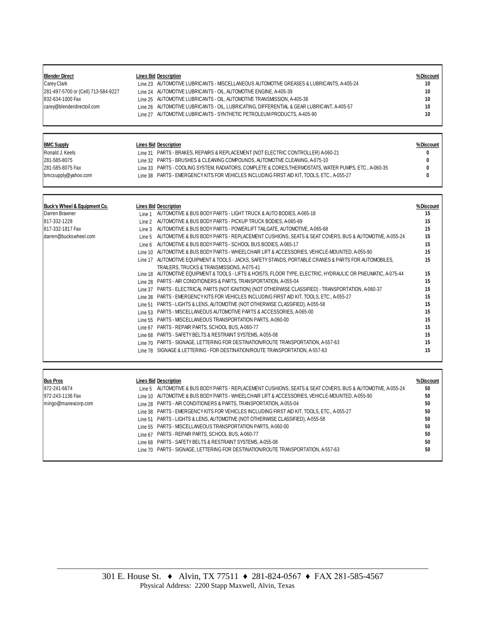| <b>Blender Direct</b><br><b>Carey Clark</b><br>281-497-5700 or (Cell) 713-584-9227<br>832-634-1000 Fax<br>carey@blenderdirectoil.com | <b>Lines Bid Description</b><br>Line 23 AUTOMOTIVE LUBRICANTS - MISCELLANEOUS AUTOMOTIVE GREASES & LUBRICANTS, A-405-24<br>Line 24 AUTOMOTIVE LUBRICANTS - OIL, AUTOMOTIVE ENGINE, A-405-39<br>Line 25 AUTOMOTIVE LUBRICANTS - OIL, AUTOMOTIVE TRANSMISSION, A-405-36<br>Line 26 AUTOMOTIVE LUBRICANTS - OIL, LUBRICATING, DIFFERENTIAL & GEAR LUBRICANT, A-405-57<br>Line 27 AUTOMOTIVE LUBRICANTS - SYNTHETIC PETROLEUM PRODUCTS, A-405-90                                                                                                                                                                                                                                                                                                                                                                                                                                                                                                                                                                                                                                                                                                                                                                                                                                                                                                                                                                                                                                                                                                                                                                                 | % Discount<br>10<br>10<br>10<br>10<br>10                                                                              |
|--------------------------------------------------------------------------------------------------------------------------------------|------------------------------------------------------------------------------------------------------------------------------------------------------------------------------------------------------------------------------------------------------------------------------------------------------------------------------------------------------------------------------------------------------------------------------------------------------------------------------------------------------------------------------------------------------------------------------------------------------------------------------------------------------------------------------------------------------------------------------------------------------------------------------------------------------------------------------------------------------------------------------------------------------------------------------------------------------------------------------------------------------------------------------------------------------------------------------------------------------------------------------------------------------------------------------------------------------------------------------------------------------------------------------------------------------------------------------------------------------------------------------------------------------------------------------------------------------------------------------------------------------------------------------------------------------------------------------------------------------------------------------|-----------------------------------------------------------------------------------------------------------------------|
| <b>BMC Supply</b><br>Ronald J. Keels<br>281-585-8075<br>281-585-8075 Fax<br>bmcsupply@yahoo.com                                      | <b>Lines Bid Description</b><br>Line 31 PARTS - BRAKES, REPAIRS & REPLACEMENT (NOT ELECTRIC CONTROLLER) A-060-21<br>Line 32 PARTS - BRUSHES & CLEANING COMPOUNDS, AUTOMOTIVE CLEANING, A-075-10<br>Line 33 PARTS - COOLING SYSTEM, RADIATORS, COMPLETE & CORES, THERMOSTATS, WATER PUMPS, ETC., A-060-35<br>Line 38 PARTS - EMERGENCY KITS FOR VEHICLES INCLUDING FIRST AID KIT, TOOLS, ETC., A-055-27                                                                                                                                                                                                                                                                                                                                                                                                                                                                                                                                                                                                                                                                                                                                                                                                                                                                                                                                                                                                                                                                                                                                                                                                                       | % Discount<br>0<br>0<br>0<br>Û                                                                                        |
| Buck's Wheel & Equipment Co.<br>Darren Brawner<br>817-332-1228<br>817-332-1817 Fax<br>darren@buckswheel.com                          | <b>Lines Bid Description</b><br>Line 1 AUTOMOTIVE & BUS BODY PARTS - LIGHT TRUCK & AUTO BODIES, A-065-18<br>Line 2 AUTOMOTIVE & BUS BODY PARTS - PICKUP TRUCK BODIES, A-065-69<br>Line 3 AUTOMOTIVE & BUS BODY PARTS - POWERLIFT TAILGATE, AUTOMOTIVE, A-065-68<br>Line 5 AUTOMOTIVE & BUS BODY PARTS - REPLACEMENT CUSHIONS, SEATS & SEAT COVERS, BUS & AUTOMOTIVE, A-055-24<br>Line 6 AUTOMOTIVE & BUS BODY PARTS - SCHOOL BUS BODIES, A-065-17<br>Line 10 AUTOMOTIVE & BUS BODY PARTS - WHEELCHAIR LIFT & ACCESSORIES, VEHICLE-MOUNTED, A-055-90<br>Line 17 AUTOMOTIVE EQUIPMENT & TOOLS - JACKS, SAFETY STANDS, PORTABLE CRANES & PARTS FOR AUTOMOBILES,<br>TRAILERS. TRUCKS & TRANSMISSIONS, A-075-41<br>Line 18 AUTOMOTIVE EQUIPMENT & TOOLS - LIFTS & HOISTS, FLOOR TYPE, ELECTRIC, HYDRAULIC OR PNEUMATIC, A075-44<br>Line 28 PARTS - AIR CONDITIONERS & PARTS, TRANSPORTATION, A-055-04<br>Line 37 PARTS - ELECTRICAL PARTS (NOT IGNITION) (NOT OTHERWISE CLASSIFIED) - TRANSPORTATION, A-060-37<br>Line 38 PARTS - EMERGENCY KITS FOR VEHICLES INCLUDING FIRST AID KIT, TOOLS, ETC., A-055-27<br>Line 51 PARTS - LIGHTS & LENS, AUTOMOTIVE (NOT OTHERWISE CLASSIFIED), A-055-58<br>Line 53 PARTS - MISCELLANEOUS AUTOMOTIVE PARTS & ACCESSORIES, A-065-00<br>Line 55 PARTS - MISCELLANEOUS TRANSPORTATION PARTS, A-060-00<br>Line 67 PARTS - REPAIR PARTS, SCHOOL BUS, A-060-77<br>Line 68 PARTS - SAFETY BELTS & RESTRAINT SYSTEMS, A-055-08<br>Line 70 PARTS - SIGNAGE, LETTERING FOR DESTINATION/ROUTE TRANSPORTATION, A-557-63<br>Line 78 SIGNAGE & LETTERING - FOR DESTINATION/ROUTE TRANSPORTATION, A-557-63 | %Discount<br>15<br>15<br>15<br>15<br>15<br>15<br>15<br>15<br>15<br>15<br>15<br>15<br>15<br>15<br>15<br>15<br>15<br>15 |

| <b>Bus Pros</b>     | <b>Lines Bid Description</b>                                                                               | % Discount |
|---------------------|------------------------------------------------------------------------------------------------------------|------------|
| 972-241-6674        | Line 5 AUTOMOTIVE & BUS BODY PARTS - REPLACEMENT CUSHIONS, SEATS & SEAT COVERS, BUS & AUTOMOTIVE, A-055-24 | 50         |
| 972-243-1136 Fax    | Line 10 AUTOMOTIVE & BUS BODY PARTS - WHEELCHAIR LIFT & ACCESSORIES, VEHICLE-MOUNTED, A-055-90             | 50         |
| mingo@manexcorp.com | Line 28 PARTS - AIR CONDITIONERS & PARTS, TRANSPORTATION, A-055-04                                         | 50         |
|                     | Line 38 PARTS - EMERGENCY KITS FOR VEHICLES INCLUDING FIRST AID KIT, TOOLS, ETC., A-055-27                 | 50         |
|                     | Line 51 PARTS - LIGHTS & LENS, AUTOMOTIVE (NOT OTHERWISE CLASSIFIED), A-055-58                             | 50         |
|                     | Line 55 PARTS - MISCELLANEOUS TRANSPORTATION PARTS, A-060-00                                               | 50         |
|                     | Line 67 PARTS - REPAIR PARTS, SCHOOL BUS, A-060-77                                                         | 50         |
|                     | Line 68 PARTS - SAFETY BELTS & RESTRAINT SYSTEMS, A-055-08                                                 | 50         |
|                     | Line 70 PARTS - SIGNAGE, LETTERING FOR DESTINATION/ROUTE TRANSPORTATION, A-557-63                          | 50         |
|                     |                                                                                                            |            |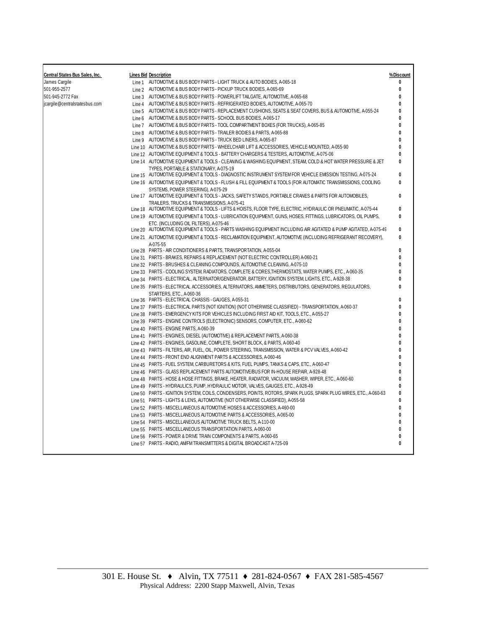| <b>Central States Bus Sales, Inc.</b> | <b>Lines Bid Description</b>                                                                                                                              | % Discount   |
|---------------------------------------|-----------------------------------------------------------------------------------------------------------------------------------------------------------|--------------|
| James Cargile                         | Line 1 AUTOMOTIVE & BUS BODY PARTS - LIGHT TRUCK & AUTO BODIES, A-065-18                                                                                  | 0            |
| 501-955-2577                          | Line 2 AUTOMOTIVE & BUS BODY PARTS - PICKUP TRUCK BODIES, A-065-69                                                                                        | 0            |
| 501-945-2772 Fax                      | Line 3 AUTOMOTIVE & BUS BODY PARTS - POWERLIFT TAILGATE, AUTOMOTIVE, A-065-68                                                                             | 0            |
| jcargile@centralstatesbus.com         | Line 4 AUTOMOTIVE & BUS BODY PARTS - REFRIGERATED BODIES, AUTOMOTIVE, A-065-70                                                                            | 0            |
|                                       | Line 5 AUTOMOTIVE & BUS BODY PARTS - REPLACEMENT CUSHIONS, SEATS & SEAT COVERS, BUS & AUTOMOTIVE, A-055-24                                                | 0            |
|                                       | Line 6 AUTOMOTIVE & BUS BODY PARTS - SCHOOL BUS BODIES, A-065-17                                                                                          | 0            |
|                                       | Line 7 AUTOMOTIVE & BUS BODY PARTS - TOOL COMPARTMENT BOXES (FOR TRUCKS), A-065-85                                                                        | 0            |
|                                       | Line 8 AUTOMOTIVE & BUS BODY PARTS - TRAILER BODIES & PARTS, A-065-88                                                                                     | 0            |
|                                       | Line 9 AUTOMOTIVE & BUS BODY PARTS - TRUCK BED LINERS, A-065-87                                                                                           | 0            |
|                                       | Line 10 AUTOMOTIVE & BUS BODY PARTS - WHEELCHAIR LIFT & ACCESSORIES, VEHICLE-MOUNTED, A-055-90                                                            | 0            |
|                                       | Line 12 AUTOMOTIVE EQUIPMENT & TOOLS - BATTERY CHARGERS & TESTERS, AUTOMOTIVE, A-075-06                                                                   | 0            |
|                                       | Line 14 AUTOMOTIVE EQUIPMENT & TOOLS - CLEANING & WASHING EQUIPMENT, STEAM, COLD & HOT WATER PRESSURE & JET                                               | 0            |
|                                       | TYPES, PORTABLE & STATIONARY, A-075-19                                                                                                                    |              |
|                                       | Line 15 AUTOMOTIVE EQUIPMENT & TOOLS - DIAGNOSTIC INSTRUMENT SYSTEM FOR VEHICLE EMISSION TESTING, A-075-24                                                | 0            |
|                                       | Line 16 AUTOMOTIVE EQUIPMENT & TOOLS - FLUSH & FILL EQUIPMENT & TOOLS (FOR AUTOMATIC TRANSMISSIONS, COOLING                                               | 0            |
|                                       | SYSTEMS, POWER STEERING), A-075-29                                                                                                                        |              |
|                                       | Line 17 AUTOMOTIVE EQUIPMENT & TOOLS - JACKS, SAFETY STANDS, PORTABLE CRANES & PARTS FOR AUTOMOBILES,                                                     | $\mathbf{0}$ |
|                                       | TRAILERS. TRUCKS & TRANSMISSIONS. A-075-41                                                                                                                |              |
|                                       | Line 18 AUTOMOTIVE EQUIPMENT & TOOLS - LIFTS & HOISTS, FLOOR TYPE, ELECTRIC, HYDRAULIC OR PNEUMATIC, A-075-44                                             | 0            |
|                                       | Line 19 AUTOMOTIVE EQUIPMENT & TOOLS - LUBRICATION EQUIPMENT, GUNS, HOSES, FITTINGS, LUBRICATORS, OIL PUMPS,                                              | $\mathbf{0}$ |
|                                       | ETC. (INCLUDING OIL FILTERS). A-075-46<br>Line 20 AUTOMOTIVE EQUIPMENT & TOOLS - PARTS WASHING EQUIPMENT INCLUDING AIR AGITATED & PUMP AGITATED, A-075-49 | 0            |
|                                       |                                                                                                                                                           | $\mathbf{0}$ |
|                                       | Line 21 AUTOMOTIVE EQUIPMENT & TOOLS - RECLAMATION EQUIPMENT, AUTOMOTIVE (INCLUDING REFRIGERANT RECOVERY),                                                |              |
|                                       | A-075-55<br>Line 28 PARTS - AIR CONDITIONERS & PARTS, TRANSPORTATION, A-055-04                                                                            | 0            |
|                                       | Line 31 PARTS - BRAKES, REPAIRS & REPLACEMENT (NOT ELECTRIC CONTROLLER) A-060-21                                                                          | 0            |
|                                       | Line 32 PARTS - BRUSHES & CLEANING COMPOUNDS, AUTOMOTIVE CLEANING, A-075-10                                                                               | 0            |
|                                       | Line 33 PARTS - COOLING SYSTEM, RADIATORS, COMPLETE & CORES, THERMOSTATS, WATER PUMPS, ETC., A-060-35                                                     | 0            |
|                                       | Line 34 PARTS - ELECTRICAL, ALTERNATOR/GENERATOR, BATTERY, IGNITION SYSTEM, LIGHTS, ETC., A-928-38                                                        | 0            |
|                                       | Line 35 PARTS - ELECTRICAL ACCESSORIES, ALTERNATORS, AMMETERS, DISTRIBUTORS, GENERATORS, REGULATORS,                                                      | 0            |
|                                       | STARTERS, ETC., A-060-36                                                                                                                                  |              |
|                                       | Line 36 PARTS - ELECTRICAL CHASSIS - GAUGES, A-055-31                                                                                                     | 0            |
|                                       | Line 37 PARTS - ELECTRICAL PARTS (NOT IGNITION) (NOT OTHERWISE CLASSIFIED) - TRANSPORTATION, A-060-37                                                     | 0            |
|                                       | Line 38 PARTS - EMERGENCY KITS FOR VEHICLES INCLUDING FIRST AID KIT, TOOLS, ETC., A-055-27                                                                | 0            |
|                                       | Line 39 PARTS - ENGINE CONTROLS (ELECTRONIC) SENSORS, COMPUTER, ETC., A-060-62                                                                            | 0            |
|                                       | Line 40 PARTS - ENGINE PARTS, A-060-39                                                                                                                    | 0            |
|                                       | Line 41 PARTS - ENGINES, DIESEL (AUTOMOTIVE) & REPLACEMENT PARTS, A-060-38                                                                                | 0            |
|                                       | Line 42 PARTS - ENGINES, GASOLINE, COMPLETE, SHORT BLOCK, & PARTS, A-060-40                                                                               | 0            |
|                                       | Line 43 PARTS - FILTERS, AIR, FUEL, OIL, POWER STEERING, TRANSMISSION, WATER & PCV VALVES, A-060-42                                                       | 0            |
|                                       | Line 44 PARTS - FRONT END ALIGNMENT PARTS & ACCESSORIES, A-060-46                                                                                         | 0            |
|                                       | Line 45 PARTS - FUEL SYSTEM, CARBURETORS & KITS, FUEL PUMPS, TANKS & CAPS, ETC., A-060-47                                                                 | 0            |
|                                       | Line 46 PARTS - GLASS REPLACEMENT PARTS AUTOMOTIVE/BUS FOR IN-HOUSE REPAIR, A-928-48                                                                      | 0            |
|                                       | Line 48 PARTS - HOSE & HOSE FITTINGS, BRAKE, HEATER, RADIATOR, VACUUM, WASHER, WIPER, ETC., A-060-60                                                      | 0            |
|                                       | Line 49 PARTS - HYDRAULICS, PUMP, HYDRAULIC MOTOR, VALVES, GAUGES, ETC., A-928-49                                                                         | 0            |
|                                       | Line 50 PARTS - IGNITION SYSTEM, COILS, CONDENSERS, POINTS, ROTORS, SPARK PLUGS, SPARK PLUG WIRES, ETC., A-060-63                                         | 0            |
|                                       | Line 51 PARTS - LIGHTS & LENS, AUTOMOTIVE (NOT OTHERWISE CLASSIFIED), A-055-58                                                                            | $\pmb{0}$    |
|                                       | Line 52 PARTS - MISCELLANEOUS AUTOMOTIVE HOSES & ACCESSORIES, A-460-00                                                                                    | 0            |
|                                       | Line 53 PARTS - MISCELLANEOUS AUTOMOTIVE PARTS & ACCESSORIES, A-065-00                                                                                    | 0            |
|                                       | Line 54 PARTS - MISCELLANEOUS AUTOMOTIVE TRUCK BELTS, A-110-00                                                                                            | 0            |
|                                       | Line 55 PARTS - MISCELLANEOUS TRANSPORTATION PARTS, A-060-00                                                                                              | 0            |
|                                       | Line 56 PARTS - POWER & DRIVE TRAIN COMPONENTS & PARTS, A-060-65                                                                                          | 0            |
|                                       | Line 57 PARTS - RADIO, AM/FM TRANSMITTERS & DIGITAL BROADCAST A-725-09                                                                                    | 0            |
|                                       |                                                                                                                                                           |              |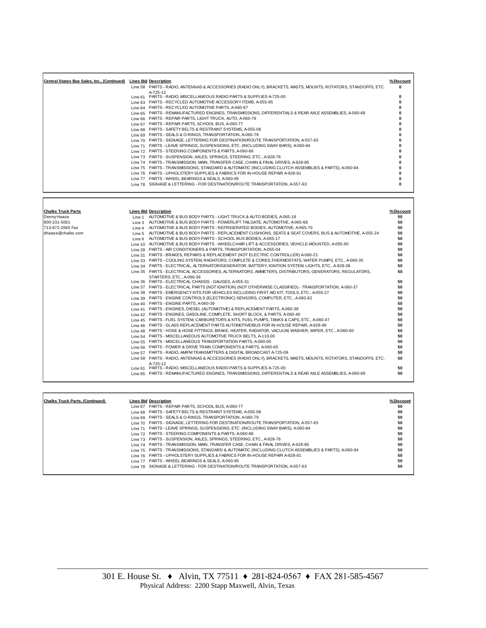| Central States Bus Sales, Inc., (Continued) | <b>Lines Bid Description</b> |                                                                                                                | % Discount |
|---------------------------------------------|------------------------------|----------------------------------------------------------------------------------------------------------------|------------|
|                                             |                              | Line 58 PARTS - RADIO, ANTENNAS & ACCESSORIES (RADIO ONLY), BRACKETS, MASTS, MOUNTS, ROTATORS, STANDOFFS, ETC. | 0          |
|                                             | A-725-12                     |                                                                                                                |            |
|                                             |                              | Line 61 PARTS - RADIO, MISCELLANEOUS RADIO PARTS & SUPPLIES A-725-00                                           |            |
|                                             |                              | Line 63 PARTS - RECYCLED AUTOMOTIVE ACCESSORY ITEMS, A-055-95                                                  |            |
|                                             |                              | Line 64 PARTS - RECYCLED AUTOMOTIVE PARTS, A-060-67                                                            |            |
|                                             |                              | Line 65 PARTS - REMANUFACTURED ENGINES, TRANSMISSIONS, DIFFERENTIALS & REAR AXLE ASSEMBLIES, A-060-69          |            |
|                                             |                              | Line 66 PARTS - REPAIR PARTS, LIGHT TRUCK, AUTO, A-060-76                                                      |            |
|                                             |                              | Line 67 PARTS - REPAIR PARTS, SCHOOL BUS, A-060-77                                                             |            |
|                                             |                              | Line 68 PARTS - SAFETY BELTS & RESTRAINT SYSTEMS, A-055-08                                                     |            |
|                                             |                              | Line 69 PARTS - SEALS & O-RINGS, TRANSPORTATION, A-060-79                                                      |            |
|                                             |                              | Line 70 PARTS - SIGNAGE, LETTERING FOR DESTINATION/ROUTE TRANSPORTATION, A-557-63                              |            |
|                                             |                              | Line 71 PARTS - LEAVE SPRINGS, SUSPENSIONS, ETC. (INCLUDING SWAY BARS), A-060-84                               |            |
|                                             |                              | Line 72 PARTS - STEERING COMPONENTS & PARTS, A-060-86                                                          |            |
|                                             |                              | Line 73 PARTS - SUSPENSION, AXLES, SPRINGS, STEERING, ETC., A-928-76                                           |            |
|                                             |                              | Line 74 PARTS - TRANSMISSION, MAIN, TRANSFER CASE, CHAIN & FINAL DRIVES, A-928-85                              |            |
|                                             |                              | Line 75 PARTS - TRANSMISSIONS, STANDARD & AUTOMATIC (INCLUDING CLUTCH ASSEMBLIES & PARTS), A-060-94            |            |
|                                             |                              | Line 76 PARTS - UPHOLSTERY SUPPLIES & FABRICS FOR IN-HOUSE REPAIR A-928-91                                     |            |
|                                             |                              | Line 77 PARTS - WHEEL BEARINGS & SEALS, A-060-95                                                               |            |
|                                             |                              | Line 78 SIGNAGE & LETTERING - FOR DESTINATION/ROUTE TRANSPORTATION, A-557-63                                   |            |
|                                             |                              |                                                                                                                |            |

| <b>Chalks Truck Parts</b> | <b>Lines Bid Description</b>                                                                                   | % Discount |
|---------------------------|----------------------------------------------------------------------------------------------------------------|------------|
| Denny Haase               | Line 1 AUTOMOTIVE & BUS BODY PARTS - LIGHT TRUCK & AUTO BODIES, A-065-18                                       | 50         |
| 800-231-5061              | Line 3 AUTOMOTIVE & BUS BODY PARTS - POWERLIFT TAILGATE, AUTOMOTIVE, A-065-68                                  | 50         |
| 713-672-2665 Fax          | Line 4 AUTOMOTIVE & BUS BODY PARTS - REFRIGERATED BODIES, AUTOMOTIVE, A-065-70                                 | 50         |
| dhaase@chalks.com         | Line 5 AUTOMOTIVE & BUS BODY PARTS - REPLACEMENT CUSHIONS, SEATS & SEAT COVERS, BUS & AUTOMOTIVE, A-055-24     | 50         |
|                           | Line 6 AUTOMOTIVE & BUS BODY PARTS - SCHOOL BUS BODIES, A-065-17                                               | 50         |
|                           | Line 10 AUTOMOTIVE & BUS BODY PARTS - WHEELCHAIR LIFT & ACCESSORIES, VEHICLE-MOUNTED, A-055-90                 | 50         |
|                           | Line 28 PARTS - AIR CONDITIONERS & PARTS, TRANSPORTATION, A-055-04                                             | 50         |
|                           | Line 31 PARTS - BRAKES, REPAIRS & REPLACEMENT (NOT ELECTRIC CONTROLLER) A-060-21                               | 50         |
|                           | Line 33 PARTS - COOLING SYSTEM, RADIATORS, COMPLETE & CORES.THERMOSTATS, WATER PUMPS, ETC., A-060-35           | 50         |
|                           | Line 34 PARTS - ELECTRICAL, ALTERNATOR/GENERATOR, BATTERY, IGNITION SYSTEM, LIGHTS, ETC., A-928-38             | 50         |
|                           | Line 35 PARTS - ELECTRICAL ACCESSORIES, ALTERNATORS, AMMETERS, DISTRIBUTORS, GENERATORS, REGULATORS,           | 50         |
|                           | STARTERS, ETC., A-060-36                                                                                       |            |
|                           | Line 36 PARTS - ELECTRICAL CHASSIS - GAUGES, A-055-31                                                          | 50         |
|                           | Line 37 PARTS - ELECTRICAL PARTS (NOT IGNITION) (NOT OTHERWISE CLASSIFIED) - TRANSPORTATION, A-060-37          | 50         |
|                           | Line 38 PARTS - EMERGENCY KITS FOR VEHICLES INCLUDING FIRST AID KIT, TOOLS, ETC., A-055-27                     | 50         |
|                           | Line 39 PARTS - ENGINE CONTROLS (ELECTRONIC) SENSORS, COMPUTER, ETC., A-060-62                                 | 50         |
|                           | Line 40 PARTS - ENGINE PARTS, A-060-39                                                                         | 50         |
|                           | Line 41 PARTS - ENGINES, DIESEL (AUTOMOTIVE) & REPLACEMENT PARTS, A-060-38                                     | 50         |
|                           | Line 42 PARTS - ENGINES, GASOLINE, COMPLETE, SHORT BLOCK, & PARTS, A-060-40                                    | 50         |
|                           | Line 45 PARTS - FUEL SYSTEM, CARBURETORS & KITS, FUEL PUMPS, TANKS & CAPS, ETC., A-060-47                      | 50         |
|                           | Line 46 PARTS - GLASS REPLACEMENT PARTS AUTOMOTIVE/BUS FOR IN-HOUSE REPAIR, A-928-48                           | 50         |
|                           | Line 48 PARTS - HOSE & HOSE FITTINGS, BRAKE, HEATER, RADIATOR, VACUUM, WASHER, WIPER, ETC., A-060-60           | 50         |
|                           | Line 54 PARTS - MISCELLANEOUS AUTOMOTIVE TRUCK BELTS, A-110-00                                                 | 50         |
|                           | Line 55 PARTS - MISCELLANEOUS TRANSPORTATION PARTS, A-060-00                                                   | 50         |
|                           | Line 56 PARTS - POWER & DRIVE TRAIN COMPONENTS & PARTS, A-060-65                                               | 50         |
|                           | Line 57 PARTS - RADIO, AM/FM TRANSMITTERS & DIGITAL BROADCAST A-725-09                                         | 50         |
|                           | Line 58 PARTS - RADIO, ANTENNAS & ACCESSORIES (RADIO ONLY), BRACKETS, MASTS, MOUNTS, ROTATORS, STANDOFFS, ETC. | 50         |
|                           | A-725-12                                                                                                       |            |
|                           | Line 61 PARTS - RADIO, MISCELLANEOUS RADIO PARTS & SUPPLIES A-725-00                                           | 50         |
|                           | Line 65 PARTS - REMANUFACTURED ENGINES, TRANSMISSIONS, DIFFERENTIALS & REAR AXLE ASSEMBLIES, A-060-69          | 50         |

| <b>Chalks Truck Parts. (Continued)</b> | <b>Lines Bid Description</b>                                                                        | % Discount |
|----------------------------------------|-----------------------------------------------------------------------------------------------------|------------|
|                                        | Line 67 PARTS - REPAIR PARTS, SCHOOL BUS, A-060-77                                                  | 50         |
|                                        | Line 68 PARTS - SAFETY BELTS & RESTRAINT SYSTEMS, A-055-08                                          | 50         |
|                                        | Line 69 PARTS - SEALS & O-RINGS, TRANSPORTATION, A-060-79                                           | 50         |
|                                        | Line 70 PARTS - SIGNAGE, LETTERING FOR DESTINATION/ROUTE TRANSPORTATION, A-557-63                   | 50         |
|                                        | Line 71 PARTS - LEAVE SPRINGS, SUSPENSIONS, ETC. (INCLUDING SWAY BARS), A-060-84                    | 50         |
|                                        | Line 72 PARTS - STEERING COMPONENTS & PARTS, A-060-86                                               | 50         |
|                                        | Line 73 PARTS - SUSPENSION, AXLES, SPRINGS, STEERING, ETC., A-928-76                                | 50         |
|                                        | Line 74 PARTS - TRANSMISSION, MAIN, TRANSFER CASE, CHAIN & FINAL DRIVES, A-928-85                   | 50         |
|                                        | Line 75 PARTS - TRANSMISSIONS, STANDARD & AUTOMATIC (INCLUDING CLUTCH ASSEMBLIES & PARTS), A-060-94 | 50         |
|                                        | Line 76 PARTS - UPHOLSTERY SUPPLIES & FABRICS FOR IN-HOUSE REPAIR A-928-91                          | 50         |
|                                        | Line 77 PARTS - WHEEL BEARINGS & SEALS, A-060-95                                                    | 50         |
|                                        | Line 78 SIGNAGE & LETTERING - FOR DESTINATION/ROUTE TRANSPORTATION, A-557-63                        | 50         |
|                                        |                                                                                                     |            |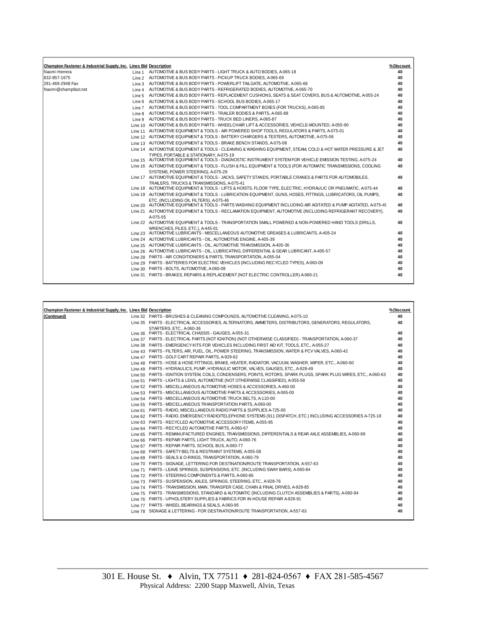| Champion Fastener & Industrial Supply, Inc. Lines Bid Description |                                                                                                                                                           | % Discount |
|-------------------------------------------------------------------|-----------------------------------------------------------------------------------------------------------------------------------------------------------|------------|
| Naomi Herrera                                                     | Line 1 AUTOMOTIVE & BUS BODY PARTS - LIGHT TRUCK & AUTO BODIES, A-065-18                                                                                  | 40         |
| 832-857-1675                                                      | Line 2 AUTOMOTIVE & BUS BODY PARTS - PICKUP TRUCK BODIES, A-065-69                                                                                        | 40         |
| 281-469-2948 Fax                                                  | Line 3 AUTOMOTIVE & BUS BODY PARTS - POWERLIFT TAILGATE, AUTOMOTIVE, A-065-68                                                                             | 40         |
| Naomi@champfast.net                                               | Line 4 AUTOMOTIVE & BUS BODY PARTS - REFRIGERATED BODIES, AUTOMOTIVE, A-065-70                                                                            | 40         |
|                                                                   | Line 5 AUTOMOTIVE & BUS BODY PARTS - REPLACEMENT CUSHIONS, SEATS & SEAT COVERS, BUS & AUTOMOTIVE, A-055-24                                                | 40         |
|                                                                   | Line 6 AUTOMOTIVE & BUS BODY PARTS - SCHOOL BUS BODIES, A-065-17                                                                                          | 40         |
|                                                                   | Line 7 AUTOMOTIVE & BUS BODY PARTS - TOOL COMPARTMENT BOXES (FOR TRUCKS), A-065-85                                                                        | 40         |
|                                                                   | Line 8 AUTOMOTIVE & BUS BODY PARTS - TRAILER BODIES & PARTS, A-065-88                                                                                     | 40         |
|                                                                   | Line 9 AUTOMOTIVE & BUS BODY PARTS - TRUCK BED LINERS, A-065-87                                                                                           | 40         |
|                                                                   | Line 10 AUTOMOTIVE & BUS BODY PARTS - WHEELCHAIR LIFT & ACCESSORIES, VEHICLE-MOUNTED, A-055-90                                                            | 40         |
|                                                                   | Line 11 AUTOMOTIVE EQUIPMENT & TOOLS - AIR POWERED SHOP TOOLS. REGULATORS & PARTS, A-075-01                                                               | 40         |
|                                                                   | Line 12 AUTOMOTIVE EQUIPMENT & TOOLS - BATTERY CHARGERS & TESTERS, AUTOMOTIVE, A-075-06                                                                   | 40         |
|                                                                   | Line 13 AUTOMOTIVE EQUIPMENT & TOOLS - BRAKE BENCH STANDS, A-075-08                                                                                       | 40         |
|                                                                   | Line 14 AUTOMOTIVE EQUIPMENT & TOOLS - CLEANING & WASHING EQUIPMENT, STEAM, COLD & HOT WATER PRESSURE & JET                                               | 40         |
|                                                                   | TYPES. PORTABLE & STATIONARY, A-075-19                                                                                                                    |            |
|                                                                   | Line 15 AUTOMOTIVE EQUIPMENT & TOOLS - DIAGNOSTIC INSTRUMENT SYSTEM FOR VEHICLE EMISSION TESTING, A-075-24                                                | 40         |
|                                                                   | Line 16 AUTOMOTIVE EQUIPMENT & TOOLS - FLUSH & FILL EQUIPMENT & TOOLS (FOR AUTOMATIC TRANSMISSIONS, COOLING                                               | 40         |
|                                                                   | SYSTEMS, POWER STEERING), A-075-29                                                                                                                        |            |
|                                                                   | Line 17 AUTOMOTIVE EQUIPMENT & TOOLS - JACKS, SAFETY STANDS, PORTABLE CRANES & PARTS FOR AUTOMOBILES,                                                     | 40         |
|                                                                   | TRAILERS. TRUCKS & TRANSMISSIONS, A-075-41                                                                                                                |            |
|                                                                   | Line 18 AUTOMOTIVE EQUIPMENT & TOOLS - LIFTS & HOISTS, FLOOR TYPE, ELECTRIC, HYDRAULIC OR PNEUMATIC, A-075-44                                             | 40         |
|                                                                   | Line 19 AUTOMOTIVE EQUIPMENT & TOOLS - LUBRICATION EQUIPMENT, GUNS, HOSES, FITTINGS, LUBRICATORS, OIL PUMPS,                                              | 40         |
|                                                                   | ETC. (INCLUDING OIL FILTERS), A-075-46<br>Line 20 AUTOMOTIVE EQUIPMENT & TOOLS - PARTS WASHING EQUIPMENT INCLUDING AIR AGITATED & PUMP AGITATED, A-075-49 | 40         |
|                                                                   |                                                                                                                                                           |            |
|                                                                   | Line 21 AUTOMOTIVE EQUIPMENT & TOOLS - RECLAMATION EQUIPMENT, AUTOMOTIVE (INCLUDING REFRIGERANT RECOVERY),                                                | 40         |
|                                                                   | A-075-55<br>Line 22 AUTOMOTIVE EQUIPMENT & TOOLS - TRANSPORTATION SMALL POWERED & NON-POWERED HAND TOOLS (DRILLS,                                         | 40         |
|                                                                   | WRENCHES, FILES, ETC.), A-445-01                                                                                                                          |            |
|                                                                   | Line 23 AUTOMOTIVE LUBRICANTS - MISCELLANEOUS AUTOMOTIVE GREASES & LUBRICANTS, A-405-24                                                                   | 40         |
|                                                                   | Line 24 AUTOMOTIVE LUBRICANTS - OIL, AUTOMOTIVE ENGINE, A-405-39                                                                                          | 40         |
|                                                                   | Line 25 AUTOMOTIVE LUBRICANTS - OIL, AUTOMOTIVE TRANSMISSION, A-405-36                                                                                    | 40         |
|                                                                   | Line 26 AUTOMOTIVE LUBRICANTS - OIL, LUBRICATING, DIFFERENTIAL & GEAR LUBRICANT, A-405-57                                                                 | 40         |
|                                                                   | Line 28 PARTS - AIR CONDITIONERS & PARTS, TRANSPORTATION, A-055-04                                                                                        | 40         |
|                                                                   | Line 29 PARTS - BATTERIES FOR ELECTRIC VEHICLES (INCLUDING RECYCLED TYPES), A-060-09                                                                      | 40         |
|                                                                   | Line 30 PARTS - BOLTS, AUTOMOTIVE, A-060-08                                                                                                               | 40         |
|                                                                   | Line 31 PARTS - BRAKES, REPAIRS & REPLACEMENT (NOT ELECTRIC CONTROLLER) A-060-21                                                                          | 40         |
|                                                                   |                                                                                                                                                           |            |

| Champion Fastener & Industrial Supply, Inc. Lines Bid Description<br>(Continued) | Line 32 PARTS - BRUSHES & CLEANING COMPOUNDS, AUTOMOTIVE CLEANING, A-075-10                                       | 40 |
|----------------------------------------------------------------------------------|-------------------------------------------------------------------------------------------------------------------|----|
|                                                                                  | Line 35 PARTS - ELECTRICAL ACCESSORIES, ALTERNATORS, AMMETERS, DISTRIBUTORS, GENERATORS, REGULATORS,              | 40 |
|                                                                                  | STARTERS, ETC., A-060-36                                                                                          |    |
|                                                                                  | Line 36 PARTS - ELECTRICAL CHASSIS - GAUGES, A-055-31                                                             | 40 |
|                                                                                  | Line 37 PARTS - ELECTRICAL PARTS (NOT IGNITION) (NOT OTHERWISE CLASSIFIED) - TRANSPORTATION, A-060-37             | 40 |
|                                                                                  | Line 38 PARTS - EMERGENCY KITS FOR VEHICLES INCLUDING FIRST AID KIT. TOOLS, ETC., A-055-27                        | 40 |
|                                                                                  | Line 43 PARTS - FILTERS, AIR, FUEL, OIL, POWER STEERING, TRANSMISSION, WATER & PCV VALVES, A-060-42               | 40 |
|                                                                                  | Line 47 PARTS - GOLF CART REPAIR PARTS, A-929-62                                                                  | 40 |
|                                                                                  | Line 48 PARTS - HOSE & HOSE FITTINGS, BRAKE, HEATER, RADIATOR, VACUUM, WASHER, WIPER, ETC., A-060-60              | 40 |
|                                                                                  | Line 49 PARTS - HYDRAULICS, PUMP, HYDRAULIC MOTOR, VALVES, GAUGES, ETC., A-928-49                                 | 40 |
|                                                                                  | Line 50 PARTS - IGNITION SYSTEM, COILS, CONDENSERS, POINTS, ROTORS, SPARK PLUGS, SPARK PLUG WIRES, ETC., A-060-63 | 40 |
|                                                                                  | Line 51 PARTS - LIGHTS & LENS, AUTOMOTIVE (NOT OTHERWISE CLASSIFIED), A-055-58                                    | 40 |
|                                                                                  | Line 52 PARTS - MISCELLANEOUS AUTOMOTIVE HOSES & ACCESSORIES, A-460-00                                            | 40 |
|                                                                                  | Line 53 PARTS - MISCELLANEOUS AUTOMOTIVE PARTS & ACCESSORIES, A-065-00                                            | 40 |
|                                                                                  | Line 54 PARTS - MISCELLANEOUS AUTOMOTIVE TRUCK BELTS, A-110-00                                                    | 40 |
|                                                                                  | Line 55 PARTS - MISCELLANEOUS TRANSPORTATION PARTS, A-060-00                                                      | 40 |
|                                                                                  | Line 61 PARTS - RADIO, MISCELLANEOUS RADIO PARTS & SUPPLIES A-725-00                                              | 40 |
|                                                                                  | Line 62 PARTS - RADIO, EMERGENCY RADIO/TELEPHONE SYSTEMS (911 DISPATCH, ETC.) INCLUDING ACCESSORIES A-725-18      | 40 |
|                                                                                  | Line 63 PARTS - RECYCLED AUTOMOTIVE ACCESSORY ITEMS, A-055-95                                                     | 40 |
|                                                                                  | Line 64 PARTS - RECYCLED AUTOMOTIVE PARTS, A-060-67                                                               | 40 |
|                                                                                  | Line 65 PARTS - REMANUFACTURED ENGINES, TRANSMISSIONS, DIFFERENTIALS & REAR AXLE ASSEMBLIES, A-060-69             | 40 |
|                                                                                  | Line 66 PARTS - REPAIR PARTS, LIGHT TRUCK, AUTO, A-060-76                                                         | 40 |
|                                                                                  | Line 67 PARTS - REPAIR PARTS, SCHOOL BUS, A-060-77                                                                | 40 |
|                                                                                  | Line 68 PARTS - SAFETY BELTS & RESTRAINT SYSTEMS, A-055-08                                                        | 40 |
|                                                                                  | Line 69 PARTS - SEALS & O-RINGS, TRANSPORTATION, A-060-79                                                         | 40 |
|                                                                                  | Line 70 PARTS - SIGNAGE, LETTERING FOR DESTINATION/ROUTE TRANSPORTATION, A-557-63                                 | 40 |
|                                                                                  | Line 71 PARTS - LEAVE SPRINGS, SUSPENSIONS, ETC. (INCLUDING SWAY BARS), A-060-84                                  | 40 |
|                                                                                  | Line 72 PARTS - STEERING COMPONENTS & PARTS, A-060-86                                                             | 40 |
|                                                                                  | Line 73 PARTS - SUSPENSION, AXLES, SPRINGS, STEERING, ETC., A-928-76                                              | 40 |
|                                                                                  | Line 74 PARTS - TRANSMISSION, MAIN, TRANSFER CASE, CHAIN & FINAL DRIVES, A-928-85                                 | 40 |
|                                                                                  | Line 75 PARTS - TRANSMISSIONS, STANDARD & AUTOMATIC (INCLUDING CLUTCH ASSEMBLIES & PARTS), A-060-94               | 40 |
|                                                                                  | Line 76 PARTS - UPHOLSTERY SUPPLIES & FABRICS FOR IN-HOUSE REPAIR A-928-91                                        | 40 |
|                                                                                  | Line 77 PARTS - WHEEL BEARINGS & SEALS, A-060-95                                                                  | 40 |
|                                                                                  | Line 78 SIGNAGE & LETTERING - FOR DESTINATION/ROUTE TRANSPORTATION, A-557-63                                      | 40 |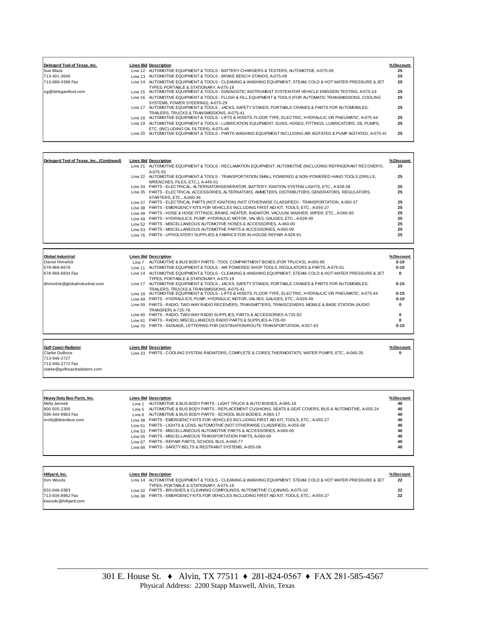| Delegard Tool of Texas, Inc. | <b>Lines Bid Description</b>                                                                                       | %Discount |
|------------------------------|--------------------------------------------------------------------------------------------------------------------|-----------|
| Sue Black                    | Line 12 AUTOMOTIVE EQUIPMENT & TOOLS - BATTERY CHARGERS & TESTERS, AUTOMOTIVE, A-075-06                            | 25        |
| 713-401-3640                 | Line 13 AUTOMOTIVE EQUIPMENT & TOOLS - BRAKE BENCH STANDS, A-075-08                                                | 25        |
| 713-688-4398 Fax             | Line 14 AUTOMOTIVE EQUIPMENT & TOOLS - CLEANING & WASHING EQUIPMENT. STEAM, COLD & HOT WATER PRESSURE & JET        | 25        |
|                              | TYPES, PORTABLE & STATIONARY, A-075-19                                                                             |           |
| sq@delegardtool.com          | Line 15 AUTOMOTIVE EQUIPMENT & TOOLS - DIAGNOSTIC INSTRUMENT SYSTEM FOR VEHICLE EMISSION TESTING, A-075-24         | 25        |
|                              | Line 16 AUTOMOTIVE EQUIPMENT & TOOLS - FLUSH & FILL EQUIPMENT & TOOLS (FOR AUTOMATIC TRANSMISSIONS, COOLING        | 25        |
|                              | SYSTEMS, POWER STEERING), A-075-29                                                                                 |           |
|                              | Line 17 AUTOMOTIVE EQUIPMENT & TOOLS - JACKS, SAFETY STANDS, PORTABLE CRANES & PARTS FOR AUTOMOBILES,              | 25        |
|                              | TRAILERS. TRUCKS & TRANSMISSIONS. A-075-41                                                                         |           |
|                              | AUTOMOTIVE EQUIPMENT & TOOLS - LIFTS & HOISTS, FLOOR TYPE, ELECTRIC, HYDRAULIC OR PNEUMATIC, A-075-44<br>Line 18   | 25        |
|                              | Line 19 AUTOMOTIVE EQUIPMENT & TOOLS - LUBRICATION EQUIPMENT, GUNS, HOSES, FITTINGS, LUBRICATORS, OIL PUMPS,       | 25        |
|                              | ETC. (INCLUDING OIL FILTERS), A-075-46                                                                             |           |
|                              | AUTOMOTIVE EQUIPMENT & TOOLS - PARTS WASHING EQUIPMENT INCLUDING AIR AGITATED & PUMP AGITATED. A-075-49<br>line 20 | 25        |
|                              |                                                                                                                    |           |

| Delegard Tool of Texas. Inc (Continued) |         | <b>Lines Bid Description</b>                                                                               | % Discount |
|-----------------------------------------|---------|------------------------------------------------------------------------------------------------------------|------------|
|                                         |         | Line 21 AUTOMOTIVE EQUIPMENT & TOOLS - RECLAMATION EQUIPMENT, AUTOMOTIVE (INCLUDING REFRIGERANT RECOVERY), | 25         |
|                                         |         | A-075-55                                                                                                   |            |
|                                         |         | Line 22 AUTOMOTIVE EQUIPMENT & TOOLS - TRANSPORTATION SMALL POWERED & NON-POWERED HAND TOOLS (DRILLS,      | 25         |
|                                         |         | WRENCHES, FILES, ETC.), A-445-01                                                                           |            |
|                                         |         | Line 34 PARTS - ELECTRICAL, ALTERNATOR/GENERATOR, BATTERY, IGNITION SYSTEM, LIGHTS, ETC., A-928-38         | 25         |
|                                         |         | Line 35 PARTS - ELECTRICAL ACCESSORIES, ALTERNATORS, AMMETERS, DISTRIBUTORS, GENERATORS, REGULATORS,       | 25         |
|                                         |         | STARTERS, ETC., A-060-36                                                                                   |            |
|                                         | Line 37 | PARTS - ELECTRICAL PARTS (NOT IGNITION) (NOT OTHERWISE CLASSIFIED) - TRANSPORTATION, A-060-37              | 25         |
|                                         |         | Line 38 PARTS - EMERGENCY KITS FOR VEHICLES INCLUDING FIRST AID KIT, TOOLS, ETC., A-055-27                 | 25         |
|                                         |         | Line 48 PARTS - HOSE & HOSE FITTINGS, BRAKE, HEATER, RADIATOR, VACUUM, WASHER, WIPER, ETC., A-060-60       | 25         |
|                                         | Line 49 | PARTS - HYDRAULICS, PUMP, HYDRAULIC MOTOR, VALVES, GAUGES, ETC., A-928-49                                  | 25         |
|                                         | Line 52 | PARTS - MISCELLANEOUS AUTOMOTIVE HOSES & ACCESSORIES, A-460-00                                             | 25         |
|                                         | Line 53 | PARTS - MISCELLANEOUS AUTOMOTIVE PARTS & ACCESSORIES, A-065-00                                             | 25         |
|                                         |         | Line 76 PARTS - UPHOLSTERY SUPPLIES & FABRICS FOR IN-HOUSE REPAIR A-928-91                                 | 25         |
|                                         |         |                                                                                                            |            |

| <b>Global Industrial</b>       |         | <b>Lines Bid Description</b>                                                                                                                          | % Discount |
|--------------------------------|---------|-------------------------------------------------------------------------------------------------------------------------------------------------------|------------|
| Daniel Himelick                | Line 7  | AUTOMOTIVE & BUS BODY PARTS - TOOL COMPARTMENT BOXES (FOR TRUCKS), A-065-85                                                                           | $0 - 10$   |
| 678-969-6676                   | Line 11 | AUTOMOTIVE EQUIPMENT & TOOLS - AIR POWERED SHOP TOOLS. REGULATORS & PARTS, A-075-01                                                                   | $0 - 15$   |
| 678-969-6834 Fax               |         | Line 14 AUTOMOTIVE EQUIPMENT & TOOLS - CLEANING & WASHING EQUIPMENT, STEAM, COLD & HOT WATER PRESSURE & JET<br>TYPES, PORTABLE & STATIONARY, A-075-19 | $\bf{0}$   |
| dhimelick@globalindustrial.com |         | Line 17 AUTOMOTIVE EQUIPMENT & TOOLS - JACKS, SAFETY STANDS, PORTABLE CRANES & PARTS FOR AUTOMOBILES,<br>TRAILERS. TRUCKS & TRANSMISSIONS, A-075-41   | $0 - 15$   |
|                                |         | Line 18 AUTOMOTIVE EQUIPMENT & TOOLS - LIFTS & HOISTS, FLOOR TYPE, ELECTRIC, HYDRAULIC OR PNEUMATIC, A-075-44                                         | $0 - 15$   |
|                                |         | Line 49 PARTS - HYDRAULICS, PUMP, HYDRAULIC MOTOR, VALVES, GAUGES, ETC., A-928-49                                                                     | $0 - 10$   |
|                                |         | Line 59 PARTS - RADIO, TWO-WAY RADIO RECEIVERS, TRANSMITTERS, TRANSCEIVERS; MOBILE & BASE STATION (AUDIO<br>TRANSFER) A-725-78                        | 0          |
|                                |         | Line 60 PARTS - RADIO, TWO-WAY RADIO SUPPLIES, PARTS & ACCESSORIES A-725-82                                                                           | 0          |
|                                | Line 61 | PARTS - RADIO, MISCELLANEOUS RADIO PARTS & SUPPLIES A-725-00                                                                                          | $\bf{0}$   |
|                                |         | Line 70 PARTS - SIGNAGE, LETTERING FOR DESTINATION/ROUTE TRANSPORTATION, A-557-63                                                                     | $0 - 15$   |

713-946-2727 713-946-2772 Fax clarke@gulfcoastradiators.com

**Gulf Coast Radiator Lines Bid Description % Discount**  Clarke DuBose Line 33 PARTS - COOLING SYSTEM, RADIATORS, COMPLETE & CORES,THERMOSTATS, WATER PUMPS, ETC., A-060-35 **0**

<u>Heavy Duty Bus Parts, Inc.</u> <u>Lines Bid Description</u><br>Molly Jannett Line 1 AUTOMOTIVE & BUS BODY PARTS - LIGHT TRUCK & AUTO BODIES, A-065-18<br>800-505-2300 Line 5 AUTOMOTIVE & BUS BODY PARTS - REPL 936-344-9963 Fax Line 6 AUTOMOTIVE & BUS BODY PARTS - SCHOOL BUS BODIES, A-065-17<br>
The 6 AUTOMOTIVE & BUS BODY PARTS - SCHOOL BUS BODIES, A-065-17<br>
Line 53 PARTS - LIGHTS & LENS, AUTOMOTIVE (NOT OTHERWISE CLASSIFIED), A-05 molly@directbus.com Line 38 PARTS - EMERGENCY KITS FOR VEHICLES INCLUDING FIRST AID KIT, TOOLS, ETC., A-055-27 **4 0** Line 51 PARTS - LIGHTS & LENS, AUTOMOTIVE (NOT OTHERWISE CLASSIFIED), A-055-58 **4 0** Line 53 PARTS - MISCELLANEOUS AUTOMOTIVE PARTS & ACCESSORIES, A-065-00 **4 0** Line 55 PARTS - MISCELLANEOUS TRANSPORTATION PARTS, A-060-00 **4 0** Line 67 PARTS - REPAIR PARTS, SCHOOL BUS, A-060-77 Line 68 PARTS - SAFETY BELTS & RESTRAINT SYSTEMS, A-055-08 **4 0**

| Hillyard, Inc.      | <b>Lines Bid Description</b>                                                                                | %Discount |
|---------------------|-------------------------------------------------------------------------------------------------------------|-----------|
| Kim Woods           | Line 14 AUTOMOTIVE EQUIPMENT & TOOLS - CLEANING & WASHING EQUIPMENT, STEAM, COLD & HOT WATER PRESSURE & JET | 22        |
|                     | TYPES. PORTABLE & STATIONARY, A-075-19                                                                      |           |
| 832-646-0383        | Line 32 PARTS - BRUSHES & CLEANING COMPOUNDS, AUTOMOTIVE CLEANING, A-075-10                                 | 22        |
| 713-934-8962 Fax    | Line 38 PARTS - EMERGENCY KITS FOR VEHICLES INCLUDING FIRST AID KIT, TOOLS, ETC., A-055-27                  | 22        |
| kwoods@hillvard.com |                                                                                                             |           |
|                     |                                                                                                             |           |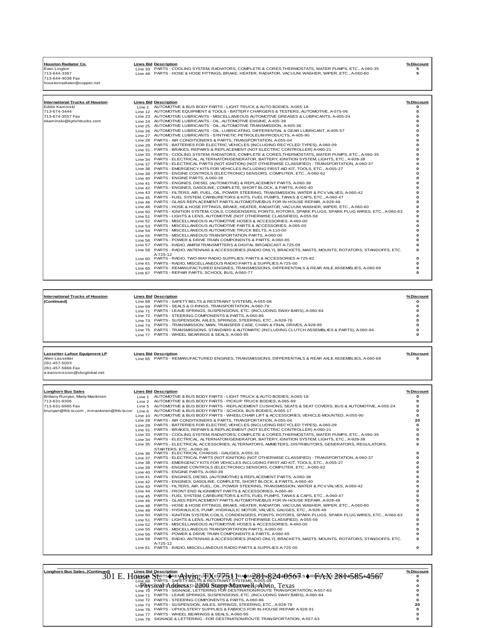| <b>Houston Radiator Co.</b><br>Evan Lington<br>713-644-3367<br>713-644-4038 Fax<br>houstonradiator@copper.net | <b>Lines Bid Description</b><br>1 ine 33 PARTS - COOLING SYSTEM, RADIATORS, COMPLETE & CORES, THERMOSTATS, WATER PUMPS, ETC., A-060-35<br>Line 48 PARTS - HOSE & HOSE FITTINGS, BRAKE, HEATER, RADIATOR, VACUUM, WASHER, WIPER, ETC., A-060-60 | %Discount |
|---------------------------------------------------------------------------------------------------------------|------------------------------------------------------------------------------------------------------------------------------------------------------------------------------------------------------------------------------------------------|-----------|
| <b>International Trucks of Houston</b>                                                                        | <b>Lines Bid Description</b>                                                                                                                                                                                                                   | %Discount |
| Eddie Kaminski                                                                                                | 1 ine 1 AUTOMOTIVE & BUS BODY PARTS - LIGHT TRUCK & AUTO BODIES, A-065-18                                                                                                                                                                      |           |
| 713-674-3444                                                                                                  | Line 12 AUTOMOTIVE EQUIPMENT & TOOLS - BATTERY CHARGERS & TESTERS, AUTOMOTIVE, A-075-06                                                                                                                                                        |           |
| 713-674-3557 Fax                                                                                              | 1 ine 23 AUTOMOTIVE LUBRICANTS - MISCELLANEOUS AUTOMOTIVE GREASES & LUBRICANTS, A-405-24                                                                                                                                                       |           |
| ekaminski@kyrishtrucks.com                                                                                    | Line 24 AUTOMOTIVE LUBRICANTS - OIL, AUTOMOTIVE ENGINE, A-405-39                                                                                                                                                                               |           |
|                                                                                                               | 1 ine 25 AUTOMOTIVE LUBRICANTS - OIL, AUTOMOTIVE TRANSMISSION, A-405-36                                                                                                                                                                        |           |
|                                                                                                               | 1 ine 26 AUTOMOTIVE LUBRICANTS - OIL, LUBRICATING, DIFFERENTIAL & GEAR LUBRICANT, A-405-57                                                                                                                                                     |           |
|                                                                                                               | Line 27 AUTOMOTIVE LUBRICANTS - SYNTHETIC PETROLEUM PRODUCTS, A-405-90                                                                                                                                                                         |           |
|                                                                                                               | 1 ine 28 PARTS - AIR CONDITIONERS & PARTS, TRANSPORTATION, A-055-04                                                                                                                                                                            |           |
|                                                                                                               | Line 29 PARTS - BATTERIES FOR ELECTRIC VEHICLES (INCLUDING RECYCLED TYPES), A-060-09                                                                                                                                                           |           |
|                                                                                                               | Line 31 PARTS - BRAKES, REPAIRS & REPLACEMENT (NOT ELECTRIC CONTROLLER) A-060-21                                                                                                                                                               |           |
|                                                                                                               | 1 ine 33 PARTS - COOLING SYSTEM, RADIATORS, COMPLETE & CORES, THERMOSTATS, WATER PUMPS, ETC., A-060-35                                                                                                                                         |           |
|                                                                                                               | Line 34 PARTS - ELECTRICAL, ALTERNATOR/GENERATOR, BATTERY, IGNITION SYSTEM, LIGHTS, ETC., A-928-38                                                                                                                                             |           |
|                                                                                                               | 1 ine 37 PARTS - ELECTRICAL PARTS (NOT IGNITION) (NOT OTHERWISE CLASSIFIED) - TRANSPORTATION, A-060-37                                                                                                                                         |           |
|                                                                                                               | Line 38 PARTS - EMERGENCY KITS FOR VEHICLES INCLUDING FIRST AID KIT, TOOLS, ETC., A-055-27                                                                                                                                                     |           |
|                                                                                                               | Line 39 PARTS - ENGINE CONTROLS (ELECTRONIC) SENSORS, COMPUTER, ETC., A-060-62                                                                                                                                                                 |           |
|                                                                                                               | Line 40 PARTS - ENGINE PARTS, A-060-39                                                                                                                                                                                                         |           |
|                                                                                                               | Line 41 PARTS - ENGINES, DIESEL (AUTOMOTIVE) & REPLACEMENT PARTS, A-060-38                                                                                                                                                                     |           |
|                                                                                                               | Line 42 PARTS - ENGINES, GASOLINE, COMPLETE, SHORT BLOCK, & PARTS, A-060-40                                                                                                                                                                    |           |
|                                                                                                               | Line 43 PARTS - FILTERS, AIR, FUEL, OIL, POWER STEERING, TRANSMISSION, WATER & PCV VALVES, A-060-42                                                                                                                                            |           |
|                                                                                                               | 1 ine 45 PARTS - FUEL SYSTEM, CARBURETORS & KITS, FUEL PUMPS, TANKS & CAPS, ETC., A-060-47                                                                                                                                                     |           |

|          | Tine 45 PARTS - FUEL SYSTEM. CARBURETORS & KITS. FUEL PUMPS. TANKS & CAPS. ETC A-060-47                           |  |
|----------|-------------------------------------------------------------------------------------------------------------------|--|
|          | Line 46 PARTS - GLASS REPLACEMENT PARTS AUTOMOTIVE/BUS FOR IN-HOUSE REPAIR, A-928-48                              |  |
|          | Line 48 PARTS - HOSE & HOSE FITTINGS, BRAKE, HEATER, RADIATOR, VACUUM, WASHER, WIPER, ETC., A-060-60              |  |
|          | Line 50 PARTS - IGNITION SYSTEM, COILS, CONDENSERS, POINTS, ROTORS, SPARK PLUGS, SPARK PLUG WIRES, ETC., A-060-63 |  |
| Line 51  | PARTS - LIGHTS & LENS. AUTOMOTIVE (NOT OTHERWISE CLASSIFIED). A-055-58                                            |  |
|          | 1 ine 52 PARTS - MISCELLANEOUS AUTOMOTIVE HOSES & ACCESSORIES, A-460-00                                           |  |
|          | 1 ine 53 PARTS - MISCELLANEOUS AUTOMOTIVE PARTS & ACCESSORIES, A-065-00                                           |  |
|          | Line 54 PARTS - MISCELLANEOUS AUTOMOTIVE TRUCK BELTS, A-110-00                                                    |  |
|          | Line 55 PARTS - MISCELLANEOUS TRANSPORTATION PARTS, A-060-00                                                      |  |
|          | Line 56 PARTS - POWER & DRIVE TRAIN COMPONENTS & PARTS, A-060-65                                                  |  |
| Line 57  | PARTS - RADIO, AM/FM TRANSMITTERS & DIGITAL BROADCAST A-725-09                                                    |  |
|          | Line 58 PARTS - RADIO, ANTENNAS & ACCESSORIES (RADIO ONLY), BRACKETS, MASTS, MOUNTS, ROTATORS, STANDOFFS, ETC.    |  |
|          | A-725-12                                                                                                          |  |
| Line 60  | PARTS - RADIO, TWO-WAY RADIO SUPPLIES, PARTS & ACCESSORIES A-725-82                                               |  |
| Line 61  | PARTS - RADIO, MISCELLANEOUS RADIO PARTS & SUPPLIES A-725-00                                                      |  |
| l ine 65 | PARTS - REMANUFACTURED ENGINES, TRANSMISSIONS, DIFFERENTIALS & REAR AXLE ASSEMBLIES, A-060-69                     |  |
|          | Line 67 PARTS - REPAIR PARTS, SCHOOL BUS, A-060-77                                                                |  |

| <b>International Trucks of Houston</b> | <b>Lines Bid Description</b>                                                                        | %Discount |
|----------------------------------------|-----------------------------------------------------------------------------------------------------|-----------|
| (Continued)                            | Line 68 PARTS - SAFETY BELTS & RESTRAINT SYSTEMS, A-055-08                                          |           |
|                                        | Line 69 PARTS - SEALS & O-RINGS, TRANSPORTATION, A-060-79                                           |           |
|                                        | Line 71 PARTS - LEAVE SPRINGS, SUSPENSIONS, ETC. (INCLUDING SWAY BARS), A-060-84                    |           |
|                                        | Line 72 PARTS - STEERING COMPONENTS & PARTS, A-060-86                                               |           |
|                                        | Line 73 PARTS - SUSPENSION, AXLES, SPRINGS, STEERING, ETC., A-928-76                                |           |
|                                        | 1 ine 74 PARTS - TRANSMISSION, MAIN, TRANSFER CASE, CHAIN & FINAL DRIVES, A-928-85                  |           |
|                                        | Line 75 PARTS - TRANSMISSIONS, STANDARD & AUTOMATIC (INCLUDING CLUTCH ASSEMBLIES & PARTS), A-060-94 |           |
|                                        | Line 77 PARTS - WHEEL BEARINGS & SEALS, A-060-95                                                    |           |

**Lassetter-Lafour Equipment LP Lines Bid Description % Discount** Allen Lassetter Line 65 PARTS - REMANUFACTURED ENGINES, TRANSMISSIONS, DIFFERENTIALS & REAR AXLE ASSEMBLIES, A-060-69 **0**

281-457-5003 281-457-5866 Fax a.transmission@sbcglobal.net

| a.transmission@sbcqlobal.net |  |  |  |  |  |  |
|------------------------------|--|--|--|--|--|--|
|                              |  |  |  |  |  |  |
|                              |  |  |  |  |  |  |
|                              |  |  |  |  |  |  |

| <b>Longhorn Bus Sales</b>                |        | <b>Lines Bid Description</b>                                                                                      | %Discount |
|------------------------------------------|--------|-------------------------------------------------------------------------------------------------------------------|-----------|
| Brittany Runyan, Marty Mankinen          |        | Line 1 AUTOMOTIVE & BUS BODY PARTS - LIGHT TRUCK & AUTO BODIES, A-065-18                                          | 0         |
| 713-631-9306                             |        | Line 2 AUTOMOTIVE & BUS BODY PARTS - PICKUP TRUCK BODIES, A-065-69                                                | o         |
| 713-631-6965 Fax                         |        | Line 5 AUTOMOTIVE & BUS BODY PARTS - REPLACEMENT CUSHIONS, SEATS & SEAT COVERS, BUS & AUTOMOTIVE, A-055-24        | ŋ         |
| brunyan@lhb-tx.com, mmankinen@lhb-tx.cor | Line 6 | AUTOMOTIVE & BUS BODY PARTS - SCHOOL BUS BODIES, A-065-17                                                         | n         |
|                                          |        | Line 10 AUTOMOTIVE & BUS BODY PARTS - WHEELCHAIR LIFT & ACCESSORIES, VEHICLE-MOUNTED, A-055-90                    | $\Omega$  |
|                                          |        | Line 28 PARTS - AIR CONDITIONERS & PARTS, TRANSPORTATION, A-055-04                                                | 20        |
|                                          |        | Line 29 PARTS - BATTERIES FOR ELECTRIC VEHICLES (INCLUDING RECYCLED TYPES), A-060-09                              | n         |
|                                          |        | Line 31 PARTS - BRAKES, REPARS & REPLACEMENT (NOT ELECTRIC CONTROLLER) A-060-21                                   |           |
|                                          |        | Line 33 PARTS - COOLING SYSTEM, RADIATORS, COMPLETE & CORES, THERMOSTATS, WATER PUMPS, ETC., A-060-35             |           |
|                                          |        | Line 34 PARTS - ELECTRICAL, ALTERNATOR/GENERATOR, BATTERY, IGNITION SYSTEM, LIGHTS, ETC., A-928-38                |           |
|                                          |        | Line 35 PARTS - ELECTRICAL ACCESSORIES, ALTERNATORS, AMMETERS, DISTRIBUTORS, GENERATORS, REGULATORS,              |           |
|                                          |        | STARTERS, ETC., A-060-36                                                                                          |           |
|                                          |        | Line 36 PARTS - ELECTRICAL CHASSIS - GAUGES, A-055-31                                                             | 0         |
|                                          |        | Line 37 PARTS - ELECTRICAL PARTS (NOT IGNITION) (NOT OTHERWISE CLASSIFIED) - TRANSPORTATION, A-060-37             | ŋ         |
|                                          |        | Line 38 PARTS - EMERGENCY KITS FOR VEHICLES INCLUDING FIRST AID KIT, TOOLS, ETC., A-055-27                        |           |
|                                          |        | Line 39 PARTS - ENGINE CONTROLS (ELECTRONIC) SENSORS, COMPUTER, ETC., A-060-62                                    |           |
|                                          |        | Line 40 PARTS - ENGINE PARTS, A-060-39                                                                            |           |
|                                          |        | Line 41 PARTS - ENGINES, DIESEL (AUTOMOTIVE) & REPLACEMENT PARTS, A-060-38                                        |           |
|                                          |        | Line 42 PARTS - ENGINES, GASOLINE, COMPLETE, SHORT BLOCK, & PARTS, A-060-40                                       |           |
|                                          |        | Line 43 PARTS - FILTERS, AIR, FUEL, OIL, POWER STEERING, TRANSMISSION, WATER & PCV VALVES, A-060-42               |           |
|                                          |        | Line 44 PARTS - FRONT END ALIGNMENT PARTS & ACCESSORIES, A-060-46                                                 |           |
|                                          |        | Line 45 PARTS - FUEL SYSTEM, CARBURETORS & KITS, FUEL PUMPS, TANKS & CAPS, ETC., A-060-47                         |           |
|                                          |        | 1 ine 46 PARTS - GLASS REPLACEMENT PARTS AUTOMOTIVE/BUS FOR IN-HOUSE REPAIR, A-928-48                             |           |
|                                          |        | Line 48 PARTS - HOSE & HOSE FITTINGS, BRAKE, HEATER, RADIATOR, VACUUM, WASHER, WIPER, ETC., A-060-60              |           |
|                                          |        | Line 49 PARTS - HYDRAULICS, PUMP, HYDRAULIC MOTOR, VALVES, GAUGES, ETC., A-928-49                                 |           |
|                                          |        | Line 50 PARTS - IGNITION SYSTEM, COILS, CONDENSERS, POINTS, ROTORS, SPARK PLUGS, SPARK PLUG WIRES, ETC., A-060-63 | ŋ         |
|                                          |        | Line 51 PARTS - LIGHTS & LENS, AUTOMOTIVE (NOT OTHERWISE CLASSIFIED), A-055-58                                    |           |
|                                          |        | Line 52 PARTS - MISCELLANEOUS AUTOMOTIVE HOSES & ACCESSORIES, A-460-00                                            | ŋ         |
|                                          |        | Line 55 PARTS - MISCELLANEOUS TRANSPORTATION PARTS, A-060-00                                                      | ŋ         |
|                                          |        | Line 56 PARTS - POWER & DRIVE TRAIN COMPONENTS & PARTS, A-060-65                                                  | O         |
|                                          |        | Line 58 PARTS - RADIO, ANTENNAS & ACCESSORIES (RADIO ONLY), BRACKETS, MASTS, MOUNTS, ROTATORS, STANDOFFS, ETC.    | 0         |
|                                          |        | A-725-12                                                                                                          |           |
|                                          |        | Line 61 PARTS - RADIO, MISCELLANEOUS RADIO PARTS & SUPPLIES A-725-00                                              | $\Omega$  |
|                                          |        |                                                                                                                   |           |

| Longhorn Bus Sales, (Continued)<br><b>Lines Bid Description</b>                            | %Discount |
|--------------------------------------------------------------------------------------------|-----------|
| SprTS◆RENANUTATUFEXETGh5\$, TRASNB84N824=056As◆RENAXE284M58544567                          |           |
| Line 68 PARTS - SAFETY BELTS & RESTRAINT SYSTEMS, A-055-08                                 |           |
| LinPlaysicalTsAddress.o-2000 StarpportaxmelA.ogNavin.Texas                                 |           |
| Line 70 PARTS - SIGNAGE, LETTERING FOR DESTINATION/ROUTE TRANSPORTATION, A-557-63          |           |
| PARTS - LEAVE SPRINGS, SUSPENSIONS, ETC. (INCLUDING SWAY BARS), A-060-84<br><b>Line 71</b> |           |
| Line 72 PARTS - STEERING COMPONENTS & PARTS, A-060-86                                      |           |
| Line 73 PARTS - SUSPENSION, AXLES, SPRINGS, STEERING, ETC., A-928-76                       | 20        |
| Line 76 PARTS - UPHOLSTERY SUPPLIES & FABRICS FOR IN-HOUSE REPAIR A-928-91                 |           |
| Line 77 PARTS - WHEEL BEARINGS & SEALS, A-060-95                                           |           |
| Line 78 SIGNAGE & LETTERING - FOR DESTINATION/ROUTE TRANSPORTATION, A-557-63               |           |
|                                                                                            |           |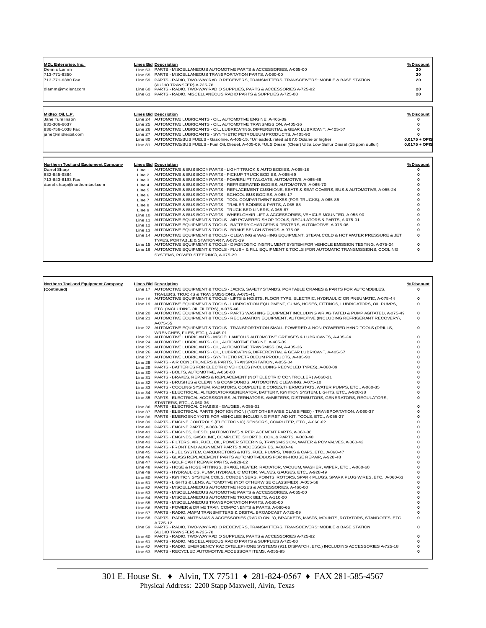| <b>MDL Enterprise. Inc.</b> | <b>Lines Bid Description</b>                                                                                                   | % Discount |
|-----------------------------|--------------------------------------------------------------------------------------------------------------------------------|------------|
| Dennis Lamm                 | Line 53 PARTS - MISCELLANEOUS AUTOMOTIVE PARTS & ACCESSORIES, A-065-00                                                         | 20         |
| 713-771-6350                | Line 55 PARTS - MISCELLANEOUS TRANSPORTATION PARTS, A-060-00                                                                   | 20         |
| 713-771-6380 Fax            | Line 59 PARTS - RADIO, TWO-WAY RADIO RECEIVERS, TRANSMITTERS, TRANSCEIVERS: MOBILE & BASE STATION<br>(AUDIO TRANSFER) A-725-78 | 20         |
| dlamm@mdlent.com            | Line 60 PARTS - RADIO, TWO-WAY RADIO SUPPLIES, PARTS & ACCESSORIES A-725-82                                                    | 20         |
|                             | Line 61 PARTS - RADIO, MISCELLANEOUS RADIO PARTS & SUPPLIES A-725-00                                                           | 20         |
| Midtex Oil. L.P.            | <b>Lines Bid Description</b>                                                                                                   | % Discount |
| Jane Tumlinson              | Line 24 AUTOMOTIVE LUBRICANTS - OIL, AUTOMOTIVE ENGINE, A-405-39                                                               | 0          |
| 832-306-6637                | Line 25 AUTOMOTIVE LUBRICANTS - OIL, AUTOMOTIVE TRANSMISSION, A-405-36                                                         |            |

| uus uuu uuu                         |         | LITE 2J AUTOMOTIVE EUDINIUM TU - UIE, AUTOMOTIVE TIVA (UMIUUIUI), A 400 00                                             |                 |
|-------------------------------------|---------|------------------------------------------------------------------------------------------------------------------------|-----------------|
| 936-756-1038 Fax                    |         | Line 26 AUTOMOTIVE LUBRICANTS - OIL, LUBRICATING, DIFFERENTIAL & GEAR LUBRICANT, A-405-57                              |                 |
| liane@midtexoil.com                 |         | Line 27 AUTOMOTIVE LUBRICANTS - SYNTHETIC PETROLEUM PRODUCTS, A-405-90                                                 |                 |
|                                     |         | Line 80 AUTOMOTIVE/BUS FUELS - Gasoline, A-405-15. *Unleaded, rated at 87.0 Octane or higher                           | $0.0175 + OPIS$ |
|                                     |         | Line 81 AUTOMOTIVE/BUS FUELS - Fuel Oil, Diesel, A-405-09. *ULS Diesel (Clear) Ultra Low Sulfur Diesel (15 ppm sulfur) | $0.0175 + OPIS$ |
|                                     |         |                                                                                                                        |                 |
| Northern Tool and Equipment Company |         | <b>Lines Bid Description</b>                                                                                           | % Discount      |
| Darrel Sharp                        |         | Line 1 AUTOMOTIVE & BUS BODY PARTS - LIGHT TRUCK & AUTO BODIES, A-065-18                                               |                 |
| 832-845-9864                        | Line 2  | AUTOMOTIVE & BUS BODY PARTS - PICKUP TRUCK BODIES, A-065-69                                                            |                 |
| 713-643-6193 Fax                    | Line 3  | AUTOMOTIVE & BUS BODY PARTS - POWERLIFT TAILGATE, AUTOMOTIVE, A-065-68                                                 |                 |
| darrel.sharp@northerntool.com       | Line 4  | AUTOMOTIVE & BUS BODY PARTS - REFRIGERATED BODIES, AUTOMOTIVE, A-065-70                                                |                 |
|                                     | Line 5  | AUTOMOTIVE & BUS BODY PARTS - REPLACEMENT CUSHIONS, SEATS & SEAT COVERS, BUS & AUTOMOTIVE, A-055-24                    |                 |
|                                     | Line 6  | AUTOMOTIVE & BUS BODY PARTS - SCHOOL BUS BODIES, A-065-17                                                              |                 |
|                                     | Line 7  | AUTOMOTIVE & BUS BODY PARTS - TOOL COMPARTMENT BOXES (FOR TRUCKS), A-065-85                                            |                 |
|                                     | Line 8  | AUTOMOTIVE & BUS BODY PARTS - TRAILER BODIES & PARTS, A-065-88                                                         |                 |
|                                     | Line 9  | AUTOMOTIVE & BUS BODY PARTS - TRUCK BED LINERS, A-065-87                                                               |                 |
|                                     | Line 10 | AUTOMOTIVE & BUS BODY PARTS - WHEELCHAIR LIFT & ACCESSORIES, VEHICLE-MOUNTED, A-055-90                                 |                 |
|                                     | Line 11 | AUTOMOTIVE EQUIPMENT & TOOLS - AIR POWERED SHOP TOOLS, REGULATORS & PARTS, A-075-01                                    |                 |
|                                     | Line 12 | AUTOMOTIVE EQUIPMENT & TOOLS - BATTERY CHARGERS & TESTERS, AUTOMOTIVE, A-075-06                                        |                 |
|                                     |         | Line 13 AUTOMOTIVE EQUIPMENT & TOOLS - BRAKE BENCH STANDS, A-075-08                                                    |                 |
|                                     |         | Line 14 AUTOMOTIVE EQUIPMENT & TOOLS - CLEANING & WASHING EQUIPMENT. STEAM, COLD & HOT WATER PRESSURE & JET            |                 |
|                                     |         | TYPES, PORTABLE & STATIONARY, A-075-19                                                                                 |                 |
|                                     |         | Line 15 AUTOMOTIVE EQUIPMENT & TOOLS - DIAGNOSTIC INSTRUMENT SYSTEM FOR VEHICLE EMISSION TESTING, A-075-24             | 0               |
|                                     |         | Line 16 AUTOMOTIVE EQUIPMENT & TOOLS - FLUSH & FILL EQUIPMENT & TOOLS (FOR AUTOMATIC TRANSMISSIONS, COOLING            | $\Omega$        |
|                                     |         | SYSTEMS, POWER STEERING), A-075-29                                                                                     |                 |
|                                     |         |                                                                                                                        |                 |

| Northern Tool and Equipment Company | <b>Lines Bid Description</b>                                                                                                                                                                           | % Discount  |
|-------------------------------------|--------------------------------------------------------------------------------------------------------------------------------------------------------------------------------------------------------|-------------|
| (Continued)                         | Line 17 AUTOMOTIVE EQUIPMENT & TOOLS - JACKS, SAFETY STANDS, PORTABLE CRANES & PARTS FOR AUTOMOBILES,                                                                                                  | 0           |
|                                     | TRAILERS. TRUCKS & TRANSMISSIONS. A-075-41                                                                                                                                                             |             |
|                                     | Line 18 AUTOMOTIVE EQUIPMENT & TOOLS - LIFTS & HOISTS, FLOOR TYPE, ELECTRIC, HYDRAULIC OR PNEUMATIC, A-075-44                                                                                          | 0           |
|                                     | Line 19 AUTOMOTIVE EQUIPMENT & TOOLS - LUBRICATION EQUIPMENT, GUNS, HOSES, FITTINGS, LUBRICATORS, OIL PUMPS,                                                                                           | 0           |
|                                     | ETC. (INCLUDING OIL FILTERS), A-075-46                                                                                                                                                                 |             |
|                                     | Line 20 AUTOMOTIVE EQUIPMENT & TOOLS - PARTS WASHING EQUIPMENT INCLUDING AIR AGITATED & PUMP AGITATED, A-075-49                                                                                        | $\mathbf 0$ |
|                                     | Line 21 AUTOMOTIVE EQUIPMENT & TOOLS - RECLAMATION EQUIPMENT, AUTOMOTIVE (INCLUDING REFRIGERANT RECOVERY),                                                                                             | 0           |
|                                     | A-075-55                                                                                                                                                                                               |             |
|                                     | Line 22 AUTOMOTIVE EQUIPMENT & TOOLS - TRANSPORTATION SMALL POWERED & NON-POWERED HAND TOOLS (DRILLS,                                                                                                  | $\mathbf 0$ |
|                                     | WRENCHES, FILES, ETC.), A-445-01                                                                                                                                                                       | 0           |
|                                     | Line 23 AUTOMOTIVE LUBRICANTS - MISCELLANEOUS AUTOMOTIVE GREASES & LUBRICANTS, A-405-24<br>Line 24 AUTOMOTIVE LUBRICANTS - OIL, AUTOMOTIVE ENGINE, A-405-39                                            | 0           |
|                                     | Line 25 AUTOMOTIVE LUBRICANTS - OIL, AUTOMOTIVE TRANSMISSION, A-405-36                                                                                                                                 | n           |
|                                     | Line 26 AUTOMOTIVE LUBRICANTS - OIL, LUBRICATING, DIFFERENTIAL & GEAR LUBRICANT, A-405-57                                                                                                              | U           |
|                                     | Line 27 AUTOMOTIVE LUBRICANTS - SYNTHETIC PETROLEUM PRODUCTS, A-405-90                                                                                                                                 | 0           |
|                                     | Line 28 PARTS - AIR CONDITIONERS & PARTS, TRANSPORTATION, A-055-04                                                                                                                                     | 0           |
|                                     | Line 29 PARTS - BATTERIES FOR ELECTRIC VEHICLES (INCLUDING RECYCLED TYPES), A-060-09                                                                                                                   | 0           |
|                                     | Line 30 PARTS - BOLTS, AUTOMOTIVE, A-060-08                                                                                                                                                            | n           |
|                                     | Line 31 PARTS - BRAKES, REPAIRS & REPLACEMENT (NOT ELECTRIC CONTROLLER) A-060-21                                                                                                                       | 0           |
|                                     | Line 32 PARTS - BRUSHES & CLEANING COMPOUNDS, AUTOMOTIVE CLEANING, A-075-10                                                                                                                            | 0           |
|                                     | Line 33 PARTS - COOLING SYSTEM, RADIATORS, COMPLETE & CORES, THERMOSTATS, WATER PUMPS, ETC., A-060-35                                                                                                  | n           |
|                                     | Line 34 PARTS - ELECTRICAL, ALTERNATOR/GENERATOR, BATTERY, IGNITION SYSTEM, LIGHTS, ETC., A-928-38                                                                                                     | 0           |
|                                     | Line 35 PARTS - ELECTRICAL ACCESSORIES, ALTERNATORS, AMMETERS, DISTRIBUTORS, GENERATORS, REGULATORS,                                                                                                   | 0           |
|                                     | STARTERS, ETC., A-060-36                                                                                                                                                                               |             |
|                                     | Line 36 PARTS - ELECTRICAL CHASSIS - GAUGES, A-055-31                                                                                                                                                  | 0           |
|                                     | Line 37 PARTS - ELECTRICAL PARTS (NOT IGNITION) (NOT OTHERWISE CLASSIFIED) - TRANSPORTATION, A-060-37                                                                                                  | 0           |
|                                     | Line 38 PARTS - EMERGENCY KITS FOR VEHICLES INCLUDING FIRST AID KIT, TOOLS, ETC., A-055-27                                                                                                             | n           |
|                                     | Line 39 PARTS - ENGINE CONTROLS (ELECTRONIC) SENSORS, COMPUTER, ETC., A-060-62                                                                                                                         | 0           |
|                                     | Line 40 PARTS - ENGINE PARTS, A-060-39                                                                                                                                                                 | n           |
|                                     | Line 41 PARTS - ENGINES, DIESEL (AUTOMOTIVE) & REPLACEMENT PARTS, A-060-38                                                                                                                             | n           |
|                                     | Line 42 PARTS - ENGINES, GASOLINE, COMPLETE, SHORT BLOCK, & PARTS, A-060-40                                                                                                                            | 0           |
|                                     | Line 43 PARTS - FILTERS, AIR, FUEL, OIL, POWER STEERING, TRANSMISSION, WATER & PCV VALVES, A-060-42                                                                                                    | 0           |
|                                     | Line 44 PARTS - FRONT END ALIGNMENT PARTS & ACCESSORIES, A-060-46                                                                                                                                      | 0           |
|                                     | Line 45 PARTS - FUEL SYSTEM, CARBURETORS & KITS, FUEL PUMPS, TANKS & CAPS, ETC., A-060-47                                                                                                              | 0<br>n      |
|                                     | Line 46 PARTS - GLASS REPLACEMENT PARTS AUTOMOTIVE/BUS FOR IN-HOUSE REPAIR, A-928-48                                                                                                                   | n           |
|                                     | Line 47 PARTS - GOLF CART REPAIR PARTS, A-929-62<br>Line 48 PARTS - HOSE & HOSE FITTINGS, BRAKE, HEATER, RADIATOR, VACUUM, WASHER, WIPER, ETC., A-060-60                                               | 0           |
|                                     |                                                                                                                                                                                                        | n           |
|                                     | Line 49 PARTS - HYDRAULICS, PUMP, HYDRAULIC MOTOR, VALVES, GAUGES, ETC., A-928-49<br>Line 50 PARTS - IGNITION SYSTEM, COILS, CONDENSERS, POINTS, ROTORS, SPARK PLUGS, SPARK PLUG WIRES, ETC., A-060-63 | 0           |
|                                     | Line 51 PARTS - LIGHTS & LENS, AUTOMOTIVE (NOT OTHERWISE CLASSIFIED), A-055-58                                                                                                                         | n           |
|                                     | Line 52 PARTS - MISCELLANEOUS AUTOMOTIVE HOSES & ACCESSORIES, A-460-00                                                                                                                                 | U           |
|                                     | Line 53 PARTS - MISCELLANEOUS AUTOMOTIVE PARTS & ACCESSORIES, A-065-00                                                                                                                                 | U           |
|                                     | Line 54 PARTS - MISCELLANEOUS AUTOMOTIVE TRUCK BELTS, A-110-00                                                                                                                                         | U           |
|                                     | Line 55 PARTS - MISCELLANEOUS TRANSPORTATION PARTS, A-060-00                                                                                                                                           | 0           |
|                                     | Line 56 PARTS - POWER & DRIVE TRAIN COMPONENTS & PARTS, A-060-65                                                                                                                                       | 0           |
|                                     | Line 57 PARTS - RADIO, AM/FM TRANSMITTERS & DIGITAL BROADCAST A-725-09                                                                                                                                 | 0           |
|                                     | Line 58 PARTS - RADIO, ANTENNAS & ACCESSORIES (RADIO ONLY), BRACKETS, MASTS, MOUNTS, ROTATORS, STANDOFFS, ETC.                                                                                         | 0           |
|                                     | A-725-12                                                                                                                                                                                               |             |
|                                     | Line 59 PARTS - RADIO, TWO-WAY RADIO RECEIVERS, TRANSMITTERS, TRANSCEIVERS: MOBILE & BASE STATION                                                                                                      | 0           |
|                                     | (AUDIO TRANSFER) A-725-78                                                                                                                                                                              |             |
|                                     | Line 60 PARTS - RADIO, TWO-WAY RADIO SUPPLIES, PARTS & ACCESSORIES A-725-82                                                                                                                            | 0           |
|                                     | Line 61 PARTS - RADIO, MISCELLANEOUS RADIO PARTS & SUPPLIES A-725-00                                                                                                                                   | 0           |
|                                     | Line 62 PARTS - RADIO, EMERGENCY RADIO/TELEPHONE SYSTEMS (911 DISPATCH, ETC.) INCLUDING ACCESSORIES A-725-18                                                                                           | 0           |
|                                     | Line 63 PARTS - RECYCLED AUTOMOTIVE ACCESSORY ITEMS, A-055-95                                                                                                                                          | 0           |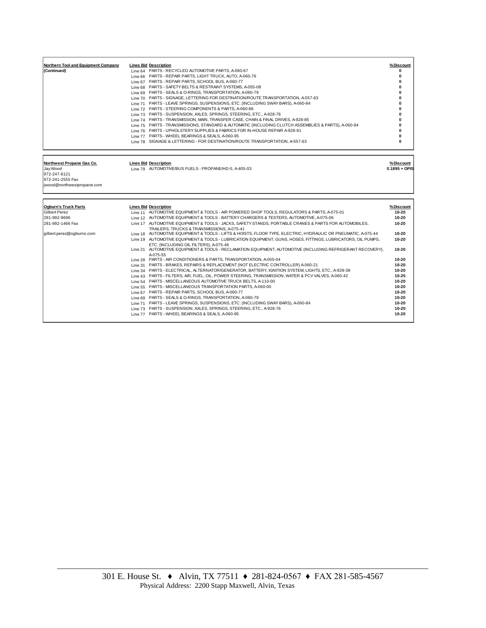| Northern Tool and Equipment Company<br>(Continued)                                                      | <b>Lines Bid Description</b><br>Line 64 PARTS - RECYCLED AUTOMOTIVE PARTS, A-060-67<br>Line 66 PARTS - REPAIR PARTS, LIGHT TRUCK, AUTO, A-060-76<br>Line 67 PARTS - REPAIR PARTS, SCHOOL BUS, A-060-77<br>Line 68 PARTS - SAFETY BELTS & RESTRAINT SYSTEMS, A-055-08<br>Line 69 PARTS - SEALS & O-RINGS, TRANSPORTATION, A-060-79<br>Line 70 PARTS - SIGNAGE, LETTERING FOR DESTINATION/ROUTE TRANSPORTATION, A-557-63<br>Line 71 PARTS - LEAVE SPRINGS, SUSPENSIONS, ETC. (INCLUDING SWAY BARS), A-060-84<br>Line 72 PARTS - STEERING COMPONENTS & PARTS, A-060-86<br>Line 73 PARTS - SUSPENSION, AXLES, SPRINGS, STEERING, ETC., A-928-76<br>Line 74 PARTS - TRANSMISSION, MAIN, TRANSFER CASE, CHAIN & FINAL DRIVES, A-928-85<br>Line 75 PARTS - TRANSMISSIONS, STANDARD & AUTOMATIC (INCLUDING CLUTCH ASSEMBLIES & PARTS), A-060-94<br>Line 76 PARTS - UPHOLSTERY SUPPLIES & FABRICS FOR IN-HOUSE REPAIR A-928-91<br>Line 77 PARTS - WHEEL BEARINGS & SEALS, A-060-95<br>Line 78 SIGNAGE & LETTERING - FOR DESTINATION/ROUTE TRANSPORTATION, A-557-63 | % Discount<br>ŋ<br>0<br>0<br>0<br>0<br>O<br>0<br>O<br>$\mathbf{0}$<br>ŋ<br>0<br>O<br>0<br>0 |
|---------------------------------------------------------------------------------------------------------|-----------------------------------------------------------------------------------------------------------------------------------------------------------------------------------------------------------------------------------------------------------------------------------------------------------------------------------------------------------------------------------------------------------------------------------------------------------------------------------------------------------------------------------------------------------------------------------------------------------------------------------------------------------------------------------------------------------------------------------------------------------------------------------------------------------------------------------------------------------------------------------------------------------------------------------------------------------------------------------------------------------------------------------------------------------|---------------------------------------------------------------------------------------------|
| Northwest Propane Gas Co.<br>Jay Wood<br>972-247-6121<br>972-241-2555 Fax<br>jwood@northwestpropane.com | <b>Lines Bid Description</b><br>Line 79 AUTOMOTIVE/BUS FUELS - PROPANE/HD-5, A-405-03                                                                                                                                                                                                                                                                                                                                                                                                                                                                                                                                                                                                                                                                                                                                                                                                                                                                                                                                                                     | % Discount<br>$0.1895 + OPIS$                                                               |
|                                                                                                         |                                                                                                                                                                                                                                                                                                                                                                                                                                                                                                                                                                                                                                                                                                                                                                                                                                                                                                                                                                                                                                                           |                                                                                             |
|                                                                                                         |                                                                                                                                                                                                                                                                                                                                                                                                                                                                                                                                                                                                                                                                                                                                                                                                                                                                                                                                                                                                                                                           |                                                                                             |
| <b>Ogburn's Truck Parts</b>                                                                             | <b>Lines Bid Description</b>                                                                                                                                                                                                                                                                                                                                                                                                                                                                                                                                                                                                                                                                                                                                                                                                                                                                                                                                                                                                                              | % Discount                                                                                  |
| <b>Gilbert Perez</b>                                                                                    | Line 11 AUTOMOTIVE EQUIPMENT & TOOLS - AIR POWERED SHOP TOOLS, REGULATORS & PARTS, A-075-01                                                                                                                                                                                                                                                                                                                                                                                                                                                                                                                                                                                                                                                                                                                                                                                                                                                                                                                                                               | 10-20                                                                                       |
| 281-992-9696                                                                                            | Line 12 AUTOMOTIVE EQUIPMENT & TOOLS - BATTERY CHARGERS & TESTERS, AUTOMOTIVE, A-075-06                                                                                                                                                                                                                                                                                                                                                                                                                                                                                                                                                                                                                                                                                                                                                                                                                                                                                                                                                                   | 10-20                                                                                       |
| 281-992-1466 Fax                                                                                        | Line 17 AUTOMOTIVE EQUIPMENT & TOOLS - JACKS, SAFETY STANDS, PORTABLE CRANES & PARTS FOR AUTOMOBILES,                                                                                                                                                                                                                                                                                                                                                                                                                                                                                                                                                                                                                                                                                                                                                                                                                                                                                                                                                     | 10-20                                                                                       |
| gilbert.perez@ogburns.com                                                                               | TRAILERS, TRUCKS & TRANSMISSIONS, A-075-41<br>Line 18 AUTOMOTIVE EQUIPMENT & TOOLS - LIFTS & HOISTS, FLOOR TYPE, ELECTRIC, HYDRAULIC OR PNEUMATIC, A-075-44                                                                                                                                                                                                                                                                                                                                                                                                                                                                                                                                                                                                                                                                                                                                                                                                                                                                                               | 10-20                                                                                       |
|                                                                                                         | Line 19 AUTOMOTIVE EQUIPMENT & TOOLS - LUBRICATION EQUIPMENT, GUNS, HOSES, FITTINGS, LUBRICATORS, OIL PUMPS,                                                                                                                                                                                                                                                                                                                                                                                                                                                                                                                                                                                                                                                                                                                                                                                                                                                                                                                                              | 10-20                                                                                       |
|                                                                                                         | ETC. (INCLUDING OIL FILTERS), A-075-46                                                                                                                                                                                                                                                                                                                                                                                                                                                                                                                                                                                                                                                                                                                                                                                                                                                                                                                                                                                                                    |                                                                                             |
|                                                                                                         | Line 21 AUTOMOTIVE EQUIPMENT & TOOLS - RECLAMATION EQUIPMENT, AUTOMOTIVE (INCLUDING REFRIGERANT RECOVERY),                                                                                                                                                                                                                                                                                                                                                                                                                                                                                                                                                                                                                                                                                                                                                                                                                                                                                                                                                | 10-20                                                                                       |
|                                                                                                         | A-075-55                                                                                                                                                                                                                                                                                                                                                                                                                                                                                                                                                                                                                                                                                                                                                                                                                                                                                                                                                                                                                                                  |                                                                                             |
|                                                                                                         | Line 28 PARTS - AIR CONDITIONERS & PARTS, TRANSPORTATION, A-055-04                                                                                                                                                                                                                                                                                                                                                                                                                                                                                                                                                                                                                                                                                                                                                                                                                                                                                                                                                                                        | 10-20                                                                                       |
|                                                                                                         | Line 31 PARTS - BRAKES, REPAIRS & REPLACEMENT (NOT ELECTRIC CONTROLLER) A-060-21                                                                                                                                                                                                                                                                                                                                                                                                                                                                                                                                                                                                                                                                                                                                                                                                                                                                                                                                                                          | 10-20                                                                                       |
|                                                                                                         | Line 34 PARTS - ELECTRICAL, ALTERNATOR/GENERATOR, BATTERY, IGNITION SYSTEM, LIGHTS, ETC., A-928-38                                                                                                                                                                                                                                                                                                                                                                                                                                                                                                                                                                                                                                                                                                                                                                                                                                                                                                                                                        | 10-20                                                                                       |
|                                                                                                         | Line 43 PARTS - FILTERS, AIR, FUEL, OIL, POWER STEERING, TRANSMISSION, WATER & PCV VALVES, A-060-42                                                                                                                                                                                                                                                                                                                                                                                                                                                                                                                                                                                                                                                                                                                                                                                                                                                                                                                                                       | 10-25                                                                                       |
|                                                                                                         | Line 54 PARTS - MISCELLANEOUS AUTOMOTIVE TRUCK BELTS, A-110-00                                                                                                                                                                                                                                                                                                                                                                                                                                                                                                                                                                                                                                                                                                                                                                                                                                                                                                                                                                                            | 10-20                                                                                       |
|                                                                                                         | Line 55 PARTS - MISCELLANEOUS TRANSPORTATION PARTS, A-060-00                                                                                                                                                                                                                                                                                                                                                                                                                                                                                                                                                                                                                                                                                                                                                                                                                                                                                                                                                                                              | 10-20                                                                                       |
|                                                                                                         | Line 67 PARTS - REPAIR PARTS, SCHOOL BUS, A-060-77                                                                                                                                                                                                                                                                                                                                                                                                                                                                                                                                                                                                                                                                                                                                                                                                                                                                                                                                                                                                        | 10-20                                                                                       |
|                                                                                                         | Line 69 PARTS - SEALS & O-RINGS, TRANSPORTATION, A-060-79                                                                                                                                                                                                                                                                                                                                                                                                                                                                                                                                                                                                                                                                                                                                                                                                                                                                                                                                                                                                 | 10-20                                                                                       |
|                                                                                                         | Line 71 PARTS - LEAVE SPRINGS, SUSPENSIONS, ETC. (INCLUDING SWAY BARS), A-060-84                                                                                                                                                                                                                                                                                                                                                                                                                                                                                                                                                                                                                                                                                                                                                                                                                                                                                                                                                                          | 10-20                                                                                       |
|                                                                                                         | Line 73 PARTS - SUSPENSION, AXLES, SPRINGS, STEERING, ETC., A-928-76                                                                                                                                                                                                                                                                                                                                                                                                                                                                                                                                                                                                                                                                                                                                                                                                                                                                                                                                                                                      | 10-20                                                                                       |
|                                                                                                         | Line 77 PARTS - WHEEL BEARINGS & SEALS, A-060-95                                                                                                                                                                                                                                                                                                                                                                                                                                                                                                                                                                                                                                                                                                                                                                                                                                                                                                                                                                                                          | 10-20                                                                                       |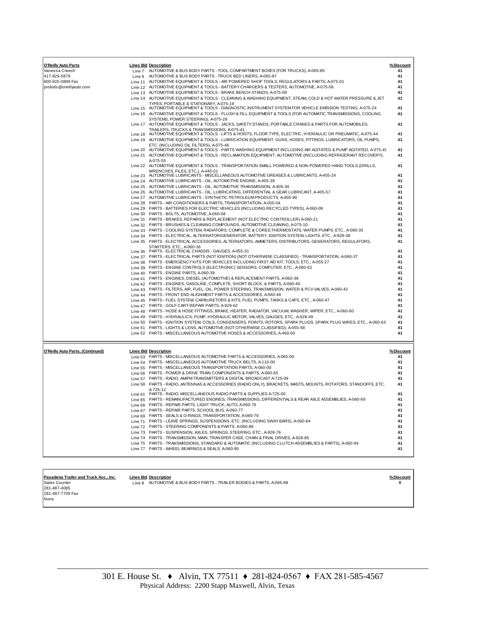| O'Reilly Auto Parts                     |                    | <b>Lines Bid Description</b>                                                                                                                                       | %Discount       |
|-----------------------------------------|--------------------|--------------------------------------------------------------------------------------------------------------------------------------------------------------------|-----------------|
| Vanessa Creech                          |                    | Line 7 AUTOMOTIVE & BUS BODY PARTS - TOOL COMPARTMENT BOXES (FOR TRUCKS), A-065-85                                                                                 | 41              |
| 417-829-5879                            | Line 9             | AUTOMOTIVE & BUS BODY PARTS - TRUCK BED LINERS, A-065-87                                                                                                           | 41              |
| 800-925-0899 Fax                        |                    | Line 11 AUTOMOTIVE EQUIPMENT & TOOLS - AIR POWERED SHOP TOOLS, REGULATORS & PARTS, A-075-01                                                                        | 41              |
| probids@oreillyauto.com                 |                    | Line 12 AUTOMOTIVE EQUIPMENT & TOOLS - BATTERY CHARGERS & TESTERS, AUTOMOTIVE, A-075-06                                                                            | 41              |
|                                         |                    | Line 13 AUTOMOTIVE EQUIPMENT & TOOLS - BRAKE BENCH STANDS, A-075-08                                                                                                | 41              |
|                                         |                    | Line 14 AUTOMOTIVE EQUIPMENT & TOOLS - CLEANING & WASHING EQUIPMENT, STEAM, COLD & HOT WATER PRESSURE & JET                                                        | 41              |
|                                         |                    | TYPES, PORTABLE & STATIONARY, A-075-19                                                                                                                             |                 |
|                                         | Line 15            | AUTOMOTIVE EQUIPMENT & TOOLS - DIAGNOSTIC INSTRUMENT SYSTEM FOR VEHICLE EMISSION TESTING, A-075-24                                                                 | 41<br>41        |
|                                         |                    | Line 16 AUTOMOTIVE EQUIPMENT & TOOLS - FLUSH & FILL EQUIPMENT & TOOLS (FOR AUTOMATIC TRANSMISSIONS, COOLING<br>SYSTEMS, POWER STEERING), A-075-29                  |                 |
|                                         |                    | Line 17 AUTOMOTIVE EQUIPMENT & TOOLS - JACKS, SAFETY STANDS, PORTABLE CRANES & PARTS FOR AUTOMOBILES,                                                              | 41              |
|                                         | Line 18            | TRAILERS, TRUCKS & TRANSMISSIONS, A-075-41<br>AUTOMOTIVE EQUIPMENT & TOOLS - LIFTS & HOISTS, FLOOR TYPE, ELECTRIC, HYDRAULIC OR PNEUMATIC, A-075-44                | 41              |
|                                         | Line 19            | AUTOMOTIVE EQUIPMENT & TOOLS - LUBRICATION EQUIPMENT, GUNS, HOSES, FITTINGS, LUBRICATORS, OIL PUMPS,                                                               | 41              |
|                                         | Line 20            | ETC. (INCLUDING OIL FILTERS), A-075-46<br>AUTOMOTIVE EQUIPMENT & TOOLS - PARTS WASHING EQUIPMENT INCLUDING AIR AGITATED & PUMP AGITATED, A-075-49                  | 41              |
|                                         | Line 21            | AUTOMOTIVE EQUIPMENT & TOOLS - RECLAMATION EQUIPMENT, AUTOMOTIVE (INCLUDING REFRIGERANT RECOVERY),                                                                 | 41              |
|                                         |                    | A-075-55                                                                                                                                                           |                 |
|                                         |                    | Line 22 AUTOMOTIVE EQUIPMENT & TOOLS - TRANSPORTATION SMALL POWERED & NON-POWERED HAND TOOLS (DRILLS,<br>WRENCHES, FILES, ETC.), A-445-01                          | 41              |
|                                         |                    | Line 23 AUTOMOTIVE LUBRICANTS - MISCELLANEOUS AUTOMOTIVE GREASES & LUBRICANTS, A-405-24                                                                            | 41              |
|                                         |                    | Line 24 AUTOMOTIVE LUBRICANTS - OIL, AUTOMOTIVE ENGINE, A-405-39                                                                                                   | 41              |
|                                         |                    | Line 25 AUTOMOTIVE LUBRICANTS - OIL, AUTOMOTIVE TRANSMISSION, A-405-36                                                                                             | 41              |
|                                         |                    | Line 26 AUTOMOTIVE LUBRICANTS - OIL, LUBRICATING, DIFFERENTIAL & GEAR LUBRICANT, A-405-57                                                                          | 41              |
|                                         |                    | Line 27 AUTOMOTIVE LUBRICANTS - SYNTHETIC PETROLEUM PRODUCTS, A-405-90                                                                                             | 41              |
|                                         |                    | Line 28 PARTS - AIR CONDITIONERS & PARTS, TRANSPORTATION, A-055-04                                                                                                 | 41              |
|                                         |                    | Line 29 PARTS - BATTERIES FOR ELECTRIC VEHICLES (INCLUDING RECYCLED TYPES), A-060-09                                                                               | 41              |
|                                         |                    | Line 30 PARTS - BOLTS, AUTOMOTIVE, A-060-08                                                                                                                        | 41              |
|                                         |                    | Line 31 PARTS - BRAKES, REPAIRS & REPLACEMENT (NOT ELECTRIC CONTROLLER) A-060-21                                                                                   | 41              |
|                                         |                    | Line 32 PARTS - BRUSHES & CLEANING COMPOUNDS, AUTOMOTIVE CLEANING, A-075-10                                                                                        | 41              |
|                                         |                    | Line 33 PARTS - COOLING SYSTEM, RADIATORS, COMPLETE & CORES, THERMOSTATS, WATER PUMPS, ETC., A-060-35                                                              | 41              |
|                                         |                    | Line 34 PARTS - ELECTRICAL, ALTERNATOR/GENERATOR, BATTERY, IGNITION SYSTEM, LIGHTS, ETC., A-928-38                                                                 | 41              |
|                                         | Line 35            | PARTS - ELECTRICAL ACCESSORIES, ALTERNATORS, AMMETERS, DISTRIBUTORS, GENERATORS, REGULATORS,<br>STARTERS, ETC., A-060-36                                           | 41              |
|                                         | Line 36            | PARTS - ELECTRICAL CHASSIS - GAUGES, A-055-31                                                                                                                      | 41              |
|                                         |                    | Line 37 PARTS - ELECTRICAL PARTS (NOT IGNITION) (NOT OTHERWISE CLASSIFIED) - TRANSPORTATION, A-060-37                                                              | 41              |
|                                         |                    | Line 38 PARTS - EMERGENCY KITS FOR VEHICLES INCLUDING FIRST AID KIT, TOOLS, ETC., A-055-27                                                                         | 41              |
|                                         | Line 39            | PARTS - ENGINE CONTROLS (ELECTRONIC) SENSORS, COMPUTER, ETC., A-060-62                                                                                             | 41              |
|                                         | Line 40            | PARTS - ENGINE PARTS, A-060-39                                                                                                                                     | 41              |
|                                         | Line 41            | PARTS - ENGINES, DIESEL (AUTOMOTIVE) & REPLACEMENT PARTS, A-060-38                                                                                                 | 41              |
|                                         | Line 42            | PARTS - ENGINES, GASOLINE, COMPLETE, SHORT BLOCK, & PARTS, A-060-40                                                                                                | 41              |
|                                         | Line 43            | PARTS - FILTERS, AIR, FUEL, OIL, POWER STEERING, TRANSMISSION, WATER & PCV VALVES, A-060-42                                                                        | 41              |
|                                         | Line 44            | PARTS - FRONT END ALIGNMENT PARTS & ACCESSORIES, A-060-46                                                                                                          | 41              |
|                                         | Line 45            | PARTS - FUEL SYSTEM, CARBURETORS & KITS, FUEL PUMPS, TANKS & CAPS, ETC., A-060-47<br>PARTS - GOLF CART REPAIR PARTS, A-929-62                                      | 41<br>41        |
|                                         | Line 47            | PARTS - HOSE & HOSE FITTINGS, BRAKE, HEATER, RADIATOR, VACUUM, WASHER, WIPER, ETC., A-060-60                                                                       | 41              |
|                                         | Line 48<br>Line 49 | PARTS - HYDRAULICS, PUMP, HYDRAULIC MOTOR, VALVES, GAUGES, ETC., A-928-49                                                                                          | 41              |
|                                         | Line 50            | PARTS - IGNITION SYSTEM, COILS, CONDENSERS, POINTS, ROTORS, SPARK PLUGS, SPARK PLUG WIRES, ETC., A-060-63                                                          | 41              |
|                                         | Line 51            | PARTS - LIGHTS & LENS, AUTOMOTIVE (NOT OTHERWISE CLASSIFIED), A-055-58                                                                                             | 41              |
|                                         | Line 52            | PARTS - MISCELLANEOUS AUTOMOTIVE HOSES & ACCESSORIES, A-460-00                                                                                                     | 41              |
|                                         |                    |                                                                                                                                                                    |                 |
| <b>O'Reilly Auto Parts, (Continued)</b> |                    | <b>Lines Bid Description</b><br>Line 53 PARTS - MISCELLANEOUS AUTOMOTIVE PARTS & ACCESSORIES, A-065-00                                                             | %Discount<br>41 |
|                                         |                    | Line 54 PARTS - MISCELLANEOUS AUTOMOTIVE TRUCK BELTS, A-110-00                                                                                                     | 41              |
|                                         |                    | Line 55 PARTS - MISCELLANEOUS TRANSPORTATION PARTS, A-060-00                                                                                                       | 41              |
|                                         |                    | Line 56 PARTS - POWER & DRIVE TRAIN COMPONENTS & PARTS, A-060-65                                                                                                   | 41              |
|                                         |                    | Line 57 PARTS - RADIO, AWFM TRANSMITTERS & DIGITAL BROADCAST A-725-09                                                                                              | 41              |
|                                         |                    | Line 58 PARTS - RADIO, ANTENNAS & ACCESSORIES (RADIO ONLY), BRACKETS, MASTS, MOUNTS, ROTATORS, STANDOFFS, ETC.                                                     | 41              |
|                                         |                    | A-725-12                                                                                                                                                           |                 |
|                                         |                    | Line 61 PARTS - RADIO, MISCELLANEOUS RADIO PARTS & SUPPLIES A-725-00                                                                                               | 41<br>41        |
|                                         |                    | Line 65 PARTS - REMANUFACTURED ENGINES, TRANSMISSIONS, DIFFERENTIALS & REAR AXLE ASSEMBLIES, A-060-69<br>Line 66 PARTS - REPAIR PARTS, LIGHT TRUCK, AUTO, A-060-76 | 41              |
|                                         |                    | Line 67 PARTS - REPAIR PARTS, SCHOOL BUS, A-060-77                                                                                                                 | 41              |
|                                         |                    | Line 69 PARTS - SEALS & O-RINGS, TRANSPORTATION, A-060-79                                                                                                          | 41              |
|                                         |                    | Line 71 PARTS - LEAVE SPRINGS, SUSPENSIONS, ETC. (INCLUDING SWAY BARS), A-060-84                                                                                   | 41              |
|                                         |                    | Line 72 PARTS - STEERING COMPONENTS & PARTS, A-060-86                                                                                                              | 41              |
|                                         |                    | Line 73 PARTS - SUSPENSION, AXLES, SPRINGS, STEERING, ETC., A-928-76                                                                                               | 41              |
|                                         |                    | Line 74 PARTS - TRANSMISSION, MAIN, TRANSFER CASE, CHAIN & FINAL DRIVES, A-928-85                                                                                  | 41              |
|                                         |                    | Line 75 PARTS - TRANSMISSIONS, STANDARD & AUTOMATIC (INCLUDING CLUTCH ASSEMBLIES & PARTS), A-060-94                                                                | 41              |
|                                         |                    | Line 77 PARTS - WHEEL BEARINGS & SEALS, A-060-95                                                                                                                   | 41              |
|                                         |                    |                                                                                                                                                                    |                 |

**Pasadena Trailer and Truck Acc., Inc. Lines Bid Description % Discount** Sales Counter Line 8 AUTOMOTIVE & BUS BODY PARTS - TRAILER BODIES & PARTS, A-065-88 **0** 281-487-4085 281-487-7709 Fax None

> 301 E. House St. ♦ Alvin, TX 77511 ♦ 281-824-0567 ♦ FAX 281-585-4567 Physical Address: 2200 Stapp Maxwell, Alvin, Texas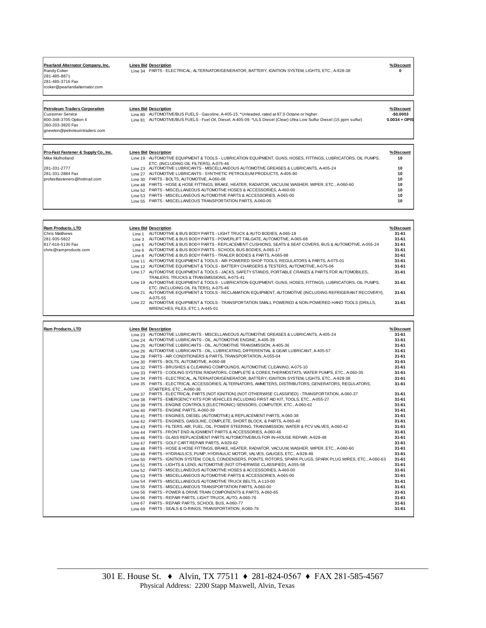Randy Coker<br>281-485-8871 281-485-3716 Fax rcoker@pearlandalternator.com

Pearland Alternator Company, Inc. <u>Lines Bid</u> Description<br>Randy Coker Line 34 PARTS - ELECTRICAL, ALTERNATOR/GENERATOR, BATTERY, IGNITION SYSTEM, LIGHTS, ETC., A-928-38 **0** 

260-203-3820 Fax gnewton@petroleumtraders.com

**Petroleum Traders Corporation Lines Bid Description % Discount** Customer Service Line 80 AUTOMOTIVE/BUS FUELS - Gasoline, A-405-15. \*Unleaded, rated at 87.0 Octane or higher **-\$0.0003** 800-348-3705 Option 4 Line 81 AUTOMOTIVE/BUS FUELS - Fuel Oil, Diesel, A-405-09. \*ULS Diesel (Clear) Ultra Low Sulfur Diesel (15 ppm sulfur) **0.0034 + OPIS**

| Pro-Fast Fastener & Supply Co., Inc. | <b>Lines Bid Description</b>                                                                                                      | % Discount |
|--------------------------------------|-----------------------------------------------------------------------------------------------------------------------------------|------------|
| Mike Mulholland                      | Line 19 AUTOMOTIVE EQUIPMENT & TOOLS - LUBRICATION EQUIPMENT, GUNS, HOSES, FITTINGS, LUBRICATORS, OIL PUMPS,                      | 10         |
| 281-331-2777                         | ETC. (INCLUDING OIL FILTERS), A-075-46<br>Line 23 AUTOMOTIVE LUBRICANTS - MISCELLANEOUS AUTOMOTIVE GREASES & LUBRICANTS, A-405-24 | 10         |
| 281-331-2884 Fax                     | Line 27 AUTOMOTIVE LUBRICANTS - SYNTHETIC PETROLEUM PRODUCTS, A-405-90                                                            | 10         |
| profastfasteners@hotmail.com         | Line 30 PARTS - BOLTS, AUTOMOTIVE, A-060-08                                                                                       | 10         |
|                                      | Line 48 PARTS - HOSE & HOSE FITTINGS, BRAKE, HEATER, RADIATOR, VACUUM, WASHER, WIPER, ETC., A-060-60                              | 10         |
|                                      | Line 52 PARTS - MISCELLANEOUS AUTOMOTIVE HOSES & ACCESSORIES, A-460-00                                                            | 10         |
|                                      | Line 53 PARTS - MISCELLANEOUS AUTOMOTIVE PARTS & ACCESSORIES, A-065-00                                                            | 10         |
|                                      | Line 55 PARTS - MISCELLANEOUS TRANSPORTATION PARTS, A-060-00                                                                      | 10         |
|                                      |                                                                                                                                   |            |

| <b>Ram Products, LTD</b> |         | <b>Lines Bid Description</b>                                                                                 | % Discount |
|--------------------------|---------|--------------------------------------------------------------------------------------------------------------|------------|
| <b>Chris Matthews</b>    | Line 1  | AUTOMOTIVE & BUS BODY PARTS - LIGHT TRUCK & AUTO BODIES, A-065-18                                            | $31 - 61$  |
| 281-935-5822             | Line 3  | AUTOMOTIVE & BUS BODY PARTS - POWERLIFT TAILGATE. AUTOMOTIVE. A-065-68                                       | $31 - 61$  |
| 817-616-5130 Fax         | Line 5  | AUTOMOTIVE & BUS BODY PARTS - REPLACEMENT CUSHIONS, SEATS & SEAT COVERS, BUS & AUTOMOTIVE, A-055-24          | $31 - 61$  |
| chris@ramproducts.com    | Line 6  | AUTOMOTIVE & BUS BODY PARTS - SCHOOL BUS BODIES, A-065-17                                                    | $31 - 61$  |
|                          | Line 8  | AUTOMOTIVE & BUS BODY PARTS - TRAILER BODIES & PARTS, A-065-88                                               | $31 - 61$  |
|                          | Line 11 | AUTOMOTIVE EQUIPMENT & TOOLS - AIR POWERED SHOP TOOLS. REGULATORS & PARTS, A-075-01                          | $31 - 61$  |
|                          | Line 12 | AUTOMOTIVE EQUIPMENT & TOOLS - BATTERY CHARGERS & TESTERS. AUTOMOTIVE. A-075-06                              | $31 - 61$  |
|                          | Line 17 | AUTOMOTIVE EQUIPMENT & TOOLS - JACKS, SAFETY STANDS, PORTABLE CRANES & PARTS FOR AUTOMOBILES.                | $31 - 61$  |
|                          |         | TRAILERS. TRUCKS & TRANSMISSIONS, A-075-41                                                                   |            |
|                          |         | Line 19 AUTOMOTIVE EQUIPMENT & TOOLS - LUBRICATION EQUIPMENT, GUNS, HOSES, FITTINGS, LUBRICATORS, OIL PUMPS, | $31 - 61$  |
|                          |         | ETC. (INCLUDING OIL FILTERS), A-075-46                                                                       |            |
|                          |         | Line 21 AUTOMOTIVE EQUIPMENT & TOOLS - RECLAMATION EQUIPMENT, AUTOMOTIVE (INCLUDING REFRIGERANT RECOVERY),   | $31 - 61$  |
|                          |         | A-075-55                                                                                                     |            |
|                          |         | Line 22 AUTOMOTIVE EQUIPMENT & TOOLS - TRANSPORTATION SMALL POWERED & NON-POWERED HAND TOOLS (DRILLS,        | $31 - 61$  |
|                          |         | WRENCHES, FILES, ETC.), A-445-01                                                                             |            |

| <b>Ram Products, LTD</b> | <b>Lines Bid Description</b>                                                                                      | % Discount |
|--------------------------|-------------------------------------------------------------------------------------------------------------------|------------|
|                          | Line 23 AUTOMOTIVE LUBRICANTS - MISCELLANEOUS AUTOMOTIVE GREASES & LUBRICANTS, A-405-24                           | $31 - 61$  |
|                          | Line 24 AUTOMOTIVE LUBRICANTS - OIL, AUTOMOTIVE ENGINE, A-405-39                                                  | $31 - 61$  |
|                          | Line 25 AUTOMOTIVE LUBRICANTS - OIL, AUTOMOTIVE TRANSMISSION, A-405-36                                            | $31 - 61$  |
|                          | Line 26 AUTOMOTIVE LUBRICANTS - OIL, LUBRICATING, DIFFERENTIAL & GEAR LUBRICANT, A-405-57                         | $31 - 61$  |
|                          | Line 28 PARTS - AIR CONDITIONERS & PARTS, TRANSPORTATION, A-055-04                                                | $31 - 61$  |
|                          | Line 30 PARTS - BOLTS, AUTOMOTIVE, A-060-08                                                                       | $31 - 61$  |
|                          | Line 32 PARTS - BRUSHES & CLEANING COMPOUNDS, AUTOMOTIVE CLEANING, A-075-10                                       | $31 - 61$  |
|                          | Line 33 PARTS - COOLING SYSTEM, RADIATORS, COMPLETE & CORES, THERMOSTATS, WATER PUMPS, ETC., A-060-35             | $31 - 61$  |
|                          | Line 34 PARTS - ELECTRICAL, ALTERNATOR/GENERATOR, BATTERY, IGNITION SYSTEM, LIGHTS, ETC., A-928-38                | $31 - 61$  |
|                          | Line 35 PARTS - ELECTRICAL ACCESSORIES, ALTERNATORS, AMMETERS, DISTRIBUTORS, GENERATORS, REGULATORS,              | $31 - 61$  |
|                          | STARTERS, ETC., A-060-36                                                                                          |            |
|                          | Line 37 PARTS - ELECTRICAL PARTS (NOT IGNITION) (NOT OTHERWISE CLASSIFIED) - TRANSPORTATION, A-060-37             | $31 - 61$  |
|                          | Line 38 PARTS - EMERGENCY KITS FOR VEHICLES INCLUDING FIRST AID KIT, TOOLS, ETC., A-055-27                        | $31 - 61$  |
|                          | Line 39 PARTS - ENGINE CONTROLS (ELECTRONIC) SENSORS, COMPUTER, ETC., A-060-62                                    | $31 - 61$  |
|                          | Line 40 PARTS - ENGINE PARTS, A-060-39                                                                            | $31 - 61$  |
|                          | Line 41 PARTS - ENGINES, DIESEL (AUTOMOTIVE) & REPLACEMENT PARTS, A-060-38                                        | $31 - 61$  |
|                          | Line 42 PARTS - ENGINES, GASOLINE, COMPLETE, SHORT BLOCK, & PARTS, A-060-40                                       | $31 - 61$  |
|                          | Line 43 PARTS - FILTERS, AIR, FUEL, OIL, POWER STEERING, TRANSMISSION, WATER & PCV VALVES, A-060-42               | $31 - 61$  |
|                          | Line 44 PARTS - FRONT END ALIGNMENT PARTS & ACCESSORIES, A-060-46                                                 | $31 - 61$  |
|                          | Line 46 PARTS - GLASS REPLACEMENT PARTS AUTOMOTIVE/BUS FOR IN-HOUSE REPAIR, A-928-48                              | $31 - 61$  |
|                          | Line 47 PARTS - GOLF CART REPAIR PARTS, A-929-62                                                                  | $31 - 61$  |
|                          | Line 48 PARTS - HOSE & HOSE FITTINGS, BRAKE, HEATER, RADIATOR, VACUUM, WASHER, WIPER, ETC., A-060-60              | $31 - 61$  |
|                          | Line 49 PARTS - HYDRAULICS, PUMP, HYDRAULIC MOTOR, VALVES, GAUGES, ETC., A-928-49                                 | $31 - 61$  |
|                          | Line 50 PARTS - IGNITION SYSTEM, COILS, CONDENSERS, POINTS, ROTORS, SPARK PLUGS, SPARK PLUG WIRES, ETC., A-060-63 | $31 - 61$  |
|                          | Line 51 PARTS - LIGHTS & LENS, AUTOMOTIVE (NOT OTHERWISE CLASSIFIED), A-055-58                                    | $31 - 61$  |
|                          | Line 52 PARTS - MISCELLANEOUS AUTOMOTIVE HOSES & ACCESSORIES, A-460-00                                            | $31 - 61$  |
|                          | Line 53 PARTS - MISCELLANEOUS AUTOMOTIVE PARTS & ACCESSORIES, A-065-00                                            | $31 - 61$  |
|                          | Line 54 PARTS - MISCELLANEOUS AUTOMOTIVE TRUCK BELTS, A-110-00                                                    | $31 - 61$  |
|                          | Line 55 PARTS - MISCELLANEOUS TRANSPORTATION PARTS, A-060-00                                                      | $31 - 61$  |
|                          | Line 56 PARTS - POWER & DRIVE TRAIN COMPONENTS & PARTS, A-060-65                                                  | $31 - 61$  |
|                          | Line 66 PARTS - REPAIR PARTS, LIGHT TRUCK, AUTO, A-060-76                                                         | $31 - 61$  |
|                          | Line 67 PARTS - REPAIR PARTS, SCHOOL BUS, A-060-77                                                                | $31 - 61$  |
|                          | Line 69 PARTS - SEALS & O-RINGS, TRANSPORTATION, A-060-79                                                         | $31 - 61$  |
|                          |                                                                                                                   |            |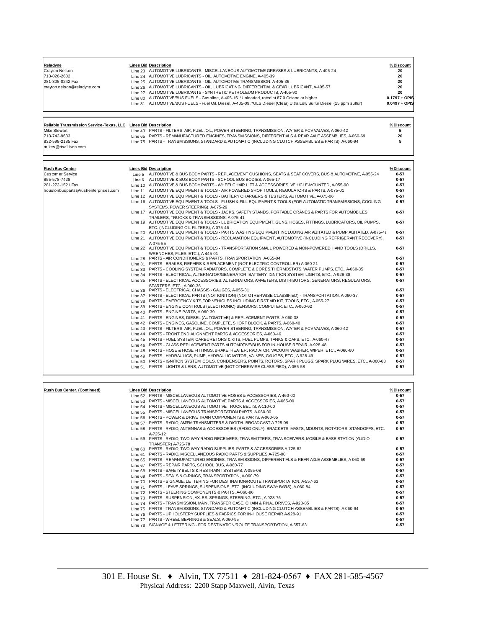| Reladyne<br>Crayton Nelson<br>713-826-2602<br>281-305-0242 Fax<br>crayton.nelson@reladyne.com<br>Reliable Transmission Service-Texas, LLC Lines Bid Description<br><b>Mike Stewart</b><br>713-742-9633 | <b>Lines Bid Description</b><br>Line 23 AUTOMOTIVE LUBRICANTS - MISCELLANEOUS AUTOMOTIVE GREASES & LUBRICANTS, A-405-24<br>Line 24 AUTOMOTIVE LUBRICANTS - OIL, AUTOMOTIVE ENGINE, A-405-39<br>Line 25 AUTOMOTIVE LUBRICANTS - OIL, AUTOMOTIVE TRANSMISSION, A-405-36<br>Line 26 AUTOMOTIVE LUBRICANTS - OIL, LUBRICATING, DIFFERENTIAL & GEAR LUBRICANT, A-405-57<br>Line 27 AUTOMOTIVE LUBRICANTS - SYNTHETIC PETROLEUM PRODUCTS, A-405-90<br>Line 80 AUTOMOTIVE/BUS FUELS - Gasoline, A-405-15. *Unleaded, rated at 87.0 Octane or higher<br>Line 81 AUTOMOTIVE/BUS FUELS - Fuel Oil, Diesel, A-405-09. *ULS Diesel (Clear) Ultra Low Sulfur Diesel (15 ppm sulfur)<br>Line 43 PARTS - FILTERS, AIR, FUEL, OIL, POWER STEERING, TRANSMISSION, WATER & PCV VALVES, A-060-42<br>Line 65 PARTS - REMANUFACTURED ENGINES, TRANSMISSIONS, DIFFERENTIALS & REAR AXLE ASSEMBLIES, A-060-69 | %Discount<br>20<br>20<br>20<br>20<br>20<br>$0.1797 + OPIS$<br>$0.0497 + OPIS$<br>%Discount<br>5<br>20 |
|--------------------------------------------------------------------------------------------------------------------------------------------------------------------------------------------------------|----------------------------------------------------------------------------------------------------------------------------------------------------------------------------------------------------------------------------------------------------------------------------------------------------------------------------------------------------------------------------------------------------------------------------------------------------------------------------------------------------------------------------------------------------------------------------------------------------------------------------------------------------------------------------------------------------------------------------------------------------------------------------------------------------------------------------------------------------------------------------------------|-------------------------------------------------------------------------------------------------------|
| 832-598-2185 Fax<br>mikes@rtsallison.com                                                                                                                                                               | Line 75 PARTS - TRANSMISSIONS, STANDARD & AUTOMATIC (INCLUDING CLUTCH ASSEMBLIES & PARTS), A-060-94                                                                                                                                                                                                                                                                                                                                                                                                                                                                                                                                                                                                                                                                                                                                                                                    | 5                                                                                                     |
|                                                                                                                                                                                                        |                                                                                                                                                                                                                                                                                                                                                                                                                                                                                                                                                                                                                                                                                                                                                                                                                                                                                        |                                                                                                       |
| <b>Rush Bus Center</b>                                                                                                                                                                                 | <b>Lines Bid Description</b>                                                                                                                                                                                                                                                                                                                                                                                                                                                                                                                                                                                                                                                                                                                                                                                                                                                           | %Discount                                                                                             |
| <b>Customer Service</b>                                                                                                                                                                                | Line 5 AUTOMOTIVE & BUS BODY PARTS - REPLACEMENT CUSHIONS, SEATS & SEAT COVERS, BUS & AUTOMOTIVE, A-055-24                                                                                                                                                                                                                                                                                                                                                                                                                                                                                                                                                                                                                                                                                                                                                                             | $0 - 57$                                                                                              |
| 855-578-7428                                                                                                                                                                                           | Line 6 AUTOMOTIVE & BUS BODY PARTS - SCHOOL BUS BODIES, A-065-17                                                                                                                                                                                                                                                                                                                                                                                                                                                                                                                                                                                                                                                                                                                                                                                                                       | $0 - 57$<br>$0 - 57$                                                                                  |
| 281-272-1521 Fax                                                                                                                                                                                       | Line 10 AUTOMOTIVE & BUS BODY PARTS - WHEELCHAIR LIFT & ACCESSORIES, VEHICLE-MOUNTED, A-055-90<br>Line 11 AUTOMOTIVE EQUIPMENT & TOOLS - AIR POWERED SHOP TOOLS, REGULATORS & PARTS, A-075-01                                                                                                                                                                                                                                                                                                                                                                                                                                                                                                                                                                                                                                                                                          | $0 - 57$                                                                                              |
| houstonbusparts@rushenterprises.com                                                                                                                                                                    | Line 12 AUTOMOTIVE EQUIPMENT & TOOLS - BATTERY CHARGERS & TESTERS, AUTOMOTIVE, A-075-06                                                                                                                                                                                                                                                                                                                                                                                                                                                                                                                                                                                                                                                                                                                                                                                                | $0 - 57$                                                                                              |
|                                                                                                                                                                                                        | Line 16 AUTOMOTIVE EQUIPMENT & TOOLS - FLUSH & FILL EQUIPMENT & TOOLS (FOR AUTOMATIC TRANSMISSIONS, COOLING                                                                                                                                                                                                                                                                                                                                                                                                                                                                                                                                                                                                                                                                                                                                                                            | $0 - 57$                                                                                              |
|                                                                                                                                                                                                        | SYSTEMS, POWER STEERING), A-075-29                                                                                                                                                                                                                                                                                                                                                                                                                                                                                                                                                                                                                                                                                                                                                                                                                                                     |                                                                                                       |
|                                                                                                                                                                                                        | Line 17 AUTOMOTIVE EQUIPMENT & TOOLS - JACKS, SAFETY STANDS, PORTABLE CRANES & PARTS FOR AUTOMOBILES,                                                                                                                                                                                                                                                                                                                                                                                                                                                                                                                                                                                                                                                                                                                                                                                  | $0 - 57$                                                                                              |
|                                                                                                                                                                                                        | TRAILERS, TRUCKS & TRANSMISSIONS, A-075-41<br>Line 19 AUTOMOTIVE EQUIPMENT & TOOLS - LUBRICATION EQUIPMENT, GUNS, HOSES, FITTINGS, LUBRICATORS, OIL PUMPS,                                                                                                                                                                                                                                                                                                                                                                                                                                                                                                                                                                                                                                                                                                                             | $0 - 57$                                                                                              |
|                                                                                                                                                                                                        | ETC. (INCLUDING OIL FILTERS), A-075-46<br>Line 20 AUTOMOTIVE EQUIPMENT & TOOLS - PARTS WASHING EQUIPMENT INCLUDING AIR AGITATED & PUMP AGITATED, A-075-49                                                                                                                                                                                                                                                                                                                                                                                                                                                                                                                                                                                                                                                                                                                              | $0 - 57$                                                                                              |
|                                                                                                                                                                                                        | Line 21 AUTOMOTIVE EQUIPMENT & TOOLS - RECLAMATION EQUIPMENT, AUTOMOTIVE (INCLUDING REFRIGERANT RECOVERY),                                                                                                                                                                                                                                                                                                                                                                                                                                                                                                                                                                                                                                                                                                                                                                             | $0 - 57$                                                                                              |
|                                                                                                                                                                                                        | A-075-55                                                                                                                                                                                                                                                                                                                                                                                                                                                                                                                                                                                                                                                                                                                                                                                                                                                                               |                                                                                                       |
|                                                                                                                                                                                                        | Line 22 AUTOMOTIVE EQUIPMENT & TOOLS - TRANSPORTATION SMALL POWERED & NON-POWERED HAND TOOLS (DRILLS,<br>WRENCHES, FILES, ETC.), A-445-01                                                                                                                                                                                                                                                                                                                                                                                                                                                                                                                                                                                                                                                                                                                                              | $0 - 57$                                                                                              |
|                                                                                                                                                                                                        | Line 28 PARTS - AIR CONDITIONERS & PARTS, TRANSPORTATION, A-055-04                                                                                                                                                                                                                                                                                                                                                                                                                                                                                                                                                                                                                                                                                                                                                                                                                     | $0 - 57$                                                                                              |
|                                                                                                                                                                                                        | Line 31 PARTS - BRAKES, REPAIRS & REPLACEMENT (NOT ELECTRIC CONTROLLER) A-060-21                                                                                                                                                                                                                                                                                                                                                                                                                                                                                                                                                                                                                                                                                                                                                                                                       | $0 - 57$                                                                                              |
|                                                                                                                                                                                                        | Line 33 PARTS - COOLING SYSTEM, RADIATORS, COMPLETE & CORES, THERMOSTATS, WATER PUMPS, ETC., A-060-35                                                                                                                                                                                                                                                                                                                                                                                                                                                                                                                                                                                                                                                                                                                                                                                  | $0 - 57$                                                                                              |
|                                                                                                                                                                                                        | Line 34 PARTS - ELECTRICAL, ALTERNATOR/GENERATOR, BATTERY, IGNITION SYSTEM, LIGHTS, ETC., A-928-38                                                                                                                                                                                                                                                                                                                                                                                                                                                                                                                                                                                                                                                                                                                                                                                     | $0 - 57$                                                                                              |
|                                                                                                                                                                                                        | Line 35 PARTS - ELECTRICAL ACCESSORIES, ALTERNATORS, AMMETERS, DISTRIBUTORS, GENERATORS, REGULATORS,<br>STARTERS, ETC., A-060-36                                                                                                                                                                                                                                                                                                                                                                                                                                                                                                                                                                                                                                                                                                                                                       | $0 - 57$                                                                                              |
|                                                                                                                                                                                                        | Line 36 PARTS - ELECTRICAL CHASSIS - GAUGES, A-055-31                                                                                                                                                                                                                                                                                                                                                                                                                                                                                                                                                                                                                                                                                                                                                                                                                                  | $0 - 57$<br>$0 - 57$                                                                                  |
|                                                                                                                                                                                                        | Line 37 PARTS - ELECTRICAL PARTS (NOT IGNITION) (NOT OTHERWISE CLASSIFIED) - TRANSPORTATION, A-060-37<br>Line 38 PARTS - EMERGENCY KITS FOR VEHICLES INCLUDING FIRST AID KIT, TOOLS, ETC., A-055-27                                                                                                                                                                                                                                                                                                                                                                                                                                                                                                                                                                                                                                                                                    | $0 - 57$                                                                                              |
|                                                                                                                                                                                                        | Line 39 PARTS - ENGINE CONTROLS (ELECTRONIC) SENSORS, COMPUTER, ETC., A-060-62                                                                                                                                                                                                                                                                                                                                                                                                                                                                                                                                                                                                                                                                                                                                                                                                         | $0 - 57$                                                                                              |
|                                                                                                                                                                                                        | Line 40 PARTS - ENGINE PARTS, A-060-39                                                                                                                                                                                                                                                                                                                                                                                                                                                                                                                                                                                                                                                                                                                                                                                                                                                 | $0 - 57$                                                                                              |
|                                                                                                                                                                                                        | Line 41 PARTS - ENGINES, DIESEL (AUTOMOTIVE) & REPLACEMENT PARTS, A-060-38                                                                                                                                                                                                                                                                                                                                                                                                                                                                                                                                                                                                                                                                                                                                                                                                             | $0 - 57$                                                                                              |
|                                                                                                                                                                                                        | Line 42 PARTS - ENGINES, GASOLINE, COMPLETE, SHORT BLOCK, & PARTS, A-060-40                                                                                                                                                                                                                                                                                                                                                                                                                                                                                                                                                                                                                                                                                                                                                                                                            | $0 - 57$                                                                                              |
|                                                                                                                                                                                                        | Line 43 PARTS - FILTERS, AIR, FUEL, OIL, POWER STEERING, TRANSMISSION, WATER & PCV VALVES, A-060-42                                                                                                                                                                                                                                                                                                                                                                                                                                                                                                                                                                                                                                                                                                                                                                                    | $0 - 57$                                                                                              |
|                                                                                                                                                                                                        | Line 44 PARTS - FRONT END ALIGNMENT PARTS & ACCESSORIES, A-060-46                                                                                                                                                                                                                                                                                                                                                                                                                                                                                                                                                                                                                                                                                                                                                                                                                      | $0 - 57$                                                                                              |
|                                                                                                                                                                                                        | Line 45 PARTS - FUEL SYSTEM, CARBURETORS & KITS, FUEL PUMPS, TANKS & CAPS, ETC., A-060-47                                                                                                                                                                                                                                                                                                                                                                                                                                                                                                                                                                                                                                                                                                                                                                                              | $0 - 57$                                                                                              |
|                                                                                                                                                                                                        | Line 46 PARTS - GLASS REPLACEMENT PARTS AUTOMOTIVE/BUS FOR IN-HOUSE REPAIR, A-928-48                                                                                                                                                                                                                                                                                                                                                                                                                                                                                                                                                                                                                                                                                                                                                                                                   | $0 - 57$                                                                                              |
|                                                                                                                                                                                                        | Line 48 PARTS - HOSE & HOSE FITTINGS, BRAKE, HEATER, RADIATOR, VACUUM, WASHER, WIPER, ETC., A-060-60                                                                                                                                                                                                                                                                                                                                                                                                                                                                                                                                                                                                                                                                                                                                                                                   | $0 - 57$                                                                                              |
|                                                                                                                                                                                                        | Line 49 PARTS - HYDRAULICS, PUMP, HYDRAULIC MOTOR, VALVES, GAUGES, ETC., A-928-49                                                                                                                                                                                                                                                                                                                                                                                                                                                                                                                                                                                                                                                                                                                                                                                                      | $0 - 57$                                                                                              |
|                                                                                                                                                                                                        | Line 50 PARTS - IGNITION SYSTEM, COILS, CONDENSERS, POINTS, ROTORS, SPARK PLUGS, SPARK PLUG WIRES, ETC., A-060-63                                                                                                                                                                                                                                                                                                                                                                                                                                                                                                                                                                                                                                                                                                                                                                      | $0 - 57$                                                                                              |
|                                                                                                                                                                                                        | Line 51 PARTS - LIGHTS & LENS, AUTOMOTIVE (NOT OTHERWISE CLASSIFIED), A-055-58                                                                                                                                                                                                                                                                                                                                                                                                                                                                                                                                                                                                                                                                                                                                                                                                         | $0 - 57$                                                                                              |

| Rush Bus Center, (Continued) | <b>Lines Bid Description</b>                                                                                   | %Discount |
|------------------------------|----------------------------------------------------------------------------------------------------------------|-----------|
|                              | Line 52 PARTS - MISCELLANEOUS AUTOMOTIVE HOSES & ACCESSORIES, A-460-00                                         | $0 - 57$  |
|                              | Line 53 PARTS - MISCELLANEOUS AUTOMOTIVE PARTS & ACCESSORIES, A-065-00                                         | $0 - 57$  |
| Line 54                      | PARTS - MISCELLANEOUS AUTOMOTIVE TRUCK BELTS, A-110-00                                                         | $0 - 57$  |
|                              | Line 55 PARTS - MISCELLANEOUS TRANSPORTATION PARTS, A-060-00                                                   | $0 - 57$  |
|                              | Line 56 PARTS - POWER & DRIVE TRAIN COMPONENTS & PARTS, A-060-65                                               | $0 - 57$  |
| Line 57                      | PARTS - RADIO, AM/FM TRANSMITTERS & DIGITAL BROADCAST A-725-09                                                 | $0 - 57$  |
|                              | Line 58 PARTS - RADIO, ANTENNAS & ACCESSORIES (RADIO ONLY), BRACKETS, MASTS, MOUNTS, ROTATORS, STANDOFFS, ETC. | $0 - 57$  |
|                              | A-725-12                                                                                                       |           |
|                              | Line 59 PARTS - RADIO, TWO-WAY RADIO RECEIVERS, TRANSMITTERS, TRANSCEIVERS; MOBILE & BASE STATION (AUDIO       | $0 - 57$  |
|                              | <b>TRANSFER) A-725-78</b>                                                                                      |           |
|                              | Line 60 PARTS - RADIO, TWO-WAY RADIO SUPPLIES, PARTS & ACCESSORIES A-725-82                                    | $0 - 57$  |
|                              | Line 61 PARTS - RADIO, MISCELLANEOUS RADIO PARTS & SUPPLIES A-725-00                                           | $0 - 57$  |
|                              | Line 65 PARTS - REMANUFACTURED ENGINES, TRANSMISSIONS, DIFFERENTIALS & REAR AXLE ASSEMBLIES, A-060-69          | $0 - 57$  |
|                              | Line 67 PARTS - REPAIR PARTS, SCHOOL BUS, A-060-77                                                             | $0 - 57$  |
|                              | Line 68 PARTS - SAFETY BELTS & RESTRAINT SYSTEMS, A-055-08                                                     | $0 - 57$  |
|                              | Line 69 PARTS - SEALS & O-RINGS, TRANSPORTATION, A-060-79                                                      | $0 - 57$  |
|                              | Line 70 PARTS - SIGNAGE, LETTERING FOR DESTINATION/ROUTE TRANSPORTATION, A-557-63                              | $0 - 57$  |
| Line 71                      | PARTS - LEAVE SPRINGS, SUSPENSIONS, ETC. (INCLUDING SWAY BARS), A-060-84                                       | $0 - 57$  |
|                              | Line 72 PARTS - STEERING COMPONENTS & PARTS, A-060-86                                                          | $0 - 57$  |
|                              | Line 73 PARTS - SUSPENSION, AXLES, SPRINGS, STEERING, ETC., A-928-76                                           | $0 - 57$  |
|                              | Line 74 PARTS - TRANSMISSION, MAIN, TRANSFER CASE, CHAIN & FINAL DRIVES, A-928-85                              | $0 - 57$  |
|                              | Line 75 PARTS - TRANSMISSIONS, STANDARD & AUTOMATIC (INCLUDING CLUTCH ASSEMBLIES & PARTS), A-060-94            | $0 - 57$  |
|                              | Line 76 PARTS - UPHOLSTERY SUPPLIES & FABRICS FOR IN-HOUSE REPAIR A-928-91                                     | $0 - 57$  |
| Line 77                      | PARTS - WHEEL BEARINGS & SEALS, A-060-95                                                                       | $0 - 57$  |
|                              | Line 78 SIGNAGE & LETTERING - FOR DESTINATION/ROUTE TRANSPORTATION, A-557-63                                   | $0 - 57$  |
|                              |                                                                                                                |           |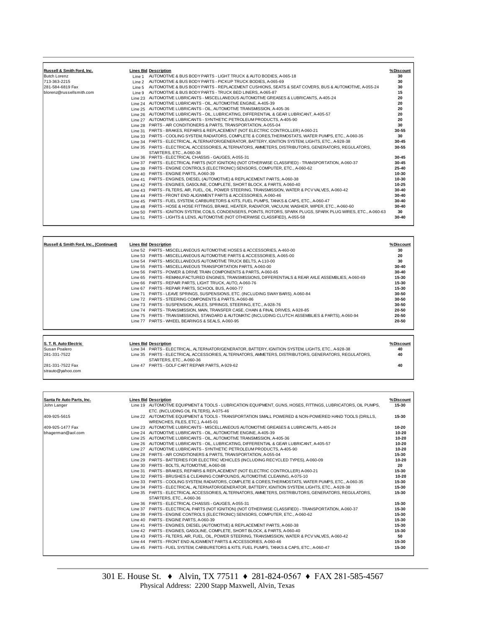| Russell & Smith Ford, Inc. |         | <b>Lines Bid Description</b>                                                                              | %Discount |
|----------------------------|---------|-----------------------------------------------------------------------------------------------------------|-----------|
| <b>Butch Lorenz</b>        |         | Line 1 AUTOMOTIVE & BUS BODY PARTS - LIGHT TRUCK & AUTO BODIES, A-065-18                                  | 30        |
| 713-363-2215               |         | Line 2 AUTOMOTIVE & BUS BODY PARTS - PICKUP TRUCK BODIES, A-065-69                                        | 30        |
| 281-584-6819 Fax           | Line 5  | AUTOMOTIVE & BUS BODY PARTS - REPLACEMENT CUSHIONS. SEATS & SEAT COVERS. BUS & AUTOMOTIVE. A-055-24       | 30        |
| blorenz@russellsmith.com   | Line 9  | AUTOMOTIVE & BUS BODY PARTS - TRUCK BED LINERS, A-065-87                                                  | 15        |
|                            | Line 23 | AUTOMOTIVE LUBRICANTS - MISCELLANEOUS AUTOMOTIVE GREASES & LUBRICANTS, A-405-24                           | 20        |
|                            |         | Line 24 AUTOMOTIVE LUBRICANTS - OIL, AUTOMOTIVE ENGINE, A-405-39                                          | 20        |
|                            |         | Line 25 AUTOMOTIVE LUBRICANTS - OIL, AUTOMOTIVE TRANSMISSION, A-405-36                                    | 20        |
|                            |         | Line 26 AUTOMOTIVE LUBRICANTS - OIL, LUBRICATING, DIFFERENTIAL & GEAR LUBRICANT, A-405-57                 | 20        |
|                            |         | Line 27 AUTOMOTIVE LUBRICANTS - SYNTHETIC PETROLEUM PRODUCTS, A-405-90                                    | 20        |
|                            |         | Line 28 PARTS - AIR CONDITIONERS & PARTS, TRANSPORTATION, A-055-04                                        | 30        |
|                            | Line 31 | PARTS - BRAKES, REPAIRS & REPLACEMENT (NOT ELECTRIC CONTROLLER) A-060-21                                  | 30-55     |
|                            |         | Line 33 PARTS - COOLING SYSTEM, RADIATORS, COMPLETE & CORES.THERMOSTATS, WATER PUMPS, ETC., A-060-35      | 30        |
|                            |         | Line 34 PARTS - ELECTRICAL, ALTERNATOR/GENERATOR, BATTERY, IGNITION SYSTEM, LIGHTS, ETC., A-928-38        | 30-45     |
|                            |         | Line 35 PARTS - ELECTRICAL ACCESSORIES, ALTERNATORS, AMMETERS, DISTRIBUTORS, GENERATORS, REGULATORS,      | 30-55     |
|                            |         | STARTERS, ETC., A-060-36                                                                                  |           |
|                            |         | Line 36 PARTS - ELECTRICAL CHASSIS - GAUGES, A-055-31                                                     | 30-45     |
|                            |         | Line 37 PARTS - ELECTRICAL PARTS (NOT IGNITION) (NOT OTHERWISE CLASSIFIED) - TRANSPORTATION, A-060-37     | 30-45     |
|                            |         | Line 39 PARTS - ENGINE CONTROLS (ELECTRONIC) SENSORS, COMPUTER, ETC., A-060-62                            | 25-40     |
|                            |         | Line 40 PARTS - ENGINE PARTS, A-060-39                                                                    | 10-30     |
|                            | Line 41 | PARTS - ENGINES, DIESEL (AUTOMOTIVE) & REPLACEMENT PARTS, A-060-38                                        | 10-30     |
|                            |         | Line 42 PARTS - ENGINES, GASOLINE, COMPLETE, SHORT BLOCK, & PARTS, A-060-40                               | $10 - 25$ |
|                            |         | Line 43 PARTS - FILTERS, AIR, FUEL, OIL, POWER STEERING, TRANSMISSION, WATER & PCV VALVES, A-060-42       | 30-40     |
|                            |         | Line 44 PARTS - FRONT END ALIGNMENT PARTS & ACCESSORIES, A-060-46                                         | 30-40     |
|                            |         | Line 45 PARTS - FUEL SYSTEM, CARBURETORS & KITS, FUEL PUMPS, TANKS & CAPS, ETC., A-060-47                 | $30 - 40$ |
|                            |         | Line 48 PARTS - HOSE & HOSE FITTINGS, BRAKE, HEATER, RADIATOR, VACUUM, WASHER, WIPER, ETC., A-060-60      | 30-40     |
|                            | Line 50 | PARTS - IGNITION SYSTEM, COILS, CONDENSERS, POINTS, ROTORS, SPARK PLUGS, SPARK PLUG WIRES, ETC., A-060-63 | 30        |
|                            | Line 51 | PARTS - LIGHTS & LENS, AUTOMOTIVE (NOT OTHERWISE CLASSIFIED), A-055-58                                    | 30-40     |
|                            |         |                                                                                                           |           |

| Russell & Smith Ford, Inc., (Continued) | <b>Lines Bid Description</b>                                                                          | % Discount |
|-----------------------------------------|-------------------------------------------------------------------------------------------------------|------------|
|                                         | Line 52 PARTS - MISCELLANEOUS AUTOMOTIVE HOSES & ACCESSORIES, A-460-00                                | 30         |
|                                         | Line 53 PARTS - MISCELLANEOUS AUTOMOTIVE PARTS & ACCESSORIES, A-065-00                                | 20         |
|                                         | Line 54 PARTS - MISCELLANEOUS AUTOMOTIVE TRUCK BELTS, A-110-00                                        | 30         |
|                                         | Line 55 PARTS - MISCELLANEOUS TRANSPORTATION PARTS, A-060-00                                          | 30-40      |
|                                         | Line 56 PARTS - POWER & DRIVE TRAIN COMPONENTS & PARTS, A-060-65                                      | 30-40      |
|                                         | Line 65 PARTS - REMANUFACTURED ENGINES, TRANSMISSIONS, DIFFERENTIALS & REAR AXLE ASSEMBLIES, A-060-69 | 15-30      |
|                                         | Line 66 PARTS - REPAIR PARTS, LIGHT TRUCK, AUTO, A-060-76                                             | 15-30      |
|                                         | Line 67 PARTS - REPAIR PARTS, SCHOOL BUS, A-060-77                                                    | 15-30      |
|                                         | Line 71 PARTS - LEAVE SPRINGS, SUSPENSIONS, ETC. (INCLUDING SWAY BARS), A-060-84                      | 30-50      |
|                                         | Line 72 PARTS - STEERING COMPONENTS & PARTS, A-060-86                                                 | 30-50      |
|                                         | Line 73  PARTS - SUSPENSION, AXLES, SPRINGS, STEERING, ETC., A-928-76                                 | 30-50      |
|                                         | Line 74 PARTS - TRANSMISSION, MAIN, TRANSFER CASE, CHAIN & FINAL DRIVES, A-928-85                     | 20-50      |
|                                         | Line 75 PARTS - TRANSMISSIONS, STANDARD & AUTOMATIC (INCLUDING CLUTCH ASSEMBLIES & PARTS), A-060-94   | 20-50      |
|                                         | Line 77 PARTS - WHEEL BEARINGS & SEALS, A-060-95                                                      | 20-50      |
|                                         |                                                                                                       |            |
|                                         |                                                                                                       |            |

| S. T. R. Auto Electric                | <b>Lines Bid Description</b>                                                                                                     | %Discount |
|---------------------------------------|----------------------------------------------------------------------------------------------------------------------------------|-----------|
| Susan Poalero                         | Line 34 PARTS - ELECTRICAL, ALTERNATOR/GENERATOR, BATTERY, IGNITION SYSTEM, LIGHTS, ETC., A-928-38                               | 40        |
| 281-331-7522                          | Line 35 PARTS - ELECTRICAL ACCESSORIES, ALTERNATORS, AMMETERS, DISTRIBUTORS, GENERATORS, REGULATORS,<br>STARTERS, ETC., A-060-36 | 40        |
| 281-331-7522 Fax<br>strauto@vahoo.com | Line 47 PARTS - GOLF CART REPAIR PARTS, A-929-62                                                                                 | 40        |

| Santa Fe Auto Parts, Inc. | <b>Lines Bid Description</b>                                                                                 | % Discount |
|---------------------------|--------------------------------------------------------------------------------------------------------------|------------|
| John Langer               | Line 19 AUTOMOTIVE EQUIPMENT & TOOLS - LUBRICATION EQUIPMENT, GUNS, HOSES, FITTINGS, LUBRICATORS, OIL PUMPS, | 15-30      |
|                           | ETC. (INCLUDING OIL FILTERS), A-075-46                                                                       |            |
| 409-925-5615              | Line 22 AUTOMOTIVE EQUIPMENT & TOOLS - TRANSPORTATION SMALL POWERED & NON-POWERED HAND TOOLS (DRILLS.        | 15-30      |
|                           | WRENCHES, FILES, ETC.), A-445-01                                                                             |            |
| 409-925-1477 Fax          | Line 23 AUTOMOTIVE LUBRICANTS - MISCELLANEOUS AUTOMOTIVE GREASES & LUBRICANTS, A-405-24                      | $10 - 20$  |
| bhagerman@aol.com         | Line 24 AUTOMOTIVE LUBRICANTS - OIL, AUTOMOTIVE ENGINE, A-405-39                                             | $10 - 20$  |
|                           | Line 25 AUTOMOTIVE LUBRICANTS - OIL, AUTOMOTIVE TRANSMISSION, A-405-36                                       | $10 - 20$  |
|                           | Line 26 AUTOMOTIVE LUBRICANTS - OIL, LUBRICATING, DIFFERENTIAL & GEAR LUBRICANT, A-405-57                    | $10 - 20$  |
|                           | Line 27 AUTOMOTIVE LUBRICANTS - SYNTHETIC PETROLEUM PRODUCTS, A-405-90                                       | $10 - 20$  |
|                           | Line 28 PARTS - AIR CONDITIONERS & PARTS, TRANSPORTATION, A-055-04                                           | 15-30      |
|                           | Line 29 PARTS - BATTERIES FOR ELECTRIC VEHICLES (INCLUDING RECYCLED TYPES), A-060-09                         | $10 - 20$  |
|                           | Line 30 PARTS - BOLTS, AUTOMOTIVE, A-060-08                                                                  | 20         |
|                           | Line 31 PARTS - BRAKES, REPAIRS & REPLACEMENT (NOT ELECTRIC CONTROLLER) A-060-21                             | 15-30      |
|                           | Line 32 PARTS - BRUSHES & CLEANING COMPOUNDS, AUTOMOTIVE CLEANING, A-075-10                                  | $10 - 20$  |
|                           | Line 33 PARTS - COOLING SYSTEM, RADIATORS, COMPLETE & CORES.THERMOSTATS, WATER PUMPS, ETC., A-060-35         | 15-30      |
|                           | Line 34 PARTS - ELECTRICAL, ALTERNATOR/GENERATOR, BATTERY, IGNITION SYSTEM, LIGHTS, ETC., A-928-38           | 15-30      |
|                           | Line 35 PARTS - ELECTRICAL ACCESSORIES, ALTERNATORS, AMMETERS, DISTRIBUTORS, GENERATORS, REGULATORS,         | 15-30      |
|                           | STARTERS, ETC., A-060-36                                                                                     |            |
|                           | Line 36 PARTS - ELECTRICAL CHASSIS - GAUGES, A-055-31                                                        | 15-30      |
|                           | Line 37 PARTS - ELECTRICAL PARTS (NOT IGNITION) (NOT OTHERWISE CLASSIFIED) - TRANSPORTATION, A-060-37        | 15-30      |
|                           | Line 39 PARTS - ENGINE CONTROLS (ELECTRONIC) SENSORS, COMPUTER, ETC., A-060-62                               | 15-30      |
|                           | Line 40 PARTS - ENGINE PARTS, A-060-39                                                                       | 15-30      |
|                           | Line 41 PARTS - ENGINES, DIESEL (AUTOMOTIVE) & REPLACEMENT PARTS, A-060-38                                   | 15-30      |
|                           | Line 42 PARTS - ENGINES, GASOLINE, COMPLETE, SHORT BLOCK, & PARTS, A-060-40                                  | 15-30      |
|                           | Line 43 PARTS - FILTERS, AIR, FUEL, OIL, POWER STEERING, TRANSMISSION, WATER & PCV VALVES, A-060-42          | 50         |
|                           | Line 44 PARTS - FRONT END ALIGNMENT PARTS & ACCESSORIES, A-060-46                                            | 15-30      |
|                           | Line 45 PARTS - FUEL SYSTEM, CARBURETORS & KITS, FUEL PUMPS, TANKS & CAPS, ETC., A-060-47                    | 15-30      |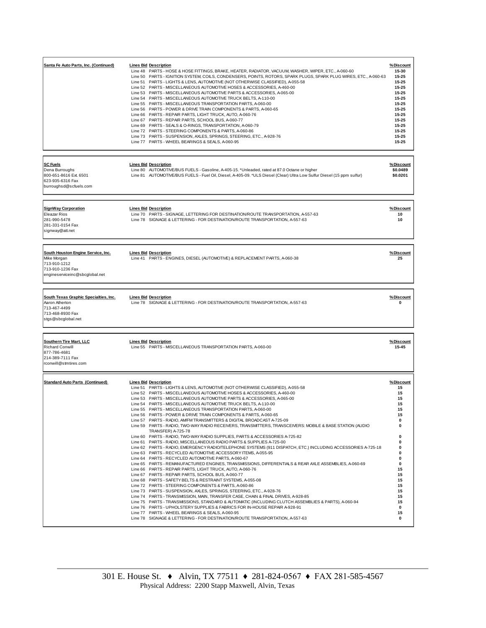| Santa Fe Auto Parts, Inc. (Continued)                                                                                   | <b>Lines Bid Description</b><br>Line 48 PARTS - HOSE & HOSE FITTINGS, BRAKE, HEATER, RADIATOR, VACUUM, WASHER, WIPER, ETC., A-060-60<br>Line 50 PARTS - IGNITION SYSTEM, COILS, CONDENSERS, POINTS, ROTORS, SPARK PLUGS, SPARK PLUG WIRES, ETC., A-060-63<br>Line 51 PARTS - LIGHTS & LENS, AUTOMOTIVE (NOT OTHERWISE CLASSIFIED), A-055-58<br>Line 52 PARTS - MISCELLANEOUS AUTOMOTIVE HOSES & ACCESSORIES, A-460-00<br>Line 53 PARTS - MISCELLANEOUS AUTOMOTIVE PARTS & ACCESSORIES, A-065-00<br>Line 54 PARTS - MISCELLANEOUS AUTOMOTIVE TRUCK BELTS, A-110-00<br>Line 55 PARTS - MISCELLANEOUS TRANSPORTATION PARTS, A-060-00<br>Line 56 PARTS - POWER & DRIVE TRAIN COMPONENTS & PARTS, A-060-65<br>Line 66 PARTS - REPAIR PARTS, LIGHT TRUCK, AUTO, A-060-76<br>Line 67 PARTS - REPAIR PARTS, SCHOOL BUS, A-060-77<br>Line 69 PARTS - SEALS & O-RINGS, TRANSPORTATION, A-060-79<br>Line 72 PARTS - STEERING COMPONENTS & PARTS, A-060-86<br>Line 73 PARTS - SUSPENSION, AXLES, SPRINGS, STEERING, ETC., A-928-76<br>Line 77 PARTS - WHEEL BEARINGS & SEALS, A-060-95                                                                                                                                                                                                                                                                                                                                                                                                                                                                                                                                                                                                                                                                                                                                                                                                                                                    | %Discount<br>15-30<br>15-25<br>15-25<br>15-25<br>15-25<br>15-25<br>$15 - 25$<br>15-25<br>15-25<br>15-25<br>15-25<br>15-25<br>15-25<br>$15 - 25$ |
|-------------------------------------------------------------------------------------------------------------------------|-------------------------------------------------------------------------------------------------------------------------------------------------------------------------------------------------------------------------------------------------------------------------------------------------------------------------------------------------------------------------------------------------------------------------------------------------------------------------------------------------------------------------------------------------------------------------------------------------------------------------------------------------------------------------------------------------------------------------------------------------------------------------------------------------------------------------------------------------------------------------------------------------------------------------------------------------------------------------------------------------------------------------------------------------------------------------------------------------------------------------------------------------------------------------------------------------------------------------------------------------------------------------------------------------------------------------------------------------------------------------------------------------------------------------------------------------------------------------------------------------------------------------------------------------------------------------------------------------------------------------------------------------------------------------------------------------------------------------------------------------------------------------------------------------------------------------------------------------------------------------------------------------------------------------------|-------------------------------------------------------------------------------------------------------------------------------------------------|
| <b>SC Fuels</b><br>Dena Burroughs<br>800-651-8616 Ext. 6501<br>623-935-6316 Fax<br>burroughsd@scfuels.com               | <b>Lines Bid Description</b><br>Line 80 AUTOMOTIVE/BUS FUELS - Gasoline, A-405-15. *Unleaded, rated at 87.0 Octane or higher<br>Line 81 AUTOMOTIVE/BUS FUELS - Fuel Oil, Diesel, A-405-09. *ULS Diesel (Clear) Ultra Low Sulfur Diesel (15 ppm sulfur)                                                                                                                                                                                                                                                                                                                                                                                                                                                                                                                                                                                                                                                                                                                                                                                                                                                                                                                                                                                                                                                                                                                                                                                                                                                                                                                                                                                                                                                                                                                                                                                                                                                                        | %Discount<br>\$0.0489<br>\$0.0201                                                                                                               |
| <b>SignWay Corporation</b><br><b>Eleazar Rios</b><br>281-990-5478<br>281-331-0154 Fax<br>signway@att.net                | <b>Lines Bid Description</b><br>Line 70 PARTS - SIGNAGE, LETTERING FOR DESTINATION/ROUTE TRANSPORTATION, A-557-63<br>Line 78 SIGNAGE & LETTERING - FOR DESTINATION/ROUTE TRANSPORTATION, A-557-63                                                                                                                                                                                                                                                                                                                                                                                                                                                                                                                                                                                                                                                                                                                                                                                                                                                                                                                                                                                                                                                                                                                                                                                                                                                                                                                                                                                                                                                                                                                                                                                                                                                                                                                             | %Discount<br>10<br>10                                                                                                                           |
| South Houston Engine Service, Inc.<br>Mike Morgan<br>713-910-1212<br>713-910-1236 Fax<br>engineserviceinc@sbcglobal.net | <b>Lines Bid Description</b><br>Line 41 PARTS - ENGINES, DIESEL (AUTOMOTIVE) & REPLACEMENT PARTS, A-060-38                                                                                                                                                                                                                                                                                                                                                                                                                                                                                                                                                                                                                                                                                                                                                                                                                                                                                                                                                                                                                                                                                                                                                                                                                                                                                                                                                                                                                                                                                                                                                                                                                                                                                                                                                                                                                    | %Discount<br>25                                                                                                                                 |
| South Texas Graphic Specialties, Inc.<br>Aaron Atherton<br>713-467-4499<br>713-468-8930 Fax<br>stgs@sbcglobal.net       | <b>Lines Bid Description</b><br>Line 78 SIGNAGE & LETTERING - FOR DESTINATION/ROUTE TRANSPORTATION, A-557-63                                                                                                                                                                                                                                                                                                                                                                                                                                                                                                                                                                                                                                                                                                                                                                                                                                                                                                                                                                                                                                                                                                                                                                                                                                                                                                                                                                                                                                                                                                                                                                                                                                                                                                                                                                                                                  | %Discount<br>0                                                                                                                                  |
| <b>Southern Tire Mart, LLC</b><br><b>Richard Conwill</b><br>877-786-4681<br>214-389-7111 Fax<br>rconwill@stmtires.com   | <b>Lines Bid Description</b><br>Line 55 PARTS - MISCELLANEOUS TRANSPORTATION PARTS, A-060-00                                                                                                                                                                                                                                                                                                                                                                                                                                                                                                                                                                                                                                                                                                                                                                                                                                                                                                                                                                                                                                                                                                                                                                                                                                                                                                                                                                                                                                                                                                                                                                                                                                                                                                                                                                                                                                  | <u>% Discount</u><br>15-45                                                                                                                      |
| <b>Standard Auto Parts (Continued)</b>                                                                                  | <b>Lines Bid Description</b><br>Line 51 PARTS - LIGHTS & LENS, AUTOMOTIVE (NOT OTHERWISE CLASSIFIED), A-055-58<br>Line 52 PARTS - MISCELLANEOUS AUTOMOTIVE HOSES & ACCESSORIES, A-460-00<br>Line 53 PARTS - MISCELLANEOUS AUTOMOTIVE PARTS & ACCESSORIES, A-065-00<br>Line 54 PARTS - MISCELLANEOUS AUTOMOTIVE TRUCK BELTS, A-110-00<br>Line 55 PARTS - MISCELLANEOUS TRANSPORTATION PARTS, A-060-00<br>Line 56 PARTS - POWER & DRIVE TRAIN COMPONENTS & PARTS, A-060-65<br>Line 57 PARTS - RADIO, AM/FM TRANSMITTERS & DIGITAL BROADCAST A-725-09<br>Line 59 PARTS - RADIO, TWO-WAY RADIO RECEIVERS, TRANSMITTERS, TRANSCEIVERS: MOBILE & BASE STATION (AUDIO<br>TRANSFER) A-725-78<br>Line 60 PARTS - RADIO, TWO-WAY RADIO SUPPLIES, PARTS & ACCESSORIES A-725-82<br>Line 61 PARTS - RADIO, MISCELLANEOUS RADIO PARTS & SUPPLIES A-725-00<br>Line 62 PARTS - RADIO, EMERGENCY RADIO/TELEPHONE SYSTEMS (911 DISPATCH, ETC.) INCLUDING ACCESSORIES A-725-18<br>Line 63 PARTS - RECYCLED AUTOMOTIVE ACCESSORY ITEMS, A-055-95<br>Line 64 PARTS - RECYCLED AUTOMOTIVE PARTS, A-060-67<br>Line 65 PARTS - REMANUFACTURED ENGINES, TRANSMISSIONS, DIFFERENTIALS & REAR AXLE ASSEMBLIES, A-060-69<br>Line 66 PARTS - REPAIR PARTS, LIGHT TRUCK, AUTO, A-060-76<br>Line 67 PARTS - REPAIR PARTS, SCHOOL BUS, A-060-77<br>Line 68 PARTS - SAFETY BELTS & RESTRAINT SYSTEMS, A-055-08<br>Line 72 PARTS - STEERING COMPONENTS & PARTS, A-060-86<br>Line 73  PARTS - SUSPENSION, AXLES, SPRINGS, STEERING, ETC., A-928-76<br>Line 74 PARTS - TRANSMISSION, MAIN, TRANSFER CASE, CHAIN & FINAL DRIVES, A-928-85<br>Line 75 PARTS - TRANSMISSIONS, STANDARD & AUTOMATIC (INCLUDING CLUTCH ASSEMBLIES & PARTS), A-060-94<br>Line 76 PARTS - UPHOLSTERY SUPPLIES & FABRICS FOR IN-HOUSE REPAIR A-928-91<br>Line 77 PARTS - WHEEL BEARINGS & SEALS, A-060-95<br>Line 78 SIGNAGE & LETTERING - FOR DESTINATION/ROUTE TRANSPORTATION, A-557-63 | %Discount<br>15<br>15<br>15<br>15<br>15<br>15<br>0<br>0<br>0<br>0<br>0<br>0<br>0<br>0<br>15<br>15<br>15<br>15<br>15<br>15<br>15<br>0<br>15<br>0 |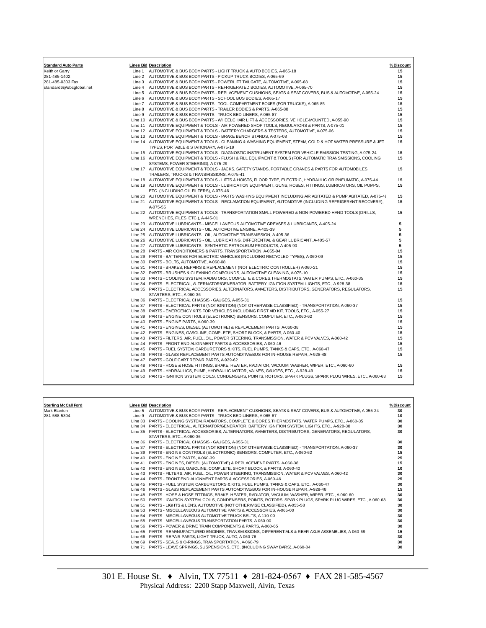| <b>Standard Auto Parts</b> | <b>Lines Bid Description</b>                                                                                                                           | % Discount |
|----------------------------|--------------------------------------------------------------------------------------------------------------------------------------------------------|------------|
| Keith or Garry             | Line 1 AUTOMOTIVE & BUS BODY PARTS - LIGHT TRUCK & AUTO BODIES, A-065-18                                                                               | 15         |
| 281-485-1402               | Line 2 AUTOMOTIVE & BUS BODY PARTS - PICKUP TRUCK BODIES, A-065-69                                                                                     | 15         |
| 281-485-0303 Fax           | Line 3 AUTOMOTIVE & BUS BODY PARTS - POWERLIFT TAILGATE, AUTOMOTIVE, A-065-68                                                                          | 15         |
| standard6@sbcglobal.net    | Line 4 AUTOMOTIVE & BUS BODY PARTS - REFRIGERATED BODIES, AUTOMOTIVE, A-065-70                                                                         | 15         |
|                            | Line 5 AUTOMOTIVE & BUS BODY PARTS - REPLACEMENT CUSHIONS, SEATS & SEAT COVERS, BUS & AUTOMOTIVE, A-055-24                                             | 15         |
|                            | Line 6 AUTOMOTIVE & BUS BODY PARTS - SCHOOL BUS BODIES, A-065-17                                                                                       | 15         |
|                            | Line 7 AUTOMOTIVE & BUS BODY PARTS - TOOL COMPARTMENT BOXES (FOR TRUCKS), A-065-85                                                                     | 15         |
|                            | Line 8 AUTOMOTIVE & BUS BODY PARTS - TRAILER BODIES & PARTS, A-065-88                                                                                  | 15         |
|                            | Line 9 AUTOMOTIVE & BUS BODY PARTS - TRUCK BED LINERS, A-065-87                                                                                        | 15         |
|                            | Line 10 AUTOMOTIVE & BUS BODY PARTS - WHEELCHAIR LIFT & ACCESSORIES, VEHICLE-MOUNTED, A-055-90                                                         | 15         |
|                            | Line 11 AUTOMOTIVE EQUIPMENT & TOOLS - AIR POWERED SHOP TOOLS, REGULATORS & PARTS, A-075-01                                                            | 15         |
|                            | Line 12 AUTOMOTIVE EQUIPMENT & TOOLS - BATTERY CHARGERS & TESTERS, AUTOMOTIVE, A-075-06                                                                | 15         |
|                            | Line 13 AUTOMOTIVE EQUIPMENT & TOOLS - BRAKE BENCH STANDS, A-075-08                                                                                    | 15         |
|                            | Line 14 AUTOMOTIVE EQUIPMENT & TOOLS - CLEANING & WASHING EQUIPMENT, STEAM, COLD & HOT WATER PRESSURE & JET<br>TYPES, PORTABLE & STATIONARY, A-075-19  | 15         |
|                            | Line 15 AUTOMOTIVE EQUIPMENT & TOOLS - DIAGNOSTIC INSTRUMENT SYSTEM FOR VEHICLE EMISSION TESTING, A-075-24                                             | 15         |
|                            | Line 16 AUTOMOTIVE EQUIPMENT & TOOLS - FLUSH & FILL EQUIPMENT & TOOLS (FOR AUTOMATIC TRANSMISSIONS, COOLING<br>SYSTEMS, POWER STEERING), A-075-29      | 15         |
|                            | Line 17 AUTOMOTIVE EQUIPMENT & TOOLS - JACKS, SAFETY STANDS, PORTABLE CRANES & PARTS FOR AUTOMOBILES,<br>TRAILERS, TRUCKS & TRANSMISSIONS, A-075-41    | 15         |
|                            | Line 18 AUTOMOTIVE EQUIPMENT & TOOLS - LIFTS & HOISTS, FLOOR TYPE, ELECTRIC, HYDRAULIC OR PNEUMATIC, A-075-44                                          | 15         |
|                            | Line 19 AUTOMOTIVE EQUIPMENT & TOOLS - LUBRICATION EQUIPMENT, GUNS, HOSES, FITTINGS, LUBRICATORS, OIL PUMPS,<br>ETC. (INCLUDING OIL FILTERS), A-075-46 | 15         |
|                            | Line 20 AUTOMOTIVE EQUIPMENT & TOOLS - PARTS WASHING EQUIPMENT INCLUDING AIR AGITATED & PUMP AGITATED, A-075-49                                        | 15         |
|                            | Line 21 AUTOMOTIVE EQUIPMENT & TOOLS - RECLAMATION EQUIPMENT, AUTOMOTIVE (INCLUDING REFRIGERANT RECOVERY),<br>A-075-55                                 | 15         |
|                            | Line 22 AUTOMOTIVE EQUIPMENT & TOOLS - TRANSPORTATION SMALL POWERED & NON-POWERED HAND TOOLS (DRILLS,<br>WRENCHES, FILES, ETC.), A-445-01              | 15         |
|                            | Line 23 AUTOMOTIVE LUBRICANTS - MISCELLANEOUS AUTOMOTIVE GREASES & LUBRICANTS, A-405-24                                                                | 5          |
|                            | Line 24 AUTOMOTIVE LUBRICANTS - OIL, AUTOMOTIVE ENGINE, A-405-39                                                                                       | 5          |
|                            | Line 25 AUTOMOTIVE LUBRICANTS - OIL, AUTOMOTIVE TRANSMISSION, A-405-36                                                                                 | 5          |
|                            | Line 26 AUTOMOTIVE LUBRICANTS - OIL, LUBRICATING, DIFFERENTIAL & GEAR LUBRICANT, A-405-57                                                              | 5          |
|                            | Line 27 AUTOMOTIVE LUBRICANTS - SYNTHETIC PETROLEUM PRODUCTS, A-405-90                                                                                 | 5          |
|                            | Line 28 PARTS - AIR CONDITIONERS & PARTS, TRANSPORTATION, A-055-04                                                                                     | 15         |
|                            | Line 29 PARTS - BATTERIES FOR ELECTRIC VEHICLES (INCLUDING RECYCLED TYPES), A-060-09                                                                   | 15         |
|                            | Line 30 PARTS - BOLTS, AUTOMOTIVE, A-060-08                                                                                                            | 15         |
|                            | Line 31 PARTS - BRAKES, REPAIRS & REPLACEMENT (NOT ELECTRIC CONTROLLER) A-060-21                                                                       | 15         |
|                            |                                                                                                                                                        |            |
|                            | Line 32 PARTS - BRUSHES & CLEANING COMPOUNDS, AUTOMOTIVE CLEANING, A-075-10                                                                            | 15<br>15   |
|                            | Line 33 PARTS - COOLING SYSTEM, RADIATORS, COMPLETE & CORES, THERMOSTATS, WATER PUMPS, ETC., A-060-35                                                  | 15         |
|                            | Line 34 PARTS - ELECTRICAL, ALTERNATOR/GENERATOR, BATTERY, IGNITION SYSTEM, LIGHTS, ETC., A-928-38                                                     |            |
|                            | Line 35 PARTS - ELECTRICAL ACCESSORIES, ALTERNATORS, AMMETERS, DISTRIBUTORS, GENERATORS, REGULATORS,<br>STARTERS, ETC., A-060-36                       | 15         |
|                            | Line 36 PARTS - ELECTRICAL CHASSIS - GAUGES, A-055-31                                                                                                  | 15         |
|                            | Line 37 PARTS - ELECTRICAL PARTS (NOT IGNITION) (NOT OTHERWISE CLASSIFIED) - TRANSPORTATION, A-060-37                                                  | 15         |
|                            | Line 38 PARTS - EMERGENCY KITS FOR VEHICLES INCLUDING FIRST AID KIT, TOOLS, ETC., A-055-27                                                             | 15         |
|                            | Line 39 PARTS - ENGINE CONTROLS (ELECTRONIC) SENSORS, COMPUTER, ETC., A-060-62                                                                         | 15         |
|                            | Line 40 PARTS - ENGINE PARTS, A-060-39                                                                                                                 | 15         |
|                            | Line 41 PARTS - ENGINES, DIESEL (AUTOMOTIVE) & REPLACEMENT PARTS, A-060-38                                                                             | 15         |
|                            | Line 42 PARTS - ENGINES, GASOLINE, COMPLETE, SHORT BLOCK, & PARTS, A-060-40                                                                            | 15         |
|                            | Line 43 PARTS - FILTERS, AIR, FUEL, OIL, POWER STEERING, TRANSMISSION, WATER & PCV VALVES, A-060-42                                                    | 15         |
|                            | Line 44  PARTS - FRONT END ALIGNMENT PARTS & ACCESSORIES, A-060-46                                                                                     | 15         |
|                            | Line 45 PARTS - FUEL SYSTEM, CARBURETORS & KITS, FUEL PUMPS, TANKS & CAPS, ETC., A-060-47                                                              | 15         |
|                            | Line 46 PARTS - GLASS REPLACEMENT PARTS AUTOMOTIVE/BUS FOR IN-HOUSE REPAIR, A-928-48                                                                   | 15         |
|                            | Line 47 PARTS - GOLF CART REPAIR PARTS, A-929-62                                                                                                       |            |
|                            | Line 48 PARTS - HOSE & HOSE FITTINGS, BRAKE, HEATER, RADIATOR, VACUUM, WASHER, WIPER, ETC., A-060-60                                                   | 15         |
|                            | Line 49 PARTS - HYDRAULICS, PUMP, HYDRAULIC MOTOR, VALVES, GAUGES, ETC., A-928-49                                                                      | 15         |
|                            | Line 50 PARTS - IGNITION SYSTEM, COILS, CONDENSERS, POINTS, ROTORS, SPARK PLUGS, SPARK PLUG WIRES, ETC., A-060-63                                      | 15         |

| <b>Sterling McCall Ford</b> | <b>Lines Bid Description</b>                                                                                      | % Discount |
|-----------------------------|-------------------------------------------------------------------------------------------------------------------|------------|
| Mark Blanton                | Line 5 AUTOMOTIVE & BUS BODY PARTS - REPLACEMENT CUSHIONS, SEATS & SEAT COVERS, BUS & AUTOMOTIVE, A-055-24        | 30         |
| 281-588-5304                | Line 9 AUTOMOTIVE & BUS BODY PARTS - TRUCK BED LINERS, A-065-87                                                   | 10         |
|                             | Line 33 PARTS - COOLING SYSTEM, RADIATORS, COMPLETE & CORES, THERMOSTATS, WATER PUMPS, ETC., A-060-35             | 30         |
|                             | Line 34 PARTS - ELECTRICAL, ALTERNATOR/GENERATOR, BATTERY, IGNITION SYSTEM, LIGHTS, ETC., A-928-38                | 30         |
|                             | Line 35 PARTS - ELECTRICAL ACCESSORIES, ALTERNATORS, AMMETERS, DISTRIBUTORS, GENERATORS, REGULATORS,              | 30         |
|                             | STARTERS, ETC., A-060-36                                                                                          |            |
|                             | Line 36 PARTS - ELECTRICAL CHASSIS - GAUGES, A-055-31                                                             | 30         |
|                             | Line 37 PARTS - ELECTRICAL PARTS (NOT IGNITION) (NOT OTHERWISE CLASSIFIED) - TRANSPORTATION, A-060-37             | 30         |
|                             | Line 39 PARTS - ENGINE CONTROLS (ELECTRONIC) SENSORS, COMPUTER, ETC., A-060-62                                    | 15         |
|                             | Line 40 PARTS - ENGINE PARTS, A-060-39                                                                            | 25         |
|                             | Line 41 PARTS - ENGINES, DIESEL (AUTOMOTIVE) & REPLACEMENT PARTS, A-060-38                                        | 15         |
|                             | Line 42 PARTS - ENGINES, GASOLINE, COMPLETE, SHORT BLOCK, & PARTS, A-060-40                                       | 10         |
|                             | Line 43 PARTS - FILTERS, AIR, FUEL, OIL, POWER STEERING, TRANSMISSION, WATER & PCV VALVES, A-060-42               | 30         |
|                             | Line 44 PARTS - FRONT END ALIGNMENT PARTS & ACCESSORIES, A-060-46                                                 | 25         |
|                             | Line 45 PARTS - FUEL SYSTEM, CARBURETORS & KITS, FUEL PUMPS, TANKS & CAPS, ETC., A-060-47                         | 30         |
|                             | Line 46 PARTS - GLASS REPLACEMENT PARTS AUTOMOTIVE/BUS FOR IN-HOUSE REPAIR, A-928-48                              | 15         |
|                             | Line 48 PARTS - HOSE & HOSE FITTINGS, BRAKE, HEATER, RADIATOR, VACUUM, WASHER, WIPER, ETC., A-060-60              | 30         |
|                             | Line 50 PARTS - IGNITION SYSTEM, COILS, CONDENSERS, POINTS, ROTORS, SPARK PLUGS, SPARK PLUG WIRES, ETC., A-060-63 | 30         |
|                             | Line 51 PARTS - LIGHTS & LENS, AUTOMOTIVE (NOT OTHERWISE CLASSIFIED), A-055-58                                    | 30         |
|                             | Line 53 PARTS - MISCELLANEOUS AUTOMOTIVE PARTS & ACCESSORIES, A-065-00                                            | 30         |
|                             | Line 54 PARTS - MISCELLANEOUS AUTOMOTIVE TRUCK BELTS, A-110-00                                                    | 30         |
|                             | Line 55 PARTS - MISCELLANEOUS TRANSPORTATION PARTS, A-060-00                                                      | 30         |
|                             | Line 56 PARTS - POWER & DRIVE TRAIN COMPONENTS & PARTS, A-060-65                                                  | 30         |
|                             | Line 65 PARTS - REMANUFACTURED ENGINES, TRANSMISSIONS, DIFFERENTIALS & REAR AXLE ASSEMBLIES, A-060-69             | 15         |
|                             | Line 66 PARTS - REPAIR PARTS, LIGHT TRUCK, AUTO, A-060-76                                                         | 30         |
|                             | Line 69 PARTS - SEALS & O-RINGS, TRANSPORTATION, A-060-79                                                         | 30         |
|                             | Line 71 PARTS - LEAVE SPRINGS, SUSPENSIONS, ETC. (INCLUDING SWAY BARS), A-060-84                                  | 30         |
|                             |                                                                                                                   |            |

٦

 $\Gamma$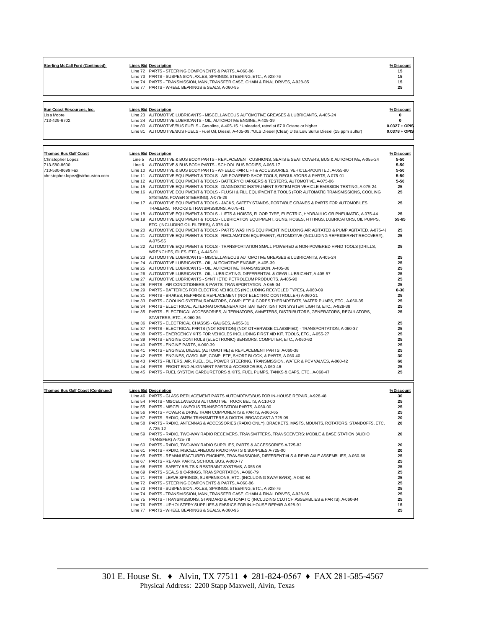| <b>Sterling McCall Ford (Continued)</b> | <b>Lines Bid Description</b>                                                      | %Discount |
|-----------------------------------------|-----------------------------------------------------------------------------------|-----------|
|                                         | Line 72 PARTS - STEERING COMPONENTS & PARTS, A-060-86                             | 15        |
|                                         | Line 73 PARTS - SUSPENSION, AXLES, SPRINGS, STEERING, ETC., A-928-76              | 15        |
|                                         | Line 74 PARTS - TRANSMISSION, MAIN, TRANSFER CASE, CHAIN & FINAL DRIVES, A-928-85 | 15        |
|                                         | Line 77 PARTS - WHEEL BEARINGS & SEALS, A-060-95                                  | 25        |
|                                         |                                                                                   |           |

| Sun Coast Resources, Inc. | <b>Lines Bid Description</b>                                                                                           | %Discount       |
|---------------------------|------------------------------------------------------------------------------------------------------------------------|-----------------|
| Lisa Moore                | Line 23 AUTOMOTIVE LUBRICANTS - MISCELLANEOUS AUTOMOTIVE GREASES & LUBRICANTS, A-405-24                                | $\mathbf{0}$    |
| 713-429-6702              | Line 24 AUTOMOTIVE LUBRICANTS - OIL, AUTOMOTIVE ENGINE, A-405-39                                                       | 0               |
|                           | Line 80 AUTOMOTIVE/BUS FUELS - Gasoline, A-405-15. *Unleaded, rated at 87.0 Octane or higher                           | $0.0327 + OPIS$ |
|                           | Line 81 AUTOMOTIVE/BUS FUELS - Fuel Oil, Diesel, A-405-09. *ULS Diesel (Clear) Ultra Low Sulfur Diesel (15 ppm sulfur) | $0.0378 + OPIS$ |
|                           |                                                                                                                        |                 |

| <b>Thomas Bus Gulf Coast</b><br>Christopher Lopez<br>713-580-8600<br>713-580-8699 Fax<br>christopher.lopez@strhouston.com | <b>Lines Bid Description</b><br>Line 5 AUTOMOTIVE & BUS BODY PARTS - REPLACEMENT CUSHIONS, SEATS & SEAT COVERS, BUS & AUTOMOTIVE, A-055-24<br>Line 6 AUTOMOTIVE & BUS BODY PARTS - SCHOOL BUS BODIES, A-065-17<br>Line 10 AUTOMOTIVE & BUS BODY PARTS - WHEELCHAIR LIFT & ACCESSORIES, VEHICLE-MOUNTED, A-055-90<br>Line 11 AUTOMOTIVE EQUIPMENT & TOOLS - AIR POWERED SHOP TOOLS. REGULATORS & PARTS, A-075-01<br>Line 12 AUTOMOTIVE EQUIPMENT & TOOLS - BATTERY CHARGERS & TESTERS, AUTOMOTIVE, A-075-06<br>Line 15 AUTOMOTIVE EQUIPMENT & TOOLS - DIAGNOSTIC INSTRUMENT SYSTEM FOR VEHICLE EMISSION TESTING, A-075-24<br>Line 16 AUTOMOTIVE EQUIPMENT & TOOLS - FLUSH & FILL EQUIPMENT & TOOLS (FOR AUTOMATIC TRANSMISSIONS, COOLING<br>SYSTEMS, POWER STEERING), A-075-29<br>Line 17 AUTOMOTIVE EQUIPMENT & TOOLS - JACKS, SAFETY STANDS, PORTABLE CRANES & PARTS FOR AUTOMOBILES,<br>TRAILERS, TRUCKS & TRANSMISSIONS, A-075-41 | %Discount<br>5-50<br>$5 - 50$<br>5-50<br>$5 - 50$<br>5-50<br>25<br>25<br>25 |
|---------------------------------------------------------------------------------------------------------------------------|--------------------------------------------------------------------------------------------------------------------------------------------------------------------------------------------------------------------------------------------------------------------------------------------------------------------------------------------------------------------------------------------------------------------------------------------------------------------------------------------------------------------------------------------------------------------------------------------------------------------------------------------------------------------------------------------------------------------------------------------------------------------------------------------------------------------------------------------------------------------------------------------------------------------------------------|-----------------------------------------------------------------------------|
|                                                                                                                           | Line 18 AUTOMOTIVE EQUIPMENT & TOOLS - LIFTS & HOISTS, FLOOR TYPE, ELECTRIC, HYDRAULIC OR PNEUMATIC, A-075-44<br>Line 19 AUTOMOTIVE EQUIPMENT & TOOLS - LUBRICATION EQUIPMENT, GUNS, HOSES, FITTINGS, LUBRICATORS, OIL PUMPS,<br>ETC. (INCLUDING OIL FILTERS), A-075-46                                                                                                                                                                                                                                                                                                                                                                                                                                                                                                                                                                                                                                                              | 25<br>55-65                                                                 |
|                                                                                                                           | Line 20 AUTOMOTIVE EQUIPMENT & TOOLS - PARTS WASHING EQUIPMENT INCLUDING AIR AGITATED & PUMP AGITATED, A-075-49<br>Line 21 AUTOMOTIVE EQUIPMENT & TOOLS - RECLAMATION EQUIPMENT, AUTOMOTIVE (INCLUDING REFRIGERANT RECOVERY),<br>A-075-55                                                                                                                                                                                                                                                                                                                                                                                                                                                                                                                                                                                                                                                                                            | 25<br>25                                                                    |
|                                                                                                                           | Line 22 AUTOMOTIVE EQUIPMENT & TOOLS - TRANSPORTATION SMALL POWERED & NON-POWERED HAND TOOLS (DRILLS,<br>WRENCHES, FILES, ETC.), A-445-01                                                                                                                                                                                                                                                                                                                                                                                                                                                                                                                                                                                                                                                                                                                                                                                            | 25                                                                          |
|                                                                                                                           | Line 23 AUTOMOTIVE LUBRICANTS - MISCELLANEOUS AUTOMOTIVE GREASES & LUBRICANTS, A-405-24<br>Line 24 AUTOMOTIVE LUBRICANTS - OIL, AUTOMOTIVE ENGINE, A-405-39                                                                                                                                                                                                                                                                                                                                                                                                                                                                                                                                                                                                                                                                                                                                                                          | 25<br>25                                                                    |
|                                                                                                                           | Line 25 AUTOMOTIVE LUBRICANTS - OIL, AUTOMOTIVE TRANSMISSION, A-405-36<br>Line 26 AUTOMOTIVE LUBRICANTS - OIL, LUBRICATING, DIFFERENTIAL & GEAR LUBRICANT, A-405-57                                                                                                                                                                                                                                                                                                                                                                                                                                                                                                                                                                                                                                                                                                                                                                  | 25<br>25                                                                    |
|                                                                                                                           | Line 27 AUTOMOTIVE LUBRICANTS - SYNTHETIC PETROLEUM PRODUCTS, A-405-90<br>Line 28 PARTS - AIR CONDITIONERS & PARTS, TRANSPORTATION, A-055-04                                                                                                                                                                                                                                                                                                                                                                                                                                                                                                                                                                                                                                                                                                                                                                                         | 25<br>25                                                                    |
|                                                                                                                           | Line 29 PARTS - BATTERIES FOR ELECTRIC VEHICLES (INCLUDING RECYCLED TYPES), A-060-09<br>Line 31 PARTS - BRAKES, REPAIRS & REPLACEMENT (NOT ELECTRIC CONTROLLER) A-060-21                                                                                                                                                                                                                                                                                                                                                                                                                                                                                                                                                                                                                                                                                                                                                             | $0 - 30$<br>25                                                              |
|                                                                                                                           | Line 33 PARTS - COOLING SYSTEM, RADIATORS, COMPLETE & CORES, THERMOSTATS, WATER PUMPS, ETC., A-060-35                                                                                                                                                                                                                                                                                                                                                                                                                                                                                                                                                                                                                                                                                                                                                                                                                                | 25                                                                          |
|                                                                                                                           | Line 34 PARTS - ELECTRICAL, ALTERNATOR/GENERATOR, BATTERY, IGNITION SYSTEM, LIGHTS, ETC., A-928-38<br>Line 35 PARTS - ELECTRICAL ACCESSORIES, ALTERNATORS, AMMETERS, DISTRIBUTORS, GENERATORS, REGULATORS,<br>STARTERS, ETC., A-060-36                                                                                                                                                                                                                                                                                                                                                                                                                                                                                                                                                                                                                                                                                               | 25<br>25                                                                    |
|                                                                                                                           | Line 36 PARTS - ELECTRICAL CHASSIS - GAUGES, A-055-31                                                                                                                                                                                                                                                                                                                                                                                                                                                                                                                                                                                                                                                                                                                                                                                                                                                                                | 25                                                                          |
|                                                                                                                           | Line 37 PARTS - ELECTRICAL PARTS (NOT IGNITION) (NOT OTHERWISE CLASSIFIED) - TRANSPORTATION, A-060-37<br>Line 38 PARTS - EMERGENCY KITS FOR VEHICLES INCLUDING FIRST AID KIT, TOOLS, ETC., A-055-27                                                                                                                                                                                                                                                                                                                                                                                                                                                                                                                                                                                                                                                                                                                                  | 25<br>25                                                                    |
|                                                                                                                           | Line 39 PARTS - ENGINE CONTROLS (ELECTRONIC) SENSORS, COMPUTER, ETC., A-060-62                                                                                                                                                                                                                                                                                                                                                                                                                                                                                                                                                                                                                                                                                                                                                                                                                                                       | 25                                                                          |
|                                                                                                                           | Line 40 PARTS - ENGINE PARTS, A-060-39<br>Line 41 PARTS - ENGINES, DIESEL (AUTOMOTIVE) & REPLACEMENT PARTS, A-060-38                                                                                                                                                                                                                                                                                                                                                                                                                                                                                                                                                                                                                                                                                                                                                                                                                 | 25<br>25                                                                    |
|                                                                                                                           | Line 42 PARTS - ENGINES, GASOLINE, COMPLETE, SHORT BLOCK, & PARTS, A-060-40<br>Line 43 PARTS - FILTERS, AIR, FUEL, OIL, POWER STEERING, TRANSMISSION, WATER & PCV VALVES, A-060-42                                                                                                                                                                                                                                                                                                                                                                                                                                                                                                                                                                                                                                                                                                                                                   | 30<br>60                                                                    |
|                                                                                                                           | Line 44 PARTS - FRONT END ALIGNMENT PARTS & ACCESSORIES, A-060-46                                                                                                                                                                                                                                                                                                                                                                                                                                                                                                                                                                                                                                                                                                                                                                                                                                                                    | 25                                                                          |
|                                                                                                                           | Line 45 PARTS - FUEL SYSTEM, CARBURETORS & KITS, FUEL PUMPS, TANKS & CAPS, ETC., A-060-47                                                                                                                                                                                                                                                                                                                                                                                                                                                                                                                                                                                                                                                                                                                                                                                                                                            | 25                                                                          |
| <b>Thomas Bus Gulf Coast (Continued)</b>                                                                                  | <b>Lines Bid Description</b>                                                                                                                                                                                                                                                                                                                                                                                                                                                                                                                                                                                                                                                                                                                                                                                                                                                                                                         | %Discount                                                                   |
|                                                                                                                           | Line 46 PARTS - GLASS REPLACEMENT PARTS AUTOMOTIVE/BUS FOR IN-HOUSE REPAIR, A-928-48                                                                                                                                                                                                                                                                                                                                                                                                                                                                                                                                                                                                                                                                                                                                                                                                                                                 | 30                                                                          |
|                                                                                                                           | Line 54 PARTS - MISCELLANEOUS AUTOMOTIVE TRUCK BELTS, A-110-00<br>Line 55 PARTS - MISCELLANEOUS TRANSPORTATION PARTS, A-060-00                                                                                                                                                                                                                                                                                                                                                                                                                                                                                                                                                                                                                                                                                                                                                                                                       | 25<br>25                                                                    |
|                                                                                                                           | Line 56 PARTS - POWER & DRIVE TRAIN COMPONENTS & PARTS, A-060-65                                                                                                                                                                                                                                                                                                                                                                                                                                                                                                                                                                                                                                                                                                                                                                                                                                                                     | 25                                                                          |
|                                                                                                                           | Line 57 PARTS - RADIO, AWFM TRANSMITTERS & DIGITAL BROADCAST A-725-09<br>Line 58 PARTS - RADIO, ANTENNAS & ACCESSORIES (RADIO ONLY), BRACKETS, MASTS, MOUNTS, ROTATORS, STANDOFFS, ETC.                                                                                                                                                                                                                                                                                                                                                                                                                                                                                                                                                                                                                                                                                                                                              | 20<br>20                                                                    |
|                                                                                                                           | A-725-12<br>Line 59 PARTS - RADIO, TWO-WAY RADIO RECEIVERS, TRANSMITTERS, TRANSCEIVERS: MOBILE & BASE STATION (AUDIO                                                                                                                                                                                                                                                                                                                                                                                                                                                                                                                                                                                                                                                                                                                                                                                                                 | 20                                                                          |
|                                                                                                                           | <b>TRANSFER) A-725-78</b><br>Line 60 PARTS - RADIO, TWO-WAY RADIO SUPPLIES, PARTS & ACCESSORIES A-725-82                                                                                                                                                                                                                                                                                                                                                                                                                                                                                                                                                                                                                                                                                                                                                                                                                             | 20                                                                          |
|                                                                                                                           | Line 61 PARTS - RADIO, MISCELLANEOUS RADIO PARTS & SUPPLIES A-725-00                                                                                                                                                                                                                                                                                                                                                                                                                                                                                                                                                                                                                                                                                                                                                                                                                                                                 | 20                                                                          |
|                                                                                                                           | Line 65 PARTS - REMANUFACTURED ENGINES, TRANSMISSIONS, DIFFERENTIALS & REAR AXLE ASSEMBLIES, A-060-69                                                                                                                                                                                                                                                                                                                                                                                                                                                                                                                                                                                                                                                                                                                                                                                                                                | 25                                                                          |
|                                                                                                                           | Line 67 PARTS - REPAIR PARTS, SCHOOL BUS, A-060-77<br>Line 68 PARTS - SAFETY BELTS & RESTRAINT SYSTEMS, A-055-08                                                                                                                                                                                                                                                                                                                                                                                                                                                                                                                                                                                                                                                                                                                                                                                                                     | 25<br>25                                                                    |
|                                                                                                                           | Line 69 PARTS - SEALS & O-RINGS, TRANSPORTATION, A-060-79                                                                                                                                                                                                                                                                                                                                                                                                                                                                                                                                                                                                                                                                                                                                                                                                                                                                            | 25                                                                          |
|                                                                                                                           | Line 71 PARTS - LEAVE SPRINGS, SUSPENSIONS, ETC. (INCLUDING SWAY BARS), A-060-84<br>Line 72 PARTS - STEERING COMPONENTS & PARTS, A-060-86                                                                                                                                                                                                                                                                                                                                                                                                                                                                                                                                                                                                                                                                                                                                                                                            | 25<br>25                                                                    |
|                                                                                                                           | Line 73 PARTS - SUSPENSION, AXLES, SPRINGS, STEERING, ETC., A-928-76                                                                                                                                                                                                                                                                                                                                                                                                                                                                                                                                                                                                                                                                                                                                                                                                                                                                 | 25                                                                          |
|                                                                                                                           | Line 74 PARTS - TRANSMISSION, MAIN, TRANSFER CASE, CHAIN & FINAL DRIVES, A-928-85                                                                                                                                                                                                                                                                                                                                                                                                                                                                                                                                                                                                                                                                                                                                                                                                                                                    | 25                                                                          |
|                                                                                                                           | Line 75 PARTS - TRANSMISSIONS, STANDARD & AUTOMATIC (INCLUDING CLUTCH ASSEMBLIES & PARTS), A-060-94<br>Line 76 PARTS - UPHOLSTERY SUPPLIES & FABRICS FOR IN-HOUSE REPAIR A-928-91                                                                                                                                                                                                                                                                                                                                                                                                                                                                                                                                                                                                                                                                                                                                                    | 25<br>15                                                                    |
|                                                                                                                           | Line 77 PARTS - WHEEL BEARINGS & SEALS, A-060-95                                                                                                                                                                                                                                                                                                                                                                                                                                                                                                                                                                                                                                                                                                                                                                                                                                                                                     | 25                                                                          |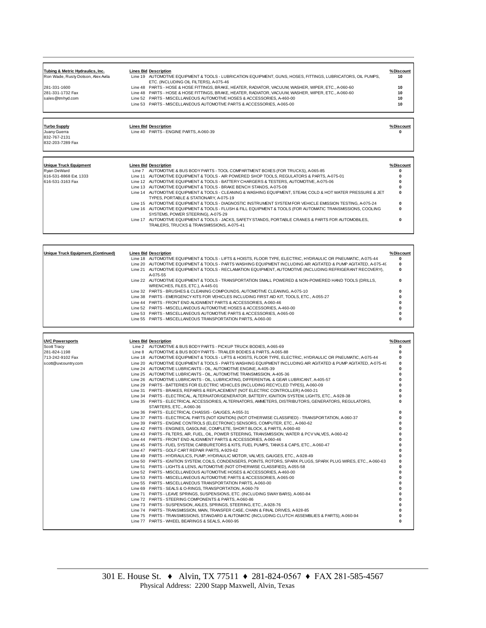| Line 19 AUTOMOTIVE EQUIPMENT & TOOLS - LUBRICATION EQUIPMENT, GUNS, HOSES, FITTINGS, LUBRICATORS, OIL PUMPS,<br>Ron Wade, Rusty Dotson, Alex Avila<br>10<br>ETC. (INCLUDING OIL FILTERS), A-075-46<br>Line 48 PARTS - HOSE & HOSE FITTINGS, BRAKE, HEATER, RADIATOR, VACUUM, WASHER, WIPER, ETC., A-060-60<br>281-331-1600<br>10<br>10<br>Line 48 PARTS - HOSE & HOSE FITTINGS, BRAKE, HEATER, RADIATOR, VACUUM, WASHER, WIPER, ETC., A-060-60<br>281-331-1732 Fax<br>sales@tmhvd.com<br>Line 52 PARTS - MISCELLANEOUS AUTOMOTIVE HOSES & ACCESSORIES, A-460-00<br>10 | Tubing & Metric Hydraulics, Inc. | <b>Lines Bid Description</b>                                           | % Discount |
|-----------------------------------------------------------------------------------------------------------------------------------------------------------------------------------------------------------------------------------------------------------------------------------------------------------------------------------------------------------------------------------------------------------------------------------------------------------------------------------------------------------------------------------------------------------------------|----------------------------------|------------------------------------------------------------------------|------------|
|                                                                                                                                                                                                                                                                                                                                                                                                                                                                                                                                                                       |                                  |                                                                        |            |
|                                                                                                                                                                                                                                                                                                                                                                                                                                                                                                                                                                       |                                  |                                                                        |            |
|                                                                                                                                                                                                                                                                                                                                                                                                                                                                                                                                                                       |                                  |                                                                        |            |
|                                                                                                                                                                                                                                                                                                                                                                                                                                                                                                                                                                       |                                  |                                                                        |            |
|                                                                                                                                                                                                                                                                                                                                                                                                                                                                                                                                                                       |                                  |                                                                        |            |
|                                                                                                                                                                                                                                                                                                                                                                                                                                                                                                                                                                       |                                  | Line 53 PARTS - MISCELLANEOUS AUTOMOTIVE PARTS & ACCESSORIES, A-065-00 | 10         |
|                                                                                                                                                                                                                                                                                                                                                                                                                                                                                                                                                                       |                                  |                                                                        |            |

832-767-2131 832-203-7289 Fax

**Turbo Supply Lines Bid Description % Discount** Juany Guerra Line 40 PARTS - ENGINE PARTS, A-060-39 **0**

| Unique Truck Equipment | <b>Lines Bid Description</b>                                                                                                                          | %Discount |
|------------------------|-------------------------------------------------------------------------------------------------------------------------------------------------------|-----------|
| Rvan DeWard            | Line 7 AUTOMOTIVE & BUS BODY PARTS - TOOL COMPARTMENT BOXES (FOR TRUCKS), A-065-85                                                                    | 0         |
| 616-531-8868 Ext. 1333 | Line 11 AUTOMOTIVE EQUIPMENT & TOOLS - AIR POWERED SHOP TOOLS, REGULATORS & PARTS, A-075-01                                                           | 0         |
| 616-531-3163 Fax       | Line 12 AUTOMOTIVE EQUIPMENT & TOOLS - BATTERY CHARGERS & TESTERS, AUTOMOTIVE, A-075-06                                                               |           |
|                        | Line 13 AUTOMOTIVE EQUIPMENT & TOOLS - BRAKE BENCH STANDS, A-075-08                                                                                   | 0         |
|                        | Line 14 AUTOMOTIVE EQUIPMENT & TOOLS - CLEANING & WASHING EQUIPMENT, STEAM, COLD & HOT WATER PRESSURE & JET<br>TYPES. PORTABLE & STATIONARY, A-075-19 | $\bf{0}$  |
|                        | Line 15 AUTOMOTIVE EQUIPMENT & TOOLS - DIAGNOSTIC INSTRUMENT SYSTEM FOR VEHICLE EMISSION TESTING, A-075-24                                            | $\bf{0}$  |
|                        | Line 16 AUTOMOTIVE EQUIPMENT & TOOLS - FLUSH & FILL EQUIPMENT & TOOLS (FOR AUTOMATIC TRANSMISSIONS, COOLING<br>SYSTEMS, POWER STEERING), A-075-29     | 0         |
|                        | Line 17 AUTOMOTIVE EQUIPMENT & TOOLS - JACKS, SAFETY STANDS, PORTABLE CRANES & PARTS FOR AUTOMOBILES,<br>TRAILERS. TRUCKS & TRANSMISSIONS, A-075-41   | 0         |

| Unique Truck Equipment. (Continued) | <b>Lines Bid Description</b>                                                                                                              | % Discount  |
|-------------------------------------|-------------------------------------------------------------------------------------------------------------------------------------------|-------------|
|                                     | Line 18 AUTOMOTIVE EQUIPMENT & TOOLS - LIFTS & HOISTS, FLOOR TYPE, ELECTRIC, HYDRAULIC OR PNEUMATIC, A-075-44                             | 0           |
|                                     | Line 20 AUTOMOTIVE EQUIPMENT & TOOLS - PARTS WASHING EQUIPMENT INCLUDING AIR AGITATED & PUMP AGITATED, A-075-49                           | $\mathbf 0$ |
|                                     | Line 21 AUTOMOTIVE EQUIPMENT & TOOLS - RECLAMATION EQUIPMENT, AUTOMOTIVE (INCLUDING REFRIGERANT RECOVERY),<br>A-075-55                    | $\Omega$    |
|                                     | Line 22 AUTOMOTIVE EQUIPMENT & TOOLS - TRANSPORTATION SMALL POWERED & NON-POWERED HAND TOOLS (DRILLS,<br>WRENCHES, FILES, ETC.), A-445-01 | 0           |
|                                     | Line 32 PARTS - BRUSHES & CLEANING COMPOUNDS, AUTOMOTIVE CLEANING, A-075-10                                                               |             |
|                                     | Line 38 PARTS - EMERGENCY KITS FOR VEHICLES INCLUDING FIRST AID KIT, TOOLS, ETC., A-055-27                                                |             |
|                                     | Line 44 PARTS - FRONT END ALIGNMENT PARTS & ACCESSORIES, A-060-46                                                                         |             |
|                                     | Line 52 PARTS - MISCELLANEOUS AUTOMOTIVE HOSES & ACCESSORIES, A-460-00                                                                    |             |
|                                     | Line 53 PARTS - MISCELLANEOUS AUTOMOTIVE PARTS & ACCESSORIES, A-065-00                                                                    |             |
|                                     | Line 55 PARTS - MISCELLANEOUS TRANSPORTATION PARTS, A-060-00                                                                              |             |
|                                     |                                                                                                                                           |             |

| <b>UVC Powersports</b> | <b>Lines Bid Description</b>                                                                                                     | %Discount |
|------------------------|----------------------------------------------------------------------------------------------------------------------------------|-----------|
| Scott Tracy            | Line 2 AUTOMOTIVE & BUS BODY PARTS - PICKUP TRUCK BODIES, A-065-69                                                               | O         |
| 281-824-1198           | Line 8 AUTOMOTIVE & BUS BODY PARTS - TRAILER BODIES & PARTS, A-065-88                                                            | O         |
| 713-242-9102 Fax       | Line 18 AUTOMOTIVE EQUIPMENT & TOOLS - LIFTS & HOISTS, FLOOR TYPE, ELECTRIC, HYDRAULIC OR PNEUMATIC, A-075-44                    |           |
| scott@uvcountry.com    | Line 20 AUTOMOTIVE EQUIPMENT & TOOLS - PARTS WASHING EQUIPMENT INCLUDING AIR AGITATED & PUMP AGITATED, A-075-49                  | O         |
|                        | Line 24 AUTOMOTIVE LUBRICANTS - OIL, AUTOMOTIVE ENGINE, A-405-39                                                                 |           |
|                        | Line 25 AUTOMOTIVE LUBRICANTS - OIL, AUTOMOTIVE TRANSMISSION, A-405-36                                                           |           |
|                        | Line 26 AUTOMOTIVE LUBRICANTS - OIL, LUBRICATING, DIFFERENTIAL & GEAR LUBRICANT, A-405-57                                        |           |
|                        | Line 29 PARTS - BATTERIES FOR ELECTRIC VEHICLES (INCLUDING RECYCLED TYPES), A-060-09                                             |           |
|                        | Line 31 PARTS - BRAKES, REPAIRS & REPLACEMENT (NOT ELECTRIC CONTROLLER) A-060-21                                                 |           |
|                        | Line 34 PARTS - ELECTRICAL, ALTERNATOR/GENERATOR, BATTERY, IGNITION SYSTEM, LIGHTS, ETC., A-928-38                               |           |
|                        | Line 35 PARTS - ELECTRICAL ACCESSORIES, ALTERNATORS, AMMETERS, DISTRIBUTORS, GENERATORS, REGULATORS,<br>STARTERS, ETC., A-060-36 |           |
|                        | Line 36 PARTS - ELECTRICAL CHASSIS - GAUGES, A-055-31                                                                            | O         |
|                        | Line 37 PARTS - ELECTRICAL PARTS (NOT IGNITION) (NOT OTHERWISE CLASSIFIED) - TRANSPORTATION, A-060-37                            |           |
|                        | Line 39 PARTS - ENGINE CONTROLS (ELECTRONIC) SENSORS, COMPUTER, ETC., A-060-62                                                   |           |
|                        | Line 42 PARTS - ENGINES, GASOLINE, COMPLETE, SHORT BLOCK, & PARTS, A-060-40                                                      |           |
|                        | Line 43 PARTS - FILTERS, AIR, FUEL, OIL, POWER STEERING, TRANSMISSION, WATER & PCV VALVES, A-060-42                              |           |
|                        | Line 44 PARTS - FRONT END ALIGNMENT PARTS & ACCESSORIES, A-060-46                                                                |           |
|                        | Line 45 PARTS - FUEL SYSTEM, CARBURETORS & KITS, FUEL PUMPS, TANKS & CAPS, ETC., A-060-47                                        |           |
|                        | Line 47 PARTS - GOLF CART REPAIR PARTS, A-929-62                                                                                 |           |
|                        | Line 49 PARTS - HYDRAULICS, PUMP, HYDRAULIC MOTOR, VALVES, GAUGES, ETC., A-928-49                                                |           |
|                        | Line 50 PARTS - IGNITION SYSTEM, COILS, CONDENSERS, POINTS, ROTORS, SPARK PLUGS, SPARK PLUG WIRES, ETC., A-060-63                | 0         |
|                        | Line 51 PARTS - LIGHTS & LENS, AUTOMOTIVE (NOT OTHERWISE CLASSIFIED), A-055-58                                                   | n         |
|                        | Line 52 PARTS - MISCELLANEOUS AUTOMOTIVE HOSES & ACCESSORIES, A-460-00                                                           | n         |
|                        | Line 53 PARTS - MISCELLANEOUS AUTOMOTIVE PARTS & ACCESSORIES, A-065-00                                                           |           |
|                        | Line 55 PARTS - MISCELLANEOUS TRANSPORTATION PARTS, A-060-00                                                                     |           |
|                        | Line 69 PARTS - SEALS & O-RINGS, TRANSPORTATION, A-060-79                                                                        |           |
|                        | Line 71 PARTS - LEAVE SPRINGS, SUSPENSIONS, ETC. (INCLUDING SWAY BARS), A-060-84                                                 |           |
|                        | Line 72 PARTS - STEERING COMPONENTS & PARTS, A-060-86                                                                            |           |
|                        | Line 73 PARTS - SUSPENSION, AXLES, SPRINGS, STEERING, ETC., A-928-76                                                             |           |
|                        | Line 74 PARTS - TRANSMISSION, MAIN, TRANSFER CASE, CHAIN & FINAL DRIVES, A-928-85                                                |           |
|                        | Line 75 PARTS - TRANSMISSIONS, STANDARD & AUTOMATIC (INCLUDING CLUTCH ASSEMBLIES & PARTS), A-060-94                              | n         |
|                        | Line 77 PARTS - WHEEL BEARINGS & SEALS, A-060-95                                                                                 | n         |
|                        |                                                                                                                                  |           |